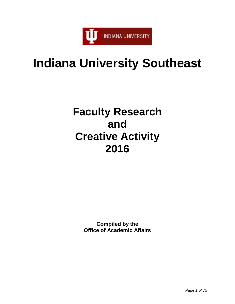

# **Indiana University Southeast**

# **Faculty Research and Creative Activity 2016**

**Compiled by the Office of Academic Affairs**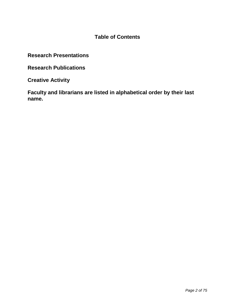## **Table of Contents**

**Research Presentations**

**Research Publications**

**Creative Activity** 

**Faculty and librarians are listed in alphabetical order by their last name.**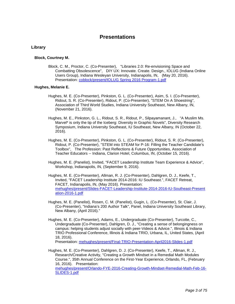### **Presentations**

#### **Library**

#### **Block, Courtney M.**

Block, C. M., Proctor, C. (Co-Presenter), "Libraries 2.0: Re-envisioning Space and Combatting Obsolescence", DIY UX: Innovate. Create. Design., IOLUG (Indiana Online Users Group), Indiana Wesleyan University, Indianapolis, IN, (May 20, 2016). Presentation: [coblock/present/IOLUG Spring 2016 Program-1.pdf](https://www.digitalmeasures.com/login/indiana/faculty/survey/ui/showFile.do?file=8PlXqZrq058aOc%2FfOLg1izQnCnI%3D&surId=17691684&nodeId=1610663&sdId=68967675&sdSurId=17691684&rptId=20237&sgntr=btDcVgEBcVecR8l8nAFsWpLSH3Y%3D)

#### **Hughes, Melanie E.**

- Hughes, M. E. (Co-Presenter), Pinkston, G. L. (Co-Presenter), Asim, S. I. (Co-Presenter), Ridout, S. R. (Co-Presenter), Ridout, P. (Co-Presenter), "STEM On A Shoestring", Association of Third World Studies, Indiana University Southeast, New Albany, IN, (November 21, 2016).
- Hughes, M. E., Pinkston, G. L., Ridout, S. R., Ridout, P., Silpayamanant, J., "A Muslim Ms. Marvel\* is only the tip of the Iceberg: Diversity in Graphic Novels", Diversity Research Symposium, Indiana University Southeast, IU Southeast, New Albany, IN (October 22, 2016).
- Hughes, M. E. (Co-Presenter), Pinkston, G. L. (Co-Presenter), Ridout, S. R. (Co-Presenter), Ridout, P. (Co-Presenter), "STEM into STEAM for P-16: Filling the Teacher Candidate's Toolbox", The Profession: Past Reflections & Future Opportunities, Association of Teacher Educators -- Indiana, Clarion Hotel, Columbus, IN, (October 15, 2016).
- Hughes, M. E. (Panelist), Invited, "FACET Leadership Institute Team Experience & Advice", Workshop, Indianapolis, IN, (September 9, 2016).
- Hughes, M. E. (Co-Presenter), Allman, R. J. (Co-Presenter), Dahlgren, D. J., Keefe, T., Invited, "FACET Leadership Institute 2014-2016: IU Southeast.", FACET Retreat, FACET, Indianapolis, IN, (May 2016). Presentation: [mehughes/present/Slides-FACET-Leadership-Institute-2014-2016-IU-Southeast-Present](https://www.digitalmeasures.com/login/indiana/faculty/survey/ui/showFile.do?file=JLNHB4lRJhaKlvh7n6FLhySrCLc%3D&surId=17691688&nodeId=1610663&sdId=69466802&sdSurId=17691688&rptId=20237&sgntr=9%2BNLT5IOstFj1ILwlXBDhIbMku0%3D) [ation-2016-1.pdf](https://www.digitalmeasures.com/login/indiana/faculty/survey/ui/showFile.do?file=JLNHB4lRJhaKlvh7n6FLhySrCLc%3D&surId=17691688&nodeId=1610663&sdId=69466802&sdSurId=17691688&rptId=20237&sgntr=9%2BNLT5IOstFj1ILwlXBDhIbMku0%3D)
- Hughes, M. E. (Panelist), Rosen, C. M. (Panelist), Gugin, L. (Co-Presenter), St. Clair, J. (Co-Presenter), "Indiana's 200 Author Talk", Panel, Indiana University Southeast Library, New Albany, (April 2016)."
- Hughes, M. E. (Co-Presenter), Adams, E., Undergraduate (Co-Presenter), Turcotte, C., Undergraduate (Co-Presenter), Dahlgren, D. J., "Creating a sense of belongingness on campus: helping students adjust socially with peer-Videos & Advice.", Illinois & Indiana TRIO Professional Conference, Illinois & Indiana TRIO, Urbana, IL, United States, (April 18, 2016).

Presentation: [mehughes/present/Final-TRIO-Presentation-April2016-Slides-1.pdf](https://www.digitalmeasures.com/login/indiana/faculty/survey/ui/showFile.do?file=c0K8DDnCRRWQKDXBoeTgh9pCWqg%3D&surId=17691688&nodeId=1610663&sdId=69466850&sdSurId=17691688&rptId=20237&sgntr=LQQ5a27mQA%2F8vdiRrKbe40UMLoY%3D)

Hughes, M. E. (Co-Presenter), Dahlgren, D. J. (Co-Presenter), Keefe, T., Allman, R. J., Research/Creative Activity, "Creating a Growth Mindset in a Remedial Math Modules Course.", 35th Annual Conference on the First-Year Experience, Orlando, FL, (February 16, 2016). Presentation: [mehughes/present/Orlando-FYE-2016-Creating-Growth-Mindset-Remedial-Math-Feb-16-](https://www.digitalmeasures.com/login/indiana/faculty/survey/ui/showFile.do?file=LsLE9EkV3oirsLQC3yMYeLnhT%2BM%3D&surId=17691688&nodeId=1610663&sdId=69466899&sdSurId=17691688&rptId=20237&sgntr=9LtGdhZSAt17EvVC2fMrclYmcFI%3D) [SLIDES-1.pdf](https://www.digitalmeasures.com/login/indiana/faculty/survey/ui/showFile.do?file=LsLE9EkV3oirsLQC3yMYeLnhT%2BM%3D&surId=17691688&nodeId=1610663&sdId=69466899&sdSurId=17691688&rptId=20237&sgntr=9LtGdhZSAt17EvVC2fMrclYmcFI%3D)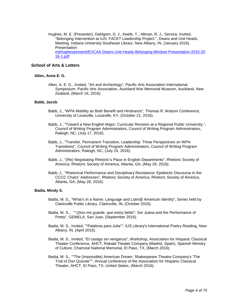Hughes, M. E. (Presenter), Dahlgren, D. J., Keefe, T., Allman, R. J., Service, Invited, "Belonging Intervention at IUS: FACET Leadership Project.", Deans and Unit Heads Meeting, Indiana University Southeast Library, New Albany, IN, (January 2016). Presentation: [mehughes/present/EVCAA-Deans-Unit-Heads-Belonging-Mindset-Presentation-2015-20](https://www.digitalmeasures.com/login/indiana/faculty/survey/ui/showFile.do?file=htsoWDjmowc%2BIDtHDGMNPrL1Egs%3D&surId=17691688&nodeId=1610663&sdId=69467077&sdSurId=17691688&rptId=20237&sgntr=Lg9NuuBt5O8JWhTnkdTHEWbNtRA%3D) [16-1.pdf](https://www.digitalmeasures.com/login/indiana/faculty/survey/ui/showFile.do?file=htsoWDjmowc%2BIDtHDGMNPrL1Egs%3D&surId=17691688&nodeId=1610663&sdId=69467077&sdSurId=17691688&rptId=20237&sgntr=Lg9NuuBt5O8JWhTnkdTHEWbNtRA%3D)

#### **School of Arts & Letters**

#### **Allen, Anne E. G.**

Allen, A. E. G., Invited, "Art and Archeology", Pacific Arts Association International Symposium, Pacific Arts Association, Auckland War Memorial Museum, Auckland, New Zealand, (March 16, 2016).

#### **Babb, Jacob**

- Babb, J., "WPA Mobility as Both Benefit and Hindrance", Thomas R. Watson Conference, University of Louisville, Louisville, KY, (October 21, 2016).
- Babb, J., "Toward a New English Major: Curricular Revision at a Regional Public University.", Council of Writing Program Administrators, Council of Writing Program Administrators, Raleigh, NC, (July 17, 2016).
- Babb, J., "Transfer, Permanent Transition, Leadership: Three Perspectives on WPA Transitions", Council of Writing Program Administrators, Council of Writing Program Administrators, Raleigh, NC, (July 15, 2016).
- Babb, J., "(Re) Negotiating Rhetoric's Place in English Departments", Rhetoric Society of America, Rhetoric Society of America, Atlanta, GA, (May 29, 2016).
- Babb, J., "Rhetorical Performance and Disciplinary Resistance: Epideictic Discourse in the CCCC Chairs' Addresses", Rhetoric Society of America, Rhetoric Society of America, Atlanta, GA, (May 28, 2016).

#### **Badia, Mindy S.**

- Badia, M. S., "What's in a Name: Language and Latin@ American Identity", Series held by Clarksville Public Library, Clarksville, IN, (October 2016).
- Badia, M. S., ""¡Dios me guarde, que estoy bella!": Sor Juana and the Performance of Pretty", GEMELA, San Juan, (September 2016).
- Badia, M. S., Invited, ""Palabras para Julia"", IUS Library's International Poetry Reading, New Albany, IN, (April 2016).
- Badia, M. S., Invited, "El castigo sin venganza", Workshop, Association for Hispanic Classical Theater Conference, AHCT, Rakatá Theater Company (Madrid, Spain), Spanish Ministry of Culture, Chamzial Naitonal Memorial, El Paso, TX, (March 2016).
- Badia, M. S., ""The (Impossible) American Dream: Shakespeare Theatre Company's 'The Trial of Don Quixote'"", Annual conference of the Association for Hispanic Classical Theater, AHCT, El Paso, TX, United States, (March 2016).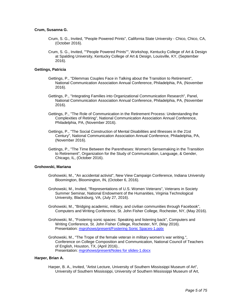#### **Crum, Susanna G.**

- Crum, S. G., Invited, "People Powered Prints", California State University Chico, Chico, CA, (October 2016).
- Crum, S. G., Invited, ""People Powered Prints"", Workshop, Kentucky College of Art & Design at Spalding University, Kentucky College of Art & Design, Louisville, KY, (September 2016).

#### **Gettings, Patricia**

- Gettings, P., "Dilemmas Couples Face in Talking about the Transition to Retirement", National Communication Association Annual Conference, Philadelphia, PA, (November 2016).
- Gettings, P., "Integrating Families into Organizational Communication Research", Panel, National Communication Association Annual Conference, Philadelphia, PA, (November 2016).
- Gettings, P., "The Role of Communication in the Retirement Process: Understanding the Complexities of Retiring", National Communication Association Annual Conference, Philadelphia, PA, (November 2016).
- Gettings, P., "The Social Construction of Mental Disabilities and Illnesses in the 21st Century", National Communication Association Annual Conference, Philadelphia, PA, (November 2016).
- Gettings, P., "The Time Between the Parentheses: Women's Sensemaking in the Transition to Retirement", Organization for the Study of Communication, Language, & Gender, Chicago, IL, (October 2016).

#### **Grohowski, Mariana**

- Grohowski, M., "An accidental activist", New View Campaign Conference, Indiana University Bloomington, Bloomington, IN, (October 6, 2016).
- Grohowski, M., Invited, "Representations of U.S. Women Veterans", Veterans in Society Summer Seminar, National Endowment of the Humanities, Virginia Technological University, Blacksburg, VA, (July 27, 2016).
- Grohowski, M., "Bridging academic, military, and civilian communities through Facebook", Computers and Writing Conference, St. John Fisher College, Rochester, NY, (May 2016).
- Grohowski, M., "Fostering sonic spaces: Speaking and listening back", Computers and Writing Conference, St. John Fisher College, Rochester, NY, (May 2016). Presentation: [mgrohows/present/Fostering Sonic Spaces-1.pptx](https://www.digitalmeasures.com/login/indiana/faculty/survey/ui/showFile.do?file=%2FzHfBMwI3tnoqs41UqwKxHkuBjg%3D&surId=17829044&nodeId=1610663&sdId=68980138&sdSurId=17829044&rptId=20237&sgntr=bsCYwfY5Q%2BeDx7gSyy%2BKuNCdWcw%3D)
- Grohowski, M., "The Trope of the female veteran in military women's war writing.", Conference on College Composition and Communication, National Council of Teachers of English, Houston, TX, (April 2016).. Presentation: [mgrohows/present/Notes for slides-1.docx](https://www.digitalmeasures.com/login/indiana/faculty/survey/ui/showFile.do?file=mUZ1mm17Qxoz82kQtV7w2%2B6qaKM%3D&surId=17829044&nodeId=1610663&sdId=68980171&sdSurId=17829044&rptId=20237&sgntr=eP6iXTam9n4MndEIMlJA0SF1uhc%3D)

#### **Harper, Brian A.**

Harper, B. A., Invited, "Artist Lecture, University of Southern Mississippi Museum of Art", University of Southern Mississippi, University of Southern Mississippi Museum of Art,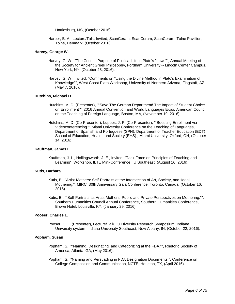Hattiesburg, MS, (October 2016).

Harper, B. A., Lecture/Talk, Invited, ScanCeram, ScanCeram, ScanCeram, Tolne Pavillion, Tolne, Denmark. (October 2016).

#### **Harvey, George W.**

- Harvey, G. W., "The Cosmic Purpose of Political Life in Plato's "Laws"", Annual Meeting of the Society for Ancient Greek Philosophy, Fordham University -- Lincoln Center Campus, New York, NY, (October 28, 2016).
- Harvey, G. W., Invited, "Comments on "Using the Divine Method in Plato's Examination of Knowledge"", West Coast Plato Workshop, University of Northern Arizona, Flagstaff, AZ, (May 7, 2016).

#### **Hutchins, Michael D.**

- Hutchins, M. D. (Presenter), ""Save The German Department! The Impact of Student Choice on Enrollment"", 2016 Annual Convention and World Languages Expo, American Council on the Teaching of Foreign Language, Boston, MA, (November 19, 2016).
- Hutchins, M. D. (Co-Presenter), Luppes, J. P. (Co-Presenter), ""Boosting Enrollment via Videoconferencing"", Miami University Conference on the Teaching of Languages, Department of Spanish and Portuguese (SPN); Department of Teacher Education (EDT) School of Education, Health, and Society (EHS)., Miami University, Oxford, OH, (October 14, 2016).

#### **Kauffman, James L.**

Kauffman, J. L., Hollingsworth, J. E., Invited, "Task Force on Principles of Teaching and Learning", Workshop, ILTE Mini-Conference, IU Southeast. (August 16, 2016).

#### **Kutis, Barbara**

- Kutis, B., "Artist-Mothers: Self-Portraits at the Intersection of Art, Society, and 'Ideal' Mothering.", MIRCI 30th Anniversary Gala Conference, Toronto, Canada, (October 16, 2016).
- Kutis, B., ""Self-Portraits as Artist-Mothers: Public and Private Perspectives on Mothering."", Southern Humanities Council Annual Conference, Southern Humanities Conference, Brown Hotel, Louisville, KY, (January 29, 2016).

#### **Pooser, Charles L.**

Pooser, C. L. (Presenter), Lecture/Talk, IU Diversity Research Symposium, Indiana University system, Indiana University Southeast, New Albany, IN, (October 22, 2016).

#### **Popham, Susan**

- Popham, S., ""Naming, Designating, and Categorizing at the FDA."", Rhetoric Society of America, Atlanta, GA, (May 2016).
- Popham, S., "Naming and Persuading in FDA Designation Documents.", Conference on College Composition and Communication, NCTE, Houston, TX, (April 2016).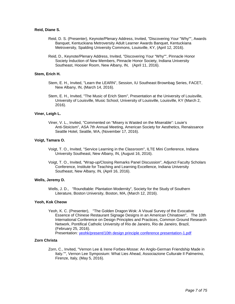#### **Reid, Diane S.**

- Reid, D. S. (Presenter), Keynote/Plenary Address, Invited, "Discovering Your "Why"", Awards Banquet, Kentuckiana Metroversity Adult Learner Awards Banquet, Kentuckiana Metroversity, Spalding University Commons, Louisville, KY, (April 12, 2016).
- Reid, D., Keynote/Plenary Address, Invited, "Discovering Your "Why"", Pinnacle Honor Society Induction of New Members, Pinnacle Honor Society, Indiana University Southeast, Hoosier Room, New Albany, IN, (April 11, 2016).

#### **Stem, Erich H.**

- Stem, E. H., Invited, "Learn the LEARN", Session, IU Southeast Brownbag Series, FACET, New Albany, IN, (March 14, 2016).
- Stem, E. H., Invited, "The Music of Erich Stem", Presentation at the University of Louisville, University of Louisville, Music School, University of Louisville, Louisville, KY (March 2, 2016).

#### **Viner, Leigh L.**

Viner, V. L., Invited, "Commented on "Misery is Wasted on the Miserable": Louie's Anti-Stoicism", ASA 7th Annual Meeting, American Society for Aesthetics, Renaissance Seattle Hotel, Seattle, WA, (November 17, 2016).

#### **Voigt, Tamara O.**

- Voigt, T. O., Invited, "Service Learning in the Classroom", ILTE Mini Conference, Indiana University Southeast, New Albany, IN, (August 16, 2016).
- Voigt, T. O., Invited, "Wrap-up/Closing Remarks Panel Discussion", Adjunct Faculty Scholars Conference, Institute for Teaching and Learning Excellence, Indiana University Southeast, New Albany, IN, (April 16, 2016).

#### **Wells, Jeremy D.**

Wells, J. D., "Roundtable: Plantation Modernity", Society for the Study of Southern Literature, Boston University, Boston, MA, (March 12, 2016).

#### **Yeoh, Kok Cheow**

Yeoh, K. C. (Presenter), "The Golden Dragon Wok: A Visual Survey of the Evocative Essence of Chinese Restaurant Signage Designs in an American Chinatown", The 10th International Conference on Design Principles and Practices, Common Ground Research Network, Pontifical Catholic University of Rio de Janeiro, Rio de Janeiro, Brazil, (February 25, 2016).

Presentation: [yeohk/present/10th design principle conference presentation-1.pdf](https://www.digitalmeasures.com/login/indiana/faculty/survey/ui/showFile.do?file=3W0aFrZhMxOUIOJa6%2B0NdX0tGrs%3D&surId=17691164&nodeId=1610663&sdId=68383683&sdSurId=17691164&rptId=20237&sgntr=SlDqrvyoSxDNMQhJjU1f0E0i0Go%3D)

#### **Zorn Christa**

Zorn, C., Invited, "Vernon Lee & Irene Forbes-Mosse: An Anglo-German Friendship Made in Italy."", Vernon Lee Symposium: What Lies Ahead, Associazione Culturale Il Palmerino, Firenze, Italy, (May 5, 2016).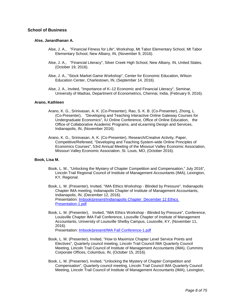#### **School of Business**

#### **Alse, Janardhanan A.**

- Alse, J. A., "Financial Fitness for Life", Workshop, Mt Tabor Elementary School, Mt Tabor Elementary School, New Albany, IN, (November 9, 2016).
- Alse, J. A., "Financial Literacy", Silver Creek High School, New Albany, IN, United States, (October 19, 2016).
- Alse, J. A., "Stock Market Game Workshop", Center for Economic Education, Wilson Education Center, Charlestown, IN, (September 14, 2016).
- Alse, J. A., Invited, "Importance of K–12 Economic and Financial Literacy", Seminar, University of Madras, Department of Econometrics, Chennai, India, (February 9, 2016).

#### **Arano, Kathleen**

- Arano, K. G., Srinivasan, A. K. (Co-Presenter), Rao, S. K. B. (Co-Presenter), Zhong, L. (Co-Presenter), "Developing and Teaching Interactive Online Gateway Courses for Undergraduate Economics", IU Online Conference, Office of Online Education, the Office of Collaborative Academic Programs, and eLearning Design and Services, Indianapolis, IN, (November 2016).
- Arano, K. G., Srinivasan, A. K. (Co-Presenter), Research/Creative Activity, Paper, Competitive/Refereed, "Developing and Teaching System-wide Online Principles of Economics Courses", 53rd Annual Meeting of the Missouri Valley Economic Association, Missouri Valley Economic Association, St. Louis, MO, (October 2016).

#### **Book, Lisa M.**

- Book, L. M., "Unlocking the Mystery of Chapter Competition and Compensation," July 2016", Lincoln Trail Regional Council of Institute of Management Accountants (IMA), Lexington, KY, Regional.
- Book, L. M. (Presenter), Invited, "IMA Ethics Workshop Blinded by Pressure", Indianapolis Chapter IMA meeting, Indianapolis Chapter of Institute of Management Accountants, Indianapolis, IN, (December 12, 2016). Presentation: Imbook/present/Indianapolis Chapter\_December 12 Ethics [Presentation-1.pdf](https://www.digitalmeasures.com/login/indiana/faculty/survey/ui/showFile.do?file=JP%2BFgo1Z6WeK%2FoIua3bA5rUtdxQ%3D&surId=17691112&nodeId=1610663&sdId=69363570&sdSurId=17691112&rptId=20237&sgntr=iCd50ISi%2BiyeJvTz7hB%2FPKzae%2FM%3D)
- Book, L. M. (Presenter), Invited, "IMA Ethics Workshop Blinded by Pressure", Conference, Louisville Chapter IMA Fall Conference, Lousville Chapter of Institute of Management Accountants, University of Louisville Shelby Campus, Louisville, KY, (November 11, 2016).

Presentation: [lmbook/present/IMA Fall Conference-1.pdf](https://www.digitalmeasures.com/login/indiana/faculty/survey/ui/showFile.do?file=0WyWYuaqDAW5Ekdfoq5ena19voQ%3D&surId=17691112&nodeId=1610663&sdId=69363594&sdSurId=17691112&rptId=20237&sgntr=qDEwXYUWxjQcDRx%2FoaOo63fYtl4%3D)

- Book, L. M. (Presenter), Invited, "How to Maximize Chapter Level Service Points and Electives", Quarterly council meeting, Lincoln Trail Council IMA Quarterly Council Meeting, Lincoln Trail Council of Institute of Management Accountants (IMA), Cummins Corporate Offices, Columbus, IN, (October 15, 2016).
- Book, L. M. (Presenter), Invited, "Unlocking the Mystery of Chapter Competition and Compensation", Quarterly council meeting, Lincoln Trail Council IMA Quarterly Council Meeting, Lincoln Trail Council of Institute of Management Accountants (IMA), Lexington,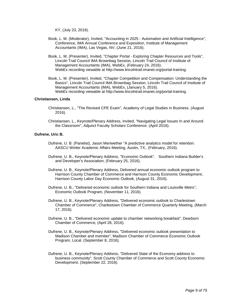KY, (July 23, 2016).

- Book, L. M. (Moderator), Invited, "Accounting in 2025 Automation and Artificial Intelligence", Conference, IMA Annual Conference and Exposition, Institute of Management Accountants (IMA), Las Vegas, NV, (June 21, 2016).
- Book, L. M. (Presenter), Invited, "Chapter Portal Exploring Chapter Resources and Tools", Lincoln Trail Council IMA Brownbag Session, Lincoln Trail Council of Institute of Management Accountants (IMA), WebEx, (February 24, 2016). WebEx recording viewable at http://www.lincolntrail.imanet.org/portal-training.
- Book, L. M. (Presenter), Invited, "Chapter Competition and Compensation: Understanding the Basics", Lincoln Trail Council IMA Brownbag Session, Lincoln Trail Council of Institute of Management Accountants (IMA), WebEx, (January 5, 2016). WebEx recording viewable at http://www.lincolntrail.imanet.org/portal-training.

#### **Christiansen, Linda**

- Christiansen, L., "The Revised CPE Exam", Academy of Legal Studies in Business. (August 2016).
- Christiansen, L., Keynote/Plenary Address, Invited, "Navigating Legal Issues In and Around the Classroom", Adjunct Faculty Scholars Conference. (April 2016).

#### **Dufrene, Uric B.**

- Dufrene, U. B. (Panelist), Jason Meriwether "A predictive analytics model for retention. AASCU Winter Academic Affairs Meeting, Austin, TX,. (February, 2016).
- Dufrene, U. B., Keynote/Plenary Address, "Economic Outlook". Southern Indiana Builder's and Developer's Association, (February 25, 2016).
- Dufrene, U. B., Keynote/Plenary Address, Delivered annual economic outlook program to Harrison County Chamber of Commerce and Harrison County Economic Development, Harrison County Labor Day Economic Outlook, (August 31, 2016).
- Dufrene, U. B., "Delivered economic outlook for Southern Indiana and Louisville Metro", Economic Outlook Program, (November 11, 2016).
- Dufrene, U. B., Keynote/Plenary Address, "Delivered economic outlook to Charlestown Chamber of Commerce", Charlestown Chamber of Commerce Quarterly Meeting, (March 17, 2016).
- Dufrene, U. B., "Delivered economic update to chamber networking breakfast", Dearborn Chamber of Commerce, (April 28, 2016).
- Dufrene, U. B., Keynote/Plenary Address, "Delivered economic outlook presentation to Madison Chamber and member", Madison Chamber of Commerce Economic Outlook Program, Local. (September 8, 2016).
- Dufrene, U. B., Keynote/Plenary Address, "Delivered State of the Economy address to business community", Scott County Chamber of Commerce and Scott County Economic Development, (September 22, 2016).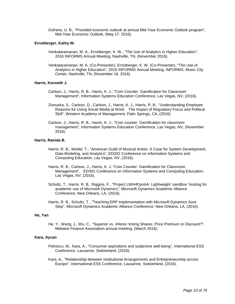Dufrene, U. B., "Provided economic outlook at annual Mid-Year Economic Outlook program", Mid-Year Economic Outlook, (May 17, 2016).

#### **Ernstberger, Kathy W.**

- Venkataramanan, M. A., Ernstberger, K. W., "The Use of Analytics in Higher Education", 2016 INFORMS Annual Meeting, Nashville, TN, (November 2016).
- Venkataramanan, M. A. (Co-Presenter), Ernstberger, K. W. (Co-Presenter), "The Use of Analytics in Higher Education", 2016 INFORMS Annual Meeting, INFORMS, Music City Center, Nashville, TN, (November 16, 2016).

#### **Harris, Kenneth J.**

- Carlson, J., Harris, R. B., Harris, K. J., "Coin Counter: Gamification for Classroom Management", Information Systems Education Conference, Las Vegas, NV, (2016).
- Zivnuska, S., Carlson, D., Carlson, J., Harris, K. J., Harris, R. B., "Understanding Employee Reasons for Using Social Media at Work: The Impact of Regulatory Focus and Political Skill", Western Academy of Management, Palm Springs, CA, (2016).
- Carlson, J., Harris, R. B., Harris, K. J., "Coin counter: Gamification for classroom management", Information Systems Education Conference, Las Vegas, NV, (November 2016).

#### **Harris, Ranida B.**

- Harris, R. B., Wedel, T., "American Guild of Musical Artists: A Case for System Development, Data Modeling, and Analytics", EDSIG Conference on Information Systems and Computing Education, Las Vegas, NV, (2016).
- Harris, R. B., Carlson, J., Harris, K. J. "Coin Counter: Gamification for Classroom Management", EDSIG Conference on Information Systems and Computing Education, Las Vegas, NV, (2016).
- Schultz, T., Harris, R. B., Riggins, F., "Project LWH4DynAA: Lightweight 'sandbox' hosting for academic use of Microsoft Dynamics", Microsoft Dynamics Academic Alliance Conference, New Orleans, LA, (2016).
- Harris, R. B., Schultz, T., "Teaching ERP implementation with Microsoft Dynamics Sure Step", Microsoft Dynamics Academic Alliance Conference, New Orleans, LA, (2016).

#### **He, Yan**

He, Y., Wang, J., Wu, C., "Superior vs. Inferior Voting Shares: Price Premium or Discount?", Midwest Finance Association annual meeting, (March 2016).

#### **Kara, Aycan**

- Petrescu, M., Kara, A., "Consumer aspirations and subjective well-being", International ESS Conference, Lausanne, Switzerland, (2016).
- Kara, A., "Relationship between Institutional Arrangements and Entrepreneurship across Europe", International ESS Conference, Lausanne, Switzerland, (2016).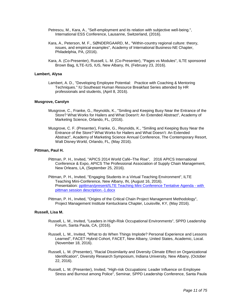- Petrescu, M., Kara, A., "Self-employment and its relation with subjective well-being.", International ESS Conference, Lausanne, Switzerland, (2016).
- Kara, A., Peterson, M. F., SØNDERGAARD, M., "Within-country regional culture: theory, issues, and empirical examples", Academy of International Business-NE Chapter, Philadelphia, PA, (2016).
- Kara, A. (Co-Presenter), Russell, L. M. (Co-Presenter), "Pages vs Modules", ILTE sponsored Brown Bag, ILTE-IUS, IUS, New Albany, IN, (February 23, 2016).

#### **Lambert, Alysa**

Lambert, A. D., "Developing Employee Potential: Practice with Coaching & Mentoring Techniques." IU Southeast Human Resource Breakfast Series attended by HR professionals and students, (April 8, 2016).

#### **Musgrove, Carolyn**

- Musgrove, C., Franke, G., Reynolds, K., "Smiling and Keeping Busy Near the Entrance of the Store? What Works for Hailers and What Doesn't: An Extended Abstract", Academy of Marketing Science, Orlando, FL, (2016).
- Musgrove, C. F. (Presenter), Franke, G., Reynolds, K., "Smiling and Keeping Busy Near the Entrance of the Store? What Works for Hailers and What Doesn't: An Extended Abstract", Academy of Marketing Science Annual Conference, The Contemporary Resort, Walt Disney World, Orlando, FL, (May 2016).

#### **Pittman, Paul H.**

- Pittman, P. H., Invited, "APICS 2014 World Café–The Rise", 2016 APICS International Conference & Expo, APICS The Professional Association of Supply Chain Management, New Orleans, LA, (September 25, 2016).
- Pittman, P. H., Invited, "Engaging Students in a Virtual Teaching Environment", ILTE Teaching Mini-Conference, New Albany, IN, (August 16, 2016). Presentation: [ppittman/present/ILTE Teaching Mini Conference Tentative Agenda -](https://www.digitalmeasures.com/login/indiana/faculty/survey/ui/showFile.do?file=IWL0BWS09U4SDScYQD7bL2Mwbzc%3D&surId=17691115&nodeId=1610663&sdId=69013709&sdSurId=17691115&rptId=20237&sgntr=WJLqN9ZLdxUJzO2jdorUsFS14Ms%3D) with [pittman session description.-1.docx](https://www.digitalmeasures.com/login/indiana/faculty/survey/ui/showFile.do?file=IWL0BWS09U4SDScYQD7bL2Mwbzc%3D&surId=17691115&nodeId=1610663&sdId=69013709&sdSurId=17691115&rptId=20237&sgntr=WJLqN9ZLdxUJzO2jdorUsFS14Ms%3D)
- Pittman, P. H., Invited, "Origins of the Critical Chain Project Management Methodology", Project Management Institute Kentuckiana Chapter, Louisville, KY, (May 2016).

#### **Russell, Lisa M.**

- Russell, L. M., Invited, "Leaders in High-Risk Occupational Environments", SPPD Leadership Forum, Santa Paula, CA, (2016).
- Russell, L. M., Invited, "What to do When Things Implode? Personal Experience and Lessons Learned", FACET Hybrid Cohort, FACET, New Albany, United States, Academic, Local. (November 18, 2016).
- Russell, L. M. (Presenter), "Racial Dissimilarity and Diversity Climate Effect on Organizational Identification", Diversity Research Symposium, Indiana University, New Albany, (October 22, 2016).
- Russell, L. M. (Presenter), Invited, "High-risk Occupations: Leader Influence on Employee Stress and Burnout among Police", Seminar, SPPD Leadership Conference, Santa Paula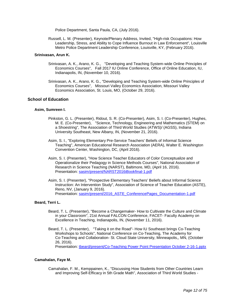Police Department, Santa Paula, CA, (July 2016).

Russell, L. M. (Presenter), Keynote/Plenary Address, Invited, "High-risk Occupations: How Leadership, Stress, and Ability to Cope Influence Burnout in Law Enforcement", Louisville Metro Police Department Leadership Conference, Louisville, KY, (February 2016).

#### **Srinivasan, Arun K.**

- Srinivasan, A. K., Arano, K. G., "Developing and Teaching System-wide Online Principles of Economics Courses", Fall 2017 IU Online Conference, Office of Online Education, IU, Indianapolis, IN, (November 10, 2016).
- Srinivasan, A. K., Arano, K. G., "Developing and Teaching System-wide Online Principles of Economics Courses", Missouri Valley Economics Association, Missouri Valley Economics Association, St. Louis, MO, (October 29, 2016).

#### **School of Education**

#### **Asim, Sumreen I.**

- Pinkston, G. L. (Presenter), Ridout, S. R. (Co-Presenter), Asim, S. I. (Co-Presenter), Hughes, M. E. (Co-Presenter), "Science, Technology, Engineering and Mathematics (STEM) on a Shoestring", The Association of Third World Studies (ATWS)/ (AGSS), Indiana University Southeast, New Albany, IN, (November 21, 2016).
- Asim, S. I., "Exploring Elementary Pre-Service Teachers' Beliefs of Informal Science Teaching", American Educational Research Association (AERA), Walter E. Washington Convention Center, Washington, DC, (April 2016).
- Asim, S. I. (Presenter), "How Science Teacher Educators of Color Conceptualize and Operationalize their Pedagogy in Science Methods Courses", National Association of Research in Science Teaching (NARST), Baltimore, MD, (April 16, 2016). Presentation: [sasim/present/NARST2016iBookfinal-1.pdf](https://www.digitalmeasures.com/login/indiana/faculty/survey/ui/showFile.do?file=ZdNl4N5gL4LMroEnyrtaOItSovQ%3D&surId=17829051&nodeId=1610663&sdId=69195256&sdSurId=17829051&rptId=20237&sgntr=lvHDZReX9v6D1bwHCdYsEGL11iE%3D)
- Asim, S. I. (Presenter), "Prospective Elementary Teachers' Beliefs about Informal Science Instruction: An Intervention Study", Association of Science of Teacher Education (ASTE), Reno, NV, (January 9, 2016). Presentation: [sasim/present/2016\\_ASTE\\_ConferencePages\\_Documentation-1.pdf](https://www.digitalmeasures.com/login/indiana/faculty/survey/ui/showFile.do?file=2NkWVEVZAheckBruJuUgESLPSIo%3D&surId=17829051&nodeId=1610663&sdId=69195303&sdSurId=17829051&rptId=20237&sgntr=Yu6LFyBnBf5AaCXXg8yXKqxYBRs%3D)

#### **Beard, Terri L.**

- Beard, T. L. (Presenter), "Become a Changemaker- How to Cultivate the Culture and Climate in your Classroom", 21st Annual FALCON Conference, FACET- Faculty Academy on Excellence in Teaching, Indianapolis, IN, (November 11, 2016).
- Beard, T. L. (Presenter), "Taking it on the Road"- How IU Southeast brings Co-Teaching Workshops to Schools", National Conference on Co-Teaching, The Academy for Co-Teaching and Collaboration- St. Cloud State University, Minneapolis,, MN, (October 26, 2016).

Presentation: [tbeard/present/Co-Teaching Power Point Presentation October 2-16-1.pptx](https://www.digitalmeasures.com/login/indiana/faculty/survey/ui/showFile.do?file=aj%2BDCIzrenLLvZqMynrVE9JuIwY%3D&surId=17691054&nodeId=1610663&sdId=69435629&sdSurId=17691054&rptId=20237&sgntr=ppxrgGLoq8KX6bzcJQsf64dlPRs%3D)

#### **Camahalan, Faye M.**

Camahalan, F. M., Kemppainen, K., "Discussing How Students from Other Countries Learn and Improving Self-Efficacy in 5th Grade Math", Association of Third World Studies -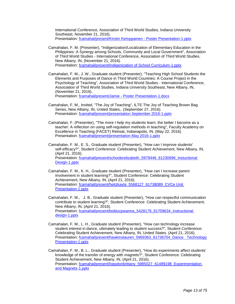International Conference, Association of Third World Studies, Indiana University Southeast, November 21, 2016). Presentation: [fcamahal/present/Kirstin Kemppainen -](https://www.digitalmeasures.com/login/indiana/faculty/survey/ui/showFile.do?file=Hp9ZN7MgVMYmLkmEJcypzLvW5rc%3D&surId=17691037&nodeId=1610663&sdId=69403465&sdSurId=17691037&rptId=20237&sgntr=L%2BNLFNiNt7Y1o1PntP1GMuiNQgw%3D) Poster Presentation-1.pptx

- Camahalan, F. M. (Presenter), "Indigenization/Localization of Elementary Education in the Philippines: A Synergy among Schools, Community and Local Government", Association of Third World Studies - International Conference, Association of Third World Studies, New Albany, IN, (November 21, 2016). Presentation: [fcamahal/present/Indigenization of School Curriculum-1.pptx](https://www.digitalmeasures.com/login/indiana/faculty/survey/ui/showFile.do?file=Omdue%2FtaaTUtvRBAdhulWZ5ZODw%3D&surId=17691037&nodeId=1610663&sdId=69403471&sdSurId=17691037&rptId=20237&sgntr=vglK9Claz68webXOxbZYMLhWLK4%3D)
- Camahalan, F. M., J. W., Graduate student (Presenter), "Teaching High School Students the Elements and Purposes of Dance in Third World Countries: A Course Project in the Psychology of Teaching", Association of Third World Studies - International Conference, Association of Third World Studies, Indiana University Southeast, New Albany, IN, (November 21, 2016). Presentation: fcamahal/present/Jamie - [Poster Presentation-1.docx](https://www.digitalmeasures.com/login/indiana/faculty/survey/ui/showFile.do?file=mZBpCRg%2BBh1LD%2FdX0Ztv0HtMyYo%3D&surId=17691037&nodeId=1610663&sdId=69403469&sdSurId=17691037&rptId=20237&sgntr=xwEk5G1072E9HRPNqFsdf%2Byk9dM%3D)
- Camahalan, F. M., Invited, "The Joy of Teaching", ILTE The Joy of Teaching Brown Bag Series, New Albany, IN, United States,. (September 27, 2016). Presentation: [fcamahal/present/presentation September 2016-1.pptx](https://www.digitalmeasures.com/login/indiana/faculty/survey/ui/showFile.do?file=SFkQG0fzB6vgS%2FRfqHKX%2FBK%2BkeM%3D&surId=17691037&nodeId=1610663&sdId=69402309&sdSurId=17691037&rptId=20237&sgntr=6XlppaTYmcCOeIGVAjfD8CyxRpQ%3D)
- Camahalan, F. (Presenter), "The more I help my students learn; the better I become as a teacher: A reflection on using self-regulation methods in teaching", Faculty Academy on Excellence in Teaching (FACET) Retreat, Indianapolis, IN, (May 22, 2016). Presentation: [fcamahal/present/presentation May 2016-1.pptx](https://www.digitalmeasures.com/login/indiana/faculty/survey/ui/showFile.do?file=8EwiBcfSwZildmoUlsrPZxlyABk%3D&surId=17691037&nodeId=1610663&sdId=69402182&sdSurId=17691037&rptId=20237&sgntr=lCuh2qiF%2B74nlKed788CUvfXzz0%3D)
- Camahalan, F. M., E. S., Graduate student (Presenter), "How can I improve students' self-efficacy?", Student Conference: Celebrating Student Achievement, New Albany, IN, (April 21, 2016). Presentation: [fcamahal/present/schoolerelizabeth\\_5979446\\_61230696\\_Instuctional](https://www.digitalmeasures.com/login/indiana/faculty/survey/ui/showFile.do?file=TwDTRIInQEhzR6BkEemdpg61300%3D&surId=17691037&nodeId=1610663&sdId=69403449&sdSurId=17691037&rptId=20237&sgntr=RRakJAndcCk9jL6jXg3KQ8JcW8A%3D)  [Design-1.pptx](https://www.digitalmeasures.com/login/indiana/faculty/survey/ui/showFile.do?file=TwDTRIInQEhzR6BkEemdpg61300%3D&surId=17691037&nodeId=1610663&sdId=69403449&sdSurId=17691037&rptId=20237&sgntr=RRakJAndcCk9jL6jXg3KQ8JcW8A%3D)
- Camahalan, F. M., K. H., Graduate student (Presenter), "How can I increase parent involvement in student learning?", Student Conference: Celebrating Student Achievement, New Albany, IN, (April 21, 2016). Presentation: fcamahal/present/heitzkayla\_5568127\_61738089\_CVCe Unit [Presentation-1.pptx](https://www.digitalmeasures.com/login/indiana/faculty/survey/ui/showFile.do?file=IrNumyKBXM07vD6lfJe%2FYyNKE8I%3D&surId=17691037&nodeId=1610663&sdId=69403444&sdSurId=17691037&rptId=20237&sgntr=MnyOoopNXGcFPZa%2F498jOl5cBwY%3D)
- Camahalan, F. M., J. B., Graduate student (Presenter), "How can respectful communication contribute to student learning?", Student Conference: Celebrating Student Achievement, New Albany, IN, (April 21, 2016). Presentation: [fcamahal/present/bolducjoeanna\\_5428179\\_61709634\\_instructional](https://www.digitalmeasures.com/login/indiana/faculty/survey/ui/showFile.do?file=j14iF1FTHPpMTga1rpql6uoy5SQ%3D&surId=17691037&nodeId=1610663&sdId=69403432&sdSurId=17691037&rptId=20237&sgntr=DW72ru8i0%2FyEhD%2FoWuP8hZI8p3A%3D)  [design-1.pptx](https://www.digitalmeasures.com/login/indiana/faculty/survey/ui/showFile.do?file=j14iF1FTHPpMTga1rpql6uoy5SQ%3D&surId=17691037&nodeId=1610663&sdId=69403432&sdSurId=17691037&rptId=20237&sgntr=DW72ru8i0%2FyEhD%2FoWuP8hZI8p3A%3D)
- Camahalan, F. M., L. H., Graduate student (Presenter), "How can technology increase student interest in dance, ultimately leading to student success?", Student Conference: Celebrating Student Achievement, New Albany, IN, United States, (April 21, 2016). Presentation: [fcamahal/present/hawkinslauren\\_5969363\\_61736704\\_Dance Technology](https://www.digitalmeasures.com/login/indiana/faculty/survey/ui/showFile.do?file=ZFnmjFYPdrI%2BVsUnZJhAGI9ssDw%3D&surId=17691037&nodeId=1610663&sdId=69403441&sdSurId=17691037&rptId=20237&sgntr=rDMqarCBAoMrG91FBgcf1smyLIM%3D)  [Presentation-1.pptx](https://www.digitalmeasures.com/login/indiana/faculty/survey/ui/showFile.do?file=ZFnmjFYPdrI%2BVsUnZJhAGI9ssDw%3D&surId=17691037&nodeId=1610663&sdId=69403441&sdSurId=17691037&rptId=20237&sgntr=rDMqarCBAoMrG91FBgcf1smyLIM%3D)
- Camahalan, F. M., B. L., Graduate student (Presenter), "How do experiments affect students' knowledge of the transfer of energy with magnets?", Student Conference: Celebrating Student Achievement, New Albany, IN, (April 21, 2016). Presentation: fcamahal/present/logsdonbrittany\_5985027\_61489198\_Experimentation [and Magnets-1.pptx](https://www.digitalmeasures.com/login/indiana/faculty/survey/ui/showFile.do?file=lqZb5mbg1pPx%2FEV2PqYH9X%2FK91s%3D&surId=17691037&nodeId=1610663&sdId=69403448&sdSurId=17691037&rptId=20237&sgntr=SnL95G0Ya8Ofn2K0W%2FVr8bGkwKM%3D)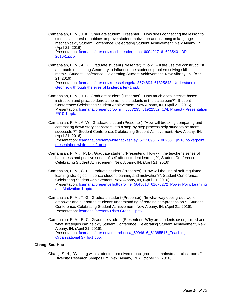- Camahalan, F. M., J. K., Graduate student (Presenter), "How does connecting the lesson to students' interest or hobbies improve student motivation and learning in language mechanics?", Student Conference: Celebrating Student Achievement, New Albany, IN, (April 21, 2016). Presentation: fcamahal/present/kuschmeaderjenna\_6004917\_61623540\_IDP [2016-1.pptx](https://www.digitalmeasures.com/login/indiana/faculty/survey/ui/showFile.do?file=yOSTcbAb59cp%2BnLZWBii1fAZBow%3D&surId=17691037&nodeId=1610663&sdId=69403447&sdSurId=17691037&rptId=20237&sgntr=E9XRx30l56Atye5peSn3NX0PAGg%3D)
- Camahalan, F. M., A. K., Graduate student (Presenter), "How I will the use the constructivist approach in teaching Geometry to influence the student's problem solving skills in math?", Student Conference: Celebrating Student Achievement, New Albany, IN, (April 21, 2016). Presentation: [fcamahal/present/koresselangela\\_3674894\\_61325843\\_Understanding](https://www.digitalmeasures.com/login/indiana/faculty/survey/ui/showFile.do?file=%2BcIa2A59mIXmsz1PlVC%2B5GV%2FTm0%3D&surId=17691037&nodeId=1610663&sdId=69403446&sdSurId=17691037&rptId=20237&sgntr=rbOzG5afbCznLZxEZLKIzeiFpl4%3D)  [Geometry through the eyes of kindergarten-1.pptx](https://www.digitalmeasures.com/login/indiana/faculty/survey/ui/showFile.do?file=%2BcIa2A59mIXmsz1PlVC%2B5GV%2FTm0%3D&surId=17691037&nodeId=1610663&sdId=69403446&sdSurId=17691037&rptId=20237&sgntr=rbOzG5afbCznLZxEZLKIzeiFpl4%3D)
- Camahalan, F. M., J. B., Graduate student (Presenter), "How much does internet-based instruction and practice done at home help students in the classroom?", Student Conference: Celebrating Student Achievement, New Albany, IN, (April 21, 2016). Presentation: [fcamahal/present/brownjill\\_5687235\\_61922552\\_CAL Project -](https://www.digitalmeasures.com/login/indiana/faculty/survey/ui/showFile.do?file=TFDH0kN5dD4FbiZVlN0Bhmj7h2g%3D&surId=17691037&nodeId=1610663&sdId=69403434&sdSurId=17691037&rptId=20237&sgntr=LcQ%2BQI8UZ3A%2FIZAmsIGcVupEc30%3D) Presentation [P510-1.pptx](https://www.digitalmeasures.com/login/indiana/faculty/survey/ui/showFile.do?file=TFDH0kN5dD4FbiZVlN0Bhmj7h2g%3D&surId=17691037&nodeId=1610663&sdId=69403434&sdSurId=17691037&rptId=20237&sgntr=LcQ%2BQI8UZ3A%2FIZAmsIGcVupEc30%3D)
- Camahalan, F. M., A. W., Graduate student (Presenter), "How will breaking comparing and contrasting down story characters into a step-by-step process help students be more successful?", Student Conference: Celebrating Student Achievement, New Albany, IN, (April 21, 2016). Presentation: [fcamahal/present/whitenackashley\\_5711096\\_61062031\\_p510 powerpoint](https://www.digitalmeasures.com/login/indiana/faculty/survey/ui/showFile.do?file=g3Ys%2FOQ0pi5BGhyJVxkJGcI1F7k%3D&surId=17691037&nodeId=1610663&sdId=69403452&sdSurId=17691037&rptId=20237&sgntr=UpCDC1mIfK2Sji1IMwgf%2BR52UjI%3D)  [presentation whitenack-1.pptx](https://www.digitalmeasures.com/login/indiana/faculty/survey/ui/showFile.do?file=g3Ys%2FOQ0pi5BGhyJVxkJGcI1F7k%3D&surId=17691037&nodeId=1610663&sdId=69403452&sdSurId=17691037&rptId=20237&sgntr=UpCDC1mIfK2Sji1IMwgf%2BR52UjI%3D)
- Camahalan, F. M., P. D., Graduate student (Presenter), "How will the teacher's sense of happiness and positive sense of self affect student learning?", Student Conference: Celebrating Student Achievement, New Albany, IN, (April 21, 2016).
- Camahalan, F. M., C. E., Graduate student (Presenter), "How will the use of self-regulated learning strategies influence student learning and motivation?", Student Conference: Celebrating Student Achievement, New Albany, IN, (April 21, 2016). Presentation: fcamahal/present/elliottcaroline\_5645018\_61676272\_Power Point Learning [and Motivation-1.pptx](https://www.digitalmeasures.com/login/indiana/faculty/survey/ui/showFile.do?file=NyE28ZI0CVT4GrJ8Xp8RnnnTS1k%3D&surId=17691037&nodeId=1610663&sdId=69403438&sdSurId=17691037&rptId=20237&sgntr=C3wphbwrrIgt78y6H2OSDRzvrso%3D)
- Camahalan, F. M., T. G., Graduate student (Presenter), "In what way does group work empower and support to students' understanding of reading comprehension?", Student Conference: Celebrating Student Achievement, New Albany, IN, (April 21, 2016). Presentation: [fcamahal/present/Trista Green-1.pptx](https://www.digitalmeasures.com/login/indiana/faculty/survey/ui/showFile.do?file=ueumJbuXGFaDMsGIsAVf5Z6Jgsg%3D&surId=17691037&nodeId=1610663&sdId=69403439&sdSurId=17691037&rptId=20237&sgntr=MrnLLxF5tXsVmLafZuNeKvaHDM8%3D)
- Camahalan, F. M., R. C., Graduate student (Presenter), "Why are students disorganized and what strategies can help?", Student Conference: Celebrating Student Achievement, New Albany, IN, (April 21, 2016). Presentation: fcamahal/present/criperebecca\_5994616\_61385516\_Teaching [Organizational Skills-1.pptx](https://www.digitalmeasures.com/login/indiana/faculty/survey/ui/showFile.do?file=z31bjdkCMENw2sap74oyUNh4i%2Fo%3D&surId=17691037&nodeId=1610663&sdId=69403435&sdSurId=17691037&rptId=20237&sgntr=0GP%2Fw%2B2VK5IERNlqL5fmx81boEs%3D)

#### **Chang, Sau Hou**

Chang, S. H., "Working with students from diverse background in mainstream classrooms", Diversity Research Symposium, New Albany, IN, (October 22, 2016).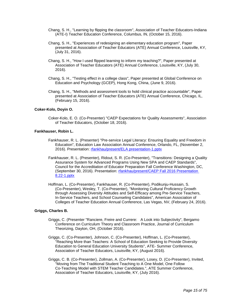- Chang, S. H., "Learning by flipping the classroom", Association of Teacher Educators-Indiana (ATE-I) Teacher Education Conference, Columbus, IN, (October 15, 2016).
- Chang, S. H., "Experiences of redesigning an elementary education program", Paper presented at Association of Teacher Educators (ATE) Annual Conference, Louisville, KY, (July 31, 2016).
- Chang, S. H., "How I used flipped learning to inform my teaching?", Paper presented at Association of Teacher Educators (ATE) Annual Conference, Louisville, KY, (July 30, 2016).
- Chang, S. H., "Testing effect in a college class", Paper presented at Global Conference on Education and Psychology (GCEP), Hong Kong, China, (June 9, 2016).
- Chang, S. H., "Methods and assessment tools to hold clinical practice accountable", Paper presented at Association of Teacher Educators (ATE) Annual Conference, Chicago, IL, (February 15, 2016).

#### **Coker-Kolo, Doyin O.**

Coker-Kolo, E. O. (Co-Presenter) "CAEP Expectations for Quality Assessments", Association of Teacher Educators, (October 18, 2016).

#### **Fankhauser, Robin L.**

- Fankhauser, R. L. (Presenter) "Pre-service Legal Literacy: Ensuring Equality and Freedom in Education", Education Law Association Annual Conference, Orlando, FL, (November 2, 2016). Presentation: [rfankhau/present/ELA presentation-1.pptx](https://www.digitalmeasures.com/login/indiana/faculty/survey/ui/showFile.do?file=zi%2B00fNz3rfU42u140axXyDGvn0%3D&surId=17691049&nodeId=1610663&sdId=69401286&sdSurId=17691049&rptId=20237&sgntr=a%2Ba6Bp9Pc8WlEUUdr%2FuFWZUdGC0%3D)
- Fankhauser, R. L. (Presenter), Ridout, S. R. (Co-Presenter), "Transitions: Designing a Quality Assurance System for Advanced Programs Using New SPA and CAEP Standards", Council for the Accreditation of Educator Preparation Fall Conference Washington, DC, (September 30, 2016). Presentation: [rfankhau/present/CAEP Fall 2016 Presentation](https://www.digitalmeasures.com/login/indiana/faculty/survey/ui/showFile.do?file=wdsnFT3hwvEVeVg7j3he%2BGTVvQY%3D&surId=17691049&nodeId=1610663&sdId=69401602&sdSurId=17691049&rptId=20237&sgntr=uihvtgOMfpBah0nKK6pi%2B2YpQZo%3D)  [8.22-1.pptx](https://www.digitalmeasures.com/login/indiana/faculty/survey/ui/showFile.do?file=wdsnFT3hwvEVeVg7j3he%2BGTVvQY%3D&surId=17691049&nodeId=1610663&sdId=69401602&sdSurId=17691049&rptId=20237&sgntr=uihvtgOMfpBah0nKK6pi%2B2YpQZo%3D)
- Hoffman, L. (Co-Presenter), Fankhauser, R. (Co-Presenter), Podikunju-Hussain, S. (Co-Presenter), Wesley, T. (Co-Presenter), "Monitoring Cultural Proficiency Growth through Assessing Diversity Attitudes and Self-Efficacy among Pre-Service Teachers, In-Service Teachers, and School Counseling Candidates", American Association of Colleges of Teacher Education Annual Conference, Las Vegas, NV, (February 24, 2016).

#### **Griggs, Charles B.**

- Griggs, C. (Presenter "Ranciere, Freire and Currere: A Look into Subjectivity", Bergamo Conference on Curriculum Theory and Classroom Practice, Journal of Curriculum Theorizing, Dayton, OH, (October 2016).
- Griggs, C. (Co-Presenter), Johnson, C. (Co-Presenter), Hoffman, L. (Co-Presenter), "Reaching More than Teachers: A School of Education Seeking to Provide Diversity Education to General Education University Students", ATE- Summer Conference, Association of Teacher Educators, Louisville, KY, (August 2016).
- Griggs, C. B. (Co-Presenter), Zollman, A. (Co-Presenter), Losey, D. (Co-Presenter), Invited, "Moving from The Traditional Student Teaching to A One Model, One Follow Co-Teaching Model with STEM Teacher Candidates.", ATE Summer Conference, Association of Teacher Educators, Louisville, KY, (July 2016).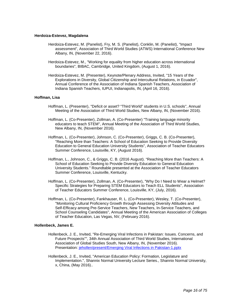#### **Herdoiza-Estevez, Magdalena**

- Herdoiza-Estevez, M. (Panelist), Fry, M. S. (Panelist), Conklin, M. (Panelist), "Impact assessment", Association of Third World Studies (ATWS) International Conference New Albany, IN, (November 22, 2016).
- Herdoiza-Estevez, M., "Working for equality from higher education across international boundaries", BIBAC, Cambridge, United Kingdom, (August 1, 2016).
- Herdoiza-Estevez, M. (Presenter), Keynote/Plenary Address, Invited, "15 Years of the Explorations in Diversity, Global Citizenship and Intercultural Relations, in Ecuador", Annual Conference of the Association of Indiana Spanish Teachers, Association of Indiana Spanish Teachers, IUPUI, Indianapolis, IN, (April 16, 2016).

#### **Hoffman, Lisa**

- Hoffman, L. (Presenter), "Deficit or asset? "Third World" students in U.S. schools", Annual Meeting of the Association of Third World Studies, New Albany, IN, (November 2016).
- Hoffman, L. (Co-Presenter), Zollman, A. (Co-Presenter) "Training language minority educators to teach STEM", Annual Meeting of the Association of Third World Studies, New Albany, IN, (November 2016).
- Hoffman, L. (Co-Presenter), Johnson, C. (Co-Presenter), Griggs, C. B. (Co-Presenter), "Reaching More than Teachers: A School of Education Seeking to Provide Diversity Education to General Education University Students", Association of Teacher Educators Summer Conference, Louisville, KY, (August 2016).
- Hoffman, L., Johnson, C., & Griggs, C. B. (2016 August). "Reaching More than Teachers: A School of Education Seeking to Provide Diversity Education to General Education University Students." Roundtable presented at the Association of Teacher Educators Summer Conference, Louisville, Kentucky.
- Hoffman, L. (Co-Presenter), Zollman, A. (Co-Presenter), "Why Do I Need to Wear a Helmet? Specific Strategies for Preparing STEM Educators to Teach ELL Students", Association of Teacher Educators Summer Conference, Louisville, KY, (July, 2016).
- Hoffman, L. (Co-Presenter), Fankhauser, R. L. (Co-Presenter), Wesley, T. (Co-Presenter), "Monitoring Cultural Proficiency Growth through Assessing Diversity Attitudes and Self-Efficacy among Pre-Service Teachers, New Teachers, In-Service Teachers, and School Counseling Candidates", Annual Meeting of the American Association of Colleges of Teacher Education, Las Vegas, NV, (February 2016).

#### **Hollenbeck, James E.**

- Hollenbeck, J. E., Invited, "Re-Emerging Viral Infections in Pakistan: Issues. Concerns, and Future Prospects"", 34th Annual Association of Third World Studies, International Association of Global Studies South, New Albany, IN, (November 2016). Presentation: [jehollen/present/Emerging Viral Infections in Pakistan-1.pptx](https://www.digitalmeasures.com/login/indiana/faculty/survey/ui/showFile.do?file=3D5PeHpxIBW0CBvjp3UeuKLFsVQ%3D&surId=17691040&nodeId=1610663&sdId=68736518&sdSurId=17691040&rptId=20237&sgntr=BHDcRajfub6DWnf0V4GIyFtyyAA%3D)
- Hollenbeck, J. E., Invited, "American Education Policy: Formation, Legislature and Implementation.", Shannix Normal University Lecture Series., Shannix Normal University, x, China, (May 2016)..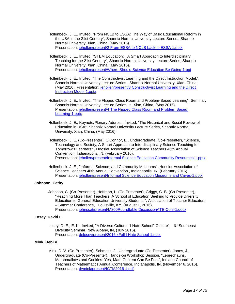- Hollenbeck, J. E., Invited, "From NCLB to ESSA: The Way of Basic Educational Reform in the USA in the 21st Century", Shannix Normal University Lecture Series., Shannix Normal University, Xian, China, (May 2016). Presentation: [jehollen/present/2 From ESSA to NCLB back to ESSA-1.pptx](https://www.digitalmeasures.com/login/indiana/faculty/survey/ui/showFile.do?file=3IOZlSyXsL3lM1Vxk0WxLi5Rsgk%3D&surId=17691040&nodeId=1610663&sdId=68736136&sdSurId=17691040&rptId=20237&sgntr=hNJ2dvrCj4N2S3SwjymGAWtm5XU%3D)
- Hollenbeck, J. E., Invited, "STEM Education: A Smart Approach to Interdisciplinary Teaching for the 21st Century", Shannix Normal University Lecture Series, Shannix Normal University, Xian, China, (May 2016). Presentation: [jehollen/present/Where Should Science Education Be Going-1.ppt](https://www.digitalmeasures.com/login/indiana/faculty/survey/ui/showFile.do?file=AQRs4KDZV%2BSsfHMlcF18AMUaG7I%3D&surId=17691040&nodeId=1610663&sdId=68736405&sdSurId=17691040&rptId=20237&sgntr=jAPYijfd4jzi1YFrFoYEMYjjznk%3D)
- Hollenbeck, J. E., Invited, "The Constructivist Learning and the Direct Instruction Model.", Shannix Normal University Lecture Series., Shannix Normal University, Xian, China, (May 2016). Presentation: [jehollen/present/3 Constructivist Learning and the Direct](https://www.digitalmeasures.com/login/indiana/faculty/survey/ui/showFile.do?file=QjnN2rEvpQn3fT1yda80k7mbFz8%3D&surId=17691040&nodeId=1610663&sdId=68736208&sdSurId=17691040&rptId=20237&sgntr=Pr5a05ncv4kpQOlmfzyJYOEh9s4%3D)  [Instruction Model-1.pptx](https://www.digitalmeasures.com/login/indiana/faculty/survey/ui/showFile.do?file=QjnN2rEvpQn3fT1yda80k7mbFz8%3D&surId=17691040&nodeId=1610663&sdId=68736208&sdSurId=17691040&rptId=20237&sgntr=Pr5a05ncv4kpQOlmfzyJYOEh9s4%3D)
- Hollenbeck, J. E., Invited, "The Flipped Class Room and Problem-Based Learning", Seminar, Shannix Normal University Lecture Series., s, Xian, China, (May 2016). Presentation: [jehollen/present/4 The Flipped Class Room and Problem Based](https://www.digitalmeasures.com/login/indiana/faculty/survey/ui/showFile.do?file=iTwzux3tCIB6mX9%2BcafSC%2Bpx7jE%3D&surId=17691040&nodeId=1610663&sdId=68736311&sdSurId=17691040&rptId=20237&sgntr=baC10kiWNRcZScDHakLNa2ytUWw%3D)  [Learning-1.pptx](https://www.digitalmeasures.com/login/indiana/faculty/survey/ui/showFile.do?file=iTwzux3tCIB6mX9%2BcafSC%2Bpx7jE%3D&surId=17691040&nodeId=1610663&sdId=68736311&sdSurId=17691040&rptId=20237&sgntr=baC10kiWNRcZScDHakLNa2ytUWw%3D)
- Hollenbeck, J. E., Keynote/Plenary Address, Invited, "The Historical and Social Review of Education in USA", Shannix Normal University Lecture Series, Shannix Normal University, Xian, China, (May 2016).
- Hollenbeck, J. E. (Co-Presenter), O'Connor, E., Undergraduate (Co-Presenter), "Science, Technology and Society; A Smart Approach to Interdisciplinary Science Teaching for Tomorrow's Learners"", Hoosier Association of Science Teachers 46th Annual Convention, Indianapolis, IN, (February 2016). Presentation: [jehollen/present/Informal Science Education Community Resources-1.pptx](https://www.digitalmeasures.com/login/indiana/faculty/survey/ui/showFile.do?file=Rcnhar1uOAXTVZ2Gx8BH2bjsOvg%3D&surId=17691040&nodeId=1610663&sdId=68735994&sdSurId=17691040&rptId=20237&sgntr=W5Sm%2FKnyfO26saLgGBN3SgyQiLI%3D)
- Hollenbeck, J. E., "Informal Science, and Community Museums", Hoosier Association of Science Teachers 46th Annual Convention., Indianapolis, IN, (February 2016). Presentation: [jehollen/present/Informal Science Education Museums and Caves-1.pptx](https://www.digitalmeasures.com/login/indiana/faculty/survey/ui/showFile.do?file=lMPg38v6syee4sfUR7QwC75I%2B18%3D&surId=17691040&nodeId=1610663&sdId=68736030&sdSurId=17691040&rptId=20237&sgntr=HhujH1J8ANKcVd3pCic7SF0e9DU%3D)

#### **Johnson, Cathy**

Johnson, C. (Co-Presenter), Hoffman, L. (Co-Presenter), Griggs, C. B. (Co-Presenter), "Reaching More Than Teachers: A School of Education Seeking to Provide Diversity Education to General Education University Students.", Association of Teacher Educators – Summer Conference, Louisville, KY, (August 1, 2016). Presentation: [johnscat/present/M300Roundtable DiscussionATE-Conf-1.docx](https://www.digitalmeasures.com/login/indiana/faculty/survey/ui/showFile.do?file=wyrYDKDdWRgbuDkCWFJpSvhLco8%3D&surId=17691041&nodeId=1610663&sdId=68985585&sdSurId=17691041&rptId=20237&sgntr=4zl0bFwwok1qn3UWPqWf%2FOYKOvI%3D)

#### **Losey, David E.**

Losey, D. E., E. K., Invited, "A Diverse Culture: "I Hate School" Culture", IU Southeast Diversity Seminar, New Albany, IN, (July 2016). Presentation: [delosey/present/2016 xFall I Hate School-1.pptx](https://www.digitalmeasures.com/login/indiana/faculty/survey/ui/showFile.do?file=tRVEdoeVWyFTSz%2BSUs1vRk0a5Zs%3D&surId=17691034&nodeId=1610663&sdId=69330069&sdSurId=17691034&rptId=20237&sgntr=HBUhKuS25YOjAq7lRdFB%2BMSEhUc%3D)

#### **Mink, Debi V.**

Mink, D. V. (Co-Presenter), Schmeltz, J., Undergraduate (Co-Presenter), Jones, J., Undergraduate (Co-Presenter), Hands-on Workshop Session, "Leprechauns, Marshmallows and Cookies: Yes, Math Content Can Be Fun.", Indiana Council of Teachers of Mathematics Annual Conference, Indianapolis, IN, (November 6, 2016). Presentation: [dvmink/present/ICTM2016-1.pdf](https://www.digitalmeasures.com/login/indiana/faculty/survey/ui/showFile.do?file=vDpPUInfnfyudVHxC451s6Dag2s%3D&surId=17691035&nodeId=1610663&sdId=69164499&sdSurId=17691035&rptId=20237&sgntr=lfYyu9B9I%2FZnGzZc2G%2BtIBaKhc4%3D)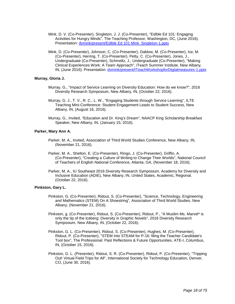- Mink, D. V. (Co-Presenter), Singleton, J. J. (Co-Presenter), "Edible Ed 101: Engaging Activities for Hungry Minds", The Teaching Professor, Washington, DC, (June 2016). Presentation: [dvmink/present/Edible Ed 101 Mink\\_Singleton-1.pptx](https://www.digitalmeasures.com/login/indiana/faculty/survey/ui/showFile.do?file=Hf8ld80IPwiVAxKqZvlWaX657JI%3D&surId=17691035&nodeId=1610663&sdId=69150020&sdSurId=17691035&rptId=20237&sgntr=6aBDOVeVW%2FWPBN05bwEOBXDcMG8%3D)
- Mink, D. (Co-Presenter), Johnson, C. (Co-Presenter), Dablow, M. (Co-Presenter), Ice, M. (Co-Presenter), Herring, T. (Co-Presenter), Petty, C. (Co-Presenter), Jones, J., Undergraduate (Co-Presenter), Schmeltz, J., Undergraduate (Co-Presenter), "Making Clinical Experiences Work: A Team Approach", iTeach Summer Institute, New Albany, IN, (June 2016). Presentation: [dvmink/present/ITeachWorkshopforDigtalmeasures-1.pptx](https://www.digitalmeasures.com/login/indiana/faculty/survey/ui/showFile.do?file=j28O3BZwbPnG%2FjqaTkcMXwxZudY%3D&surId=17691035&nodeId=1610663&sdId=69150255&sdSurId=17691035&rptId=20237&sgntr=iQhZj9N1XbDj87EbMUgwDhUQA0w%3D)

#### **Murray, Gloria J.**

- Murray, G., "Impact of Service Learning on Diversity Education: How do we know?", 2016 Diversity Research Symposium, New Albany, IN, (October 22, 2016).
- Murray, G. J., T. V., R. C., L. W., "Engaging Students through Service Learning", ILTE Teaching Mini-Conference: Student Engagement Leads to Student Success, New Albany, IN, (August 16, 2016).
- Murray, G., Invited, "Education and Dr. King's Dream", NAACP King Scholarship Breakfast Speaker, New Albany, IN, (January 15, 2016).

#### **Parker, Mary Ann A.**

- Parker, M. A., Invited, Association of Third World Studies Conference, New Albany, IN, (November 21, 2016).
- Parker, M. A., Shelton, E. (Co-Presenter), Ringo, J. (Co-Presenter), Griffin, A. (Co-Presenter), "Creating a Culture of Writing to Change Their Worlds", National Council of Teachers of English National Conference, Atlanta, GA, (November 18, 2016).
- Parker, M. A., IU Southeast 2016 Diversity Research Symposium, Academy for Diversity and Inclusive Education (ADIE), New Albany, IN, United States, Academic, Regional. (October 22, 2016).

#### **Pinkston, Gary L.**

- Pinkston, G. (Co-Presenter), Ridout, S. (Co-Presenter), "Science, Technology, Engineering and Mathematics (STEM) On A Shoestring", Association of Third World Studies, New Albany, (November 21, 2016).
- Pinkston, g. (Co-Presenter), Ridout, S. (Co-Presenter), Ridout, P., "A Muslim Ms. Marvel\* is only the tip of the Iceberg: Diversity in Graphic Novels", 2016 Diversity Research Symposium, New Albany, IN, (October 22, 2016).
- Pinkston, G. L. (Co-Presenter), Ridout, S. (Co-Presenter), Hughes, M. (Co-Presenter), Ridout, P. (Co-Presenter), "STEM Into STEAM for P-16: filing the Teacher Candidate's Tool box", The Professional: Past Reflections & Future Opportunities, ATE-I, Columbus, IN, (October 15, 2016).
- Pinkston, G. L. (Presenter), Ridout, S. R. (Co-Presenter), Ridout, P. (Co-Presenter), "Tripping Out! Virtual Field Trips for All", International Society for Technology Education, Denver, CO, (June 30, 2016).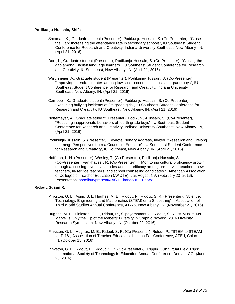#### **Podikunju-Hussain, Shifa**

- Shipman, K., Graduate student (Presenter), Podikunju-Hussain, S. (Co-Presenter), "Close the Gap: Increasing the attendance rate in secondary schools", IU Southeast Student Conference for Research and Creativity, Indiana University Southeast, New Albany, IN, (April 21, 2016).
- Dorr, L., Graduate student (Presenter), Podikunju-Hussain, S. (Co-Presenter), "Closing the gap among English language learners", IU Southeast Student Conference for Research and Creativity, IU Southeast, New Albany, IN, (April 21, 2016).
- Wischmeier, A., Graduate student (Presenter), Podikunju-Hussain, S. (Co-Presenter), "Improving attendance rates among low socio-economic status sixth grade boys", IU Southeast Student Conference for Research and Creativity, Indiana University Southeast, New Albany, IN, (April 21, 2016).
- Campbell, K., Graduate student (Presenter), Podikunju-Hussain, S. (Co-Presenter), "Reducing bullying incidents of 8th grade girls", IU Southeast Student Conference for Research and Creativity, IU Southeast, New Albany, IN, (April 21, 2016).
- Noltemeyer, A., Graduate student (Presenter), Podikunju-Hussain, S. (Co-Presenter), "Reducing inappropriate behaviors of fourth grade boys", IU Southeast Student Conference for Research and Creativity, Indiana University Southeast, New Albany, IN, (April 21, 2016).
- Podikunju-Hussain, S. (Presenter), Keynote/Plenary Address, Invited, "Research and Lifelong Learning: Perspectives from a Counselor Educator", IU Southeast Student Conference for Research and Creativity, IU Southeast, New Albany, IN, (April 21, 2016).
- Hoffman, L. H. (Presenter), Wesley, T. (Co-Presenter), Podikunju-Hussain, S. (Co-Presenter), Fankhauser, R. (Co-Presenter), "Monitoring cultural proficiency growth through assessing diversity attitudes and self-efficacy among pre-service teachers, new teachers, in-service teachers, and school counseling candidates.", American Association of Colleges of Teacher Education (AACTE), Las Vegas, NV, (February 23, 2016). Presentation: [spodikun/present/AACTE handout 1-1.docx](https://www.digitalmeasures.com/login/indiana/faculty/survey/ui/showFile.do?file=G%2FwcosGPODm%2Bdbxw4boQzfWOsYc%3D&surId=17691052&nodeId=1610663&sdId=69420413&sdSurId=17691052&rptId=20237&sgntr=1s6Lxw5FduQFFbTiQwvHJB3WbTI%3D)

#### **Ridout, Susan R.**

- Pinkston, G. L., Asim, S. I., Hughes, M. E., Ridout, P., Ridout, S. R. (Presenter), "Science, Technology, Engineering and Mathematics (STEM) on a Shoestring", Association of Third World Studies Annual Conference, ATWS, New Albany, IN, (November 21, 2016).
- Hughes, M. E., Pinkston, G. L., Ridout, P., Silpayamanant, J., Ridout, S. R., "A Muslim Ms. Marvel is Only the Tip of the Iceberg: Diversity in Graphic Novels", 2016 Diversity Research Symposium, New Albany, IN, (October 22, 2016).
- Pinkston, G. L., Hughes, M. E., Ridout, S. R. (Co-Presenter), Ridout, P., "STEM to STEAM for P-16", Association of Teacher Educators--Indiana Fall Conference, ATE-I, Columbus, IN, (October 15, 2016).
- Pinkston, G. L., Ridout, P., Ridout, S. R. (Co-Presenter), "Trippin' Out: Virtual Field Trips", International Society of Technology in Education Annual Conference, Denver, CO, (June 26, 2016).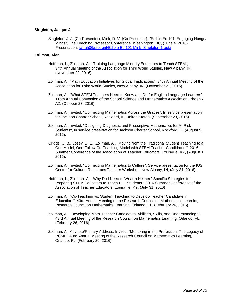#### **Singleton, Jacque J.**

Singleton, J. J. (Co-Presenter), Mink, D. V. (Co-Presenter), "Edible Ed 101: Engaging Hungry Minds", The Teaching Professor Conference, Washington, DC, (June 4, 2016). Presentation: [jwrigh06/present/Edible Ed 101 Mink\\_Singleton-1.pptx](https://www.digitalmeasures.com/login/indiana/faculty/survey/ui/showFile.do?file=sTUpPbGzTqyCo%2Bc9EzOogUIGlvs%3D&surId=17691042&nodeId=1610663&sdId=68772753&sdSurId=17691042&rptId=20237&sgntr=saQS%2FdqPw2CIYFXqPFwFWgX9q%2BM%3D)

#### **Zollman, Alan**

- Hoffman, L., Zollman, A., "Training Language Minority Educators to Teach STEM", 34th Annual Meeting of the Association for Third World Studies, New Albany, IN, (November 22, 2016).
- Zollman, A., "Math Education Initiatives for Global Implications", 34th Annual Meeting of the Association for Third World Studies, New Albany, IN, (November 21, 2016).
- Zollman, A., "What STEM Teachers Need to Know and Do for English Language Learners", 115th Annual Convention of the School Science and Mathematics Association, Phoenix, AZ, (October 23, 2016).
- Zollman, A., Invited, "Connecting Mathematics Across the Grades", In service presentation for Jackson Charter School, Rockford, IL, United States, (September 23, 2016).
- Zollman, A., Invited, "Designing Diagnostic and Prescriptive Mathematics for At-Risk Students", In service presentation for Jackson Charter School, Rockford, IL, (August 9, 2016).
- Griggs, C. B., Losey, D. E., Zollman, A., "Moving from the Traditional Student Teaching to a One Model, One Follow Co-Teaching Model with STEM Teacher Candidates.", 2016 Summer Conference of the Association of Teacher Educators, Louisville, KY, (August 1, 2016).
- Zollman, A., Invited, "Connecting Mathematics to Culture", Service presentation for the IUS Center for Cultural Resources Teacher Workshop, New Albany, IN, (July 31, 2016).
- Hoffman, L., Zollman, A., "Why Do I Need to Wear a Helmet? Specific Strategies for Preparing STEM Educators to Teach ELL Students", 2016 Summer Conference of the Association of Teacher Educators, Louisville, KY, (July 31, 2016).
- Zollman, A., "Co-Teaching vs. Student Teaching to Develop Teacher Candidate in Education.", 43rd Annual Meeting of the Research Council on Mathematics Learning, Research Council on Mathematics Learning, Orlando, FL, (February 26, 2016).
- Zollman, A., "Developing Math Teacher Candidates' Abilities, Skills, and Understandings", 43rd Annual Meeting of the Research Council on Mathematics Learning, Orlando, FL, (February 26, 2016).
- Zollman, A., Keynote/Plenary Address, Invited, "Mentoring in the Profession: The Legacy of RCML", 43rd Annual Meeting of the Research Council on Mathematics Learning, Orlando, FL, (February 26, 2016).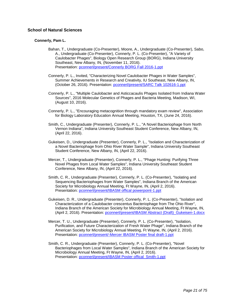#### **School of Natural Sciences**

#### **Connerly, Pam L.**

- Bahan, T., Undergraduate (Co-Presenter), Moore, A., Undergraduate (Co-Presenter), Sabo, A., Undergraduate (Co-Presenter), Connerly, P. L. (Co-Presenter), "A Variety of Caulobacter Phages", Biology Open Research Group (BORG), Indiana University Southeast, New Albany, IN, (November 11, 2016). Presentation: [pconnerl/present/Connerly BORG Fall 2016-1.ppt](https://www.digitalmeasures.com/login/indiana/faculty/survey/ui/showFile.do?file=ZFI45MNbkZGbNskQDPEPvqCSVh4%3D&surId=17689464&nodeId=1610663&sdId=69675997&sdSurId=17689464&rptId=20237&sgntr=EGurXl4LwpJKz2titZgVtisS%2BCk%3D)
- Connerly, P. L., Invited, "Characterizing Novel Caulobacter Phages in Water Samples", Summer Achievements in Research and Creativity, IU Southeast, New Albany, IN, (October 26, 2016). Presentation: [pconnerl/present/SARC Talk 102616-1.ppt](https://www.digitalmeasures.com/login/indiana/faculty/survey/ui/showFile.do?file=ZTlEiqFYZ5hqHJGTzHVkFPXGf8Y%3D&surId=17689464&nodeId=1610663&sdId=69681088&sdSurId=17689464&rptId=20237&sgntr=pubnAkvbovSEu0eg2mtHPAD31Yg%3D)
- Connerly, P. L., "Multiple Caulobacter and Asticcacaulis Phages Isolated from Indiana Water Sources", 2016 Molecular Genetics of Phages and Bacteria Meeting, Madison, WI, (August 10, 2016).
- Connerly, P. L., "Encouraging metacognition through mandatory exam review", Association for Biology Laboratory Education Annual Meeting, Houston, TX, (June 24, 2016).
- Smith, C., Undergraduate (Presenter), Connerly, P. L., "A Novel Bacteriophage from North Vernon Indiana", Indiana University Southeast Student Conference, New Albany, IN, (April 22, 2016).
- Gukeisen, D., Undergraduate (Presenter), Connerly, P. L., "Isolation and Characterization of a Novel Bacteriophage from Ohio River Water Sample", Indiana University Southeast Student Conference, New Albany, IN, (April 22, 2016).
- Mercer, T., Undergraduate (Presenter), Connerly, P. L., "Phage Hunting: Purifying Three Novel Phages from Local Water Samples", Indiana University Southeast Student Conference, New Albany, IN, (April 22, 2016).
- Smith, C. R., Undergraduate (Presenter), Connerly, P. L. (Co-Presenter), "Isolating and Sequencing Bacteriophages from Water Samples", Indiana Branch of the American Society for Microbiology Annual Meeting, Ft Wayne, IN, (April 2, 2016). Presentation: [pconnerl/present/IBASM offical powerpoint-1.ppt](https://www.digitalmeasures.com/login/indiana/faculty/survey/ui/showFile.do?file=6BV3MiwUQvp8LgVjQkeOfRP5qd4%3D&surId=17689464&nodeId=1610663&sdId=68218960&sdSurId=17689464&rptId=20237&sgntr=rQTtM2IENO%2BoN1XqtpEhWRkZPpg%3D)
- Gukeisen, D. R., Undergraduate (Presenter), Connerly, P. L. (Co-Presenter), "Isolation and Characterization of a Caulobacter crescentus Bacteriophage from The Ohio River", Indiana Branch of the American Society for Microbiology Annual Meeting, Ft Wayne, IN, (April 2, 2016). Presentation: [pconnerl/present/IBASM Abstract \(Draft\)\\_Gukeisen-1.docx](https://www.digitalmeasures.com/login/indiana/faculty/survey/ui/showFile.do?file=usjMwYXBxvhMCsKAnIRkVt%2BkYVM%3D&surId=17689464&nodeId=1610663&sdId=68219460&sdSurId=17689464&rptId=20237&sgntr=RcVp88tIcy1HwkE7cxVTQbICxBw%3D)
- Mercer, T. U., Undergraduate (Presenter), Connerly, P. L. (Co-Presenter), "Isolation, Purification, and Future Characterization of Fresh Water Phage", Indiana Branch of the American Society for Microbiology Annual Meeting, Ft Wayne, IN, (April 2, 2016). Presentation: [pconnerl/present/-Mercer IBASM Poster final draft-1.ppt](https://www.digitalmeasures.com/login/indiana/faculty/survey/ui/showFile.do?file=XUSfD%2BYgzZKYzV6CaJ3biZLbFT0%3D&surId=17689464&nodeId=1610663&sdId=68219132&sdSurId=17689464&rptId=20237&sgntr=S69cYsh%2F8BLw1sEivgPNTf2KQbM%3D)
- Smith, C. R., Undergraduate (Presenter), Connerly, P. L. (Co-Presenter), "Novel Bacteriophages from Local Water Samples", Indiana Branch of the American Society for Microbiology Annual Meeting, Ft Wayne, IN, (April 2, 2016). Presentation: [pconnerl/present/IBASM Poster offical\\_Smith-1.ppt](https://www.digitalmeasures.com/login/indiana/faculty/survey/ui/showFile.do?file=SZnofk2JQyYlHJsjLyhibhdm0rU%3D&surId=17689464&nodeId=1610663&sdId=68219523&sdSurId=17689464&rptId=20237&sgntr=VCQ5howEm5im8jHoJtK3XVIiRbQ%3D)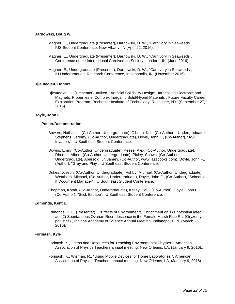#### **Darnowski, Doug W.**

- Magner, E., Undergraduate (Presenter), Darnowski, D. W., "Carnivory in Seaweeds", IUS Student Conference, New Albany, IN (April 22, 2016).
- Magner, E., Undergraduate (Presenter), Darnowski, D. W., "Carnivory in Seaweeds", Conference of the International Carnivorous Society, London, UK, (June 2016)
- Magner, E., Undergraduate (Presenter), Darnowski, D. W., "Carnivory in Seaweeds", IU Undergraduate Research Conference, Indianapolis, IN, (November 2016).

#### **Djieutedjeu, Honore**

Djieutedjeu, H. (Presenter), Invited, "Artificial Solids By Design: Harnessing Electronic and Magnetic Properties in Complex Inorganic Solid/Hybrid Materials", Future Faculty Career Exploration Program, Rochester Institute of Technology, Rochester, NY, (September 27, 2016).

#### **Doyle, John F.**

#### **Poster/Demonstration**

- Bowers, Nathaniel, (Co-Author, Undergraduate), O'brien, Kris, (Co-Author, Undergraduate), Stephens, Jeremy, (Co-Author, Undergraduate), Doyle, John F., (Co-Author), "ASCII Invaders". IU Southeast Student Conference.
- Downs, Emily, (Co-Author, Undergraduate), Reese, Alex, (Co-Author, Undergraduate), Rhodes, Albert, (Co-Author, Undergraduate), Pixley, Shawn, (Co-Author, Undergraduate), Abersold, Jr, Jamey, (Co-Author, www.jazzbooks.com), Doyle, John F., (Author), "Grey and Play". IU Southeast Student Conference.
- . Dukes, Joseph, (Co-Author, Undergraduate), Ashby, Michael, (Co-Author, Undergraduate), Weathers, Michael, (Co-Author, Undergraduate), Doyle, John F., (Co-Author), "Schedule It Document Manager". IU Southeast Student Conference.
- Chapman, Kotah, (Co-Author, Undergraduate), Kelley, Paul, (Co-Author), Doyle, John F., (Co-Author), "Stick Escape". IU Southeast Student Conference.

#### **Edmonds, Kent E.**

Edmonds, K. E. (Presenter), "Effects of Environmental Enrichment on 1) Photostimulated and 2) Spontaneous Ovarian Recrudescence in the Female Marsh Rice Rat (Oryzomys palustris)", Indiana Academy of Science Annual Meeting, Indianapolis, IN, (March 26, 2016).

#### **Forinash, Kyle**

- Forinash, K., "Ideas and Resources for Teaching Environmental Physics.", American Association of Physics Teachers annual meeting, New Orleans, LA, (January 9, 2016)..
- Forinash, K., Wisman, R., "Using Mobile Devices for Home Laboratories.", American Association of Physics Teachers annual meeting, New Orleans, LA, (January 9, 2016).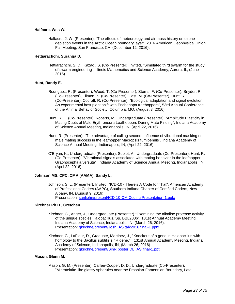#### **Halfacre, Wes W.**

Halfacre, J. W. (Presenter), "The effects of meteorology and air mass history on ozone depletion events in the Arctic Ocean boundary layer", 2016 American Geophysical Union Fall Meeting, San Francisco, CA, (December 12, 2016).

#### **Hettiarachchi, Suranga D.**

Hettiarachchi, S. D., Kazadi, S. (Co-Presenter), Invited, "Simulated third swarm for the study of swarm engineering", Illinois Mathematics and Science Academy, Aurora, IL, (June 2016).

#### **Hunt, Randy E.**

- Rodriguez, R. (Presenter), Wood, T. (Co-Presenter), Sterns, F. (Co-Presenter), Snyder, R. (Co-Presenter), Tilmon, K. (Co-Presenter), Cast, M. (Co-Presenter), Hunt, R. (Co-Presenter), Cocroft, R. (Co-Presenter), "Ecological adaptation and signal evolution: An experimental host plant shift with Enchenopa treehoppers", 53rd Annual Conference of the Animal Behavior Society, Columbia, MO, (August 3, 2016).
- Hunt, R. E. (Co-Presenter), Roberts, M., Undergraduate (Presenter), "Amplitude Plasticity in Mating Duets of Male Erythroneura Leafhoppers During Mate Finding", Indiana Academy of Science Annual Meeting, Indianapolis, IN, (April 22, 2016).
- Hunt, R. (Presenter), "The advantage of calling second: Influence of vibrational masking on male mating success in the leafhopper Macropsis fumipennis", Indiana Academy of Science Annual Meeting, Indianapolis, IN, (April 22, 2016).
- O'Bryan, K., Undergraduate (Presenter), Sublet, A., Undergraduate (Co-Presenter), Hunt, R. (Co-Presenter), "Vibrational signals associated with mating behavior in the leafhopper Graphocephala versuta", Indiana Academy of Science Annual Meeting, Indianapolis, IN, (April 22, 2016).

#### **Johnson MS, CPC, CMA (AAMA), Sandy L.**

Johnson, S. L. (Presenter), Invited, "ICD-10 - There's A Code for That", American Academy of Professional Coders (AAPC), Southern Indiana Chapter of Certified Coders, New Albany, IN, (August 9, 2016). Presentation: [sanljohn/present/ICD-10-CM Coding Presentation-1.pptx](https://www.digitalmeasures.com/login/indiana/faculty/survey/ui/showFile.do?file=r%2F6oDxkMjcALOgg9zWGG9%2Bj059U%3D&surId=17689471&nodeId=1610663&sdId=70604351&sdSurId=17689471&rptId=20237&sgntr=X1F9LlJsrVYjKTUDl2Jg0Imx6gI%3D)

#### **Kirchner Ph.D., Gretchen**

- Kirchner, G., Anger, J., Undergraduate (Presenter) "Examining the alkaline protease activity of the unique species Halobacillus. Sp. BBL2006", 131st Annual Academy Meeting, Indiana Academy of Science, Indianapolis, IN, (March 26, 2016). Presentation: [gkirchne/present/Josh IAS talk2016 final-1.pptx](https://www.digitalmeasures.com/login/indiana/faculty/survey/ui/showFile.do?file=3ast0jt0YPmkb8xQQDk5K0kzais%3D&surId=17689447&nodeId=1610663&sdId=68752872&sdSurId=17689447&rptId=20237&sgntr=C%2BdltDR4Q1ITkttV4KO9VApDnEI%3D)
- Kirchner, G., LaFleur, D., Graduate, Martinez, J., "Knockout of a gene in Halobacillus with homology to the Bacillus subtilis sinR gene." 131st Annual Academy Meeting, Indiana Academy of Science, Indianapolis, IN, (March 26, 2016). Presentation: [gkirchne/present/SinR poster DL IAS final-1.ppt](https://www.digitalmeasures.com/login/indiana/faculty/survey/ui/showFile.do?file=XgVvUGXpQB5FogX%2F6XQmQr5K2so%3D&surId=17689447&nodeId=1610663&sdId=68752562&sdSurId=17689447&rptId=20237&sgntr=d9r7YUtE8TKTRjwo803r44RqZsQ%3D)

#### **Mason, Glenn M.**

Mason, G. M. (Presenter), Caffee-Cooper, D. D., Undergraduate (Co-Presenter), "Microtektite-like glassy spherules near the Frasnian-Famennian Boundary, Late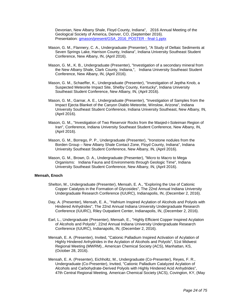Devonian, New Albany Shale, Floyd County, Indiana", 2016 Annual Meeting of the Geological Society of America, Denver, CO, (September 2016). Presentation: [gmason/present/GSA\\_2016\\_POSTER -](https://www.digitalmeasures.com/login/indiana/faculty/survey/ui/showFile.do?file=XDeET9AUZNvGwS29XjmuwLOgvVA%3D&surId=17689449&nodeId=1610663&sdId=69439324&sdSurId=17689449&rptId=20237&sgntr=eNcwnXG11DlWrQgRHOESfhaXk%2BM%3D) final-1.pptx

- Mason, G. M., Flannery, C. A., Undergraduate (Presenter), "A Study of Deltaic Sediments at Seven Springs Lake, Harrison County, Indiana", Indiana University Southeast Student Conference, New Albany, IN, (April 2016).
- Mason, G. M., K. B., Undergraduate (Presenter), "Investigation of a secondary mineral from the New Albany Shale, Clark County, Indiana,", Indiana University Southeast Student Conference, New Albany, IN, (April 2016).
- Mason, G. M., Schaeffer, K., Undergraduate (Presenter), "Investigation of Jeptha Knob, a Suspected Meteorite Impact Site, Shelby County, Kentucky", Indiana University Southeast Student Conference, New Albany, IN, (April 2016).
- Mason, G. M., Garnar, A. E., Undergraduate (Presenter), "Investigation of Samples from the Impact Ejecta Blanket of the Canyon Diablo Meteorite, Winslow, Arizona", Indiana University Southeast Student Conference, Indiana University Southeast, New Albany, IN, (April 2016).
- Mason, G. M., "Investigation of Two Reservoir Rocks from the Masjed-i-Soleiman Region of Iran", Conference, Indiana University Southeast Student Conference, New Albany, IN, (April 2016).
- Mason, G. M., Borrego, P. P., Undergraduate (Presenter), "Ironstone nodules from the Borden Group – New Albany Shale Contact Zone, Floyd County, Indiana", Indiana University Southeast Student Conference, New Albany, IN, (April 2016).
- Mason, G. M., Brown, D. A., Undergraduate (Presenter), "Micro to Macro to Mega Organisms: Indiana Fauna and Environments through Geologic Time", Indiana University Southeast Student Conference, New Albany, IN, (April 2016).

#### **Mensah, Enoch**

- Shelton, M., Undergraduate (Presenter), Mensah, E. A., "Exploring the Use of Cationic Copper Catalysts in the Formation of Glycosides", The 22nd Annual Indiana University Undergraduate Research Conference (IUURC), Indianapolis, IN, (December 2, 2016).
- Day, A. (Presenter), Mensah, E. A., "Hafnium Inspired Acylation of Alcohols and Polyols with Hindered Anhydrides", The 22nd Annual Indiana University Undergraduate Research Conference (IUURC), Riley Outpatient Center, Indianapolis, IN, (December 2, 2016).
- Earl, L., Undergraduate (Presenter), Mensah, E., "Highly Efficient Copper Inspired Acylation of Alcohols and Polyols", 22nd Annual Indiana University Undergraduate Research Conference (IUURC), Indianapolis, IN, (December 2, 2016).
- Mensah, E. A. (Presenter), Invited, "Cationic Palladium Inspired Activation of Acylation of Highly Hindered Anhydrides in the Acylation of Alcohols and Polyols", 51st Midwest Regional Meeting (MWRM)., American Chemical Society (ACS), Manhattan, KS, (October 28, 2016).
- Mensah, E. A. (Presenter), Eichholtz, M., Undergraduate (Co-Presenter), Reyes, F. R., Undergraduate (Co-Presenter), Invited, "Cationic Palladium Catalyzed Acylation of Alcohols and Carbohydrate-Derived Polyols with Highly Hindered Acid Anhydrides", 47th Central Regional Meeting, American Chemical Society (ACS), Covington, KY, (May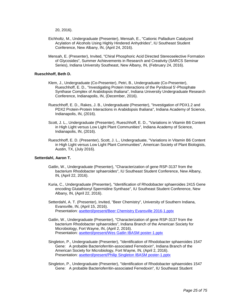20, 2016).

- Eichholtz, M., Undergraduate (Presenter), Mensah, E., "Cationic Palladium Catalyzed Acylation of Alcohols Using Highly Hindered Anhydrides", IU Southeast Student Conference, New Albany, IN, (April 24, 2016).
- Mensah, E. (Presenter), Invited, "Chiral Phosphoric Acid Directed Stereoselective Formation of Glycosides", Summer Achievements in Research and Creativity (SARCS Seminar Series), Indiana University Southeast, New Albany, IN, (February 24, 2016).

#### **Rueschhoff, Beth D.**

- Klem, J., Undergraduate (Co-Presenter), Petri, B., Undergraduate (Co-Presenter), Rueschhoff, E. D., "Investigating Protein Interactions of the Pyridoxal 5'-Phosphate Synthase Complex of Arabidopsis thaliana", Indiana University Undergraduate Research Conference, Indianapolis, IN, (December, 2016).
- Rueschhoff, E. D., Rakes, J. B., Undergraduate (Presenter), "Investigation of PDX1.2 and PDX2 Protein-Protein Interactions in Arabidopsis thaliana", Indiana Academy of Science, Indianapolis, IN, (2016).
- Scott, J. L., Undergraduate (Presenter), Rueschhoff, E. D., "Variations in Vitamin B6 Content in High Light versus Low Light Plant Communities", Indiana Academy of Science, Indianapolis, IN, (2016).
- Rueschhoff, E. D. (Presenter), Scott, J. L., Undergraduate, "Variations in Vitamin B6 Content in High Light versus Low Light Plant Communities", American Society of Plant Biologists, Austin, TX, (July 2016).

#### **Setterdahl, Aaron T.**

- Gatlin, W., Undergraduate (Presenter), "Characterization of gene RSP-3137 from the bacterium Rhodobacter sphaeroides", IU Southeast Student Conference, New Albany, IN, (April 22, 2016).
- Kuria, C., Undergraduate (Presenter), "Identification of Rhodobacter sphaeroides 2415 Gene encoding Glutathionyl Spermidine Synthase", IU Southeast Student Conference, New Albany, IN, (April 22, 2016).
- Setterdahl, A. T. (Presenter), Invited, "Beer Chemistry", University of Southern Indiana, Evansville, IN, (April 15, 2016). Presentation: [asetterd/present/Beer Chemistry Evansville 2016-1.pptx](https://www.digitalmeasures.com/login/indiana/faculty/survey/ui/showFile.do?file=pRjsp%2BtB031uMYXyAZknsAfCms4%3D&surId=17689434&nodeId=1610663&sdId=69469273&sdSurId=17689434&rptId=20237&sgntr=92nlaLYeuI8g0TCX5pUmy9ltb7I%3D)
- Gatlin, W., Undergraduate (Presenter), "Characterization of gene RSP-3137 from the bacterium Rhodobacter sphaeroides", Indiana Branch of the American Society for Microbiology, Fort Wayne, IN, (April 2, 2016). Presentation: [asetterd/present/Wes Gatlin IBASM poster-1.pptx](https://www.digitalmeasures.com/login/indiana/faculty/survey/ui/showFile.do?file=F3JO7yTJme56qCDK8VsMc4w3q1o%3D&surId=17689434&nodeId=1610663&sdId=69469317&sdSurId=17689434&rptId=20237&sgntr=A2dlfEQhPQzHEqo4m8DtWsPlXCQ%3D)
- Singleton, P., Undergraduate (Presenter), "Identification of Rhodobacter sphaeroides 1547 Gene: A probable Bacterioferritin-associated Ferredoxin", Indiana Branch of the American Society for Microbiology, Fort Wayne, IN, (April 2, 2016). Presentation: [asetterd/present/Philip Singleton IBASM poster-1.pptx](https://www.digitalmeasures.com/login/indiana/faculty/survey/ui/showFile.do?file=Jf%2FV%2B64sLPRVxwzKRTbyUNExQ7Y%3D&surId=17689434&nodeId=1610663&sdId=69469306&sdSurId=17689434&rptId=20237&sgntr=opBfGlbmkB4u17gd4g6ByU1YFHQ%3D)
- Singleton, P., Undergraduate (Presenter), "Identification of Rhodobacter sphaeroides 1547 Gene: A probable Bacterioferritin-associated Ferredoxin", IU Southeast Student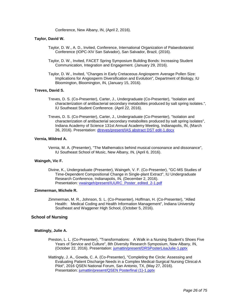Conference, New Albany, IN, (April 2, 2016).

#### **Taylor, David W.**

- Taylor, D. W., A. D., Invited, Conference, International Organization of Palaeobotanist Conference (IOPC-XIV San Salvador), San Salvador, Brazil, (2016).
- Taylor, D. W., Invited, FACET Spring Symposium Building Bonds: Increasing Student Communication, Integration and Engagement. (January 29, 2016).
- Taylor, D. W., Invited, "Changes in Early Cretaceous Angiosperm Average Pollen Size: Implications for Angiosperm Diversification and Evolution", Department of Biology, IU Bloomington, Bloomington, IN, (January 15, 2016).

#### **Treves, David S.**

- Treves, D. S. (Co-Presenter), Carter, J., Undergraduate (Co-Presenter), "Isolation and characterization of antibacterial secondary metabolites produced by salt spring isolates.", IU Southeast Student Conference. (April 22, 2016).
- Treves, D. S. (Co-Presenter), Carter, J., Undergraduate (Co-Presenter), "Isolation and characterization of antibacterial secondary metabolites produced by salt spring isolates", Indiana Academy of Science 131st Annual Academy Meeting, Indianapolis, IN, (March 26, 2016). Presentation: [dtreves/present/IAS abstract DST edit-1.docx](https://www.digitalmeasures.com/login/indiana/faculty/survey/ui/showFile.do?file=ZomBJT%2BoYW9RsUGmuqsWZ9LxnSA%3D&surId=17689443&nodeId=1610663&sdId=68274101&sdSurId=17689443&rptId=20237&sgntr=iT%2F8YoTRXKpzHZr8Q3x43gLPFIg%3D)

#### **Vernia, Mildred A.**

Vernia, M. A. (Presenter), "The Mathematics behind musical consonance and dissonance", IU Southeast School of Music, New Albany, IN, (April 6, 2016).

#### **Waingeh, Vic F.**

Divine, K., Undergraduate (Presenter), Waingeh, V. F. (Co-Presenter), "GC-MS Studies of Time-Dependent Compositional Change in Single-plant Extract", IU Undergraduate Research Conference, Indianapolis, IN, (December 2, 2016). Presentation: [vwaingeh/present/IUURC\\_Poster\\_edited\\_2-1.pdf](https://www.digitalmeasures.com/login/indiana/faculty/survey/ui/showFile.do?file=R7FzkgB4SnFb23q67EWGZR%2BBR%2Bk%3D&surId=17689476&nodeId=1610663&sdId=69482322&sdSurId=17689476&rptId=20237&sgntr=UuTxBkFJi9EJsuPJAXZs0J84zQo%3D)

#### **Zimmerman, Michele R.**

Zimmerman, M. R., Johnson, S. L. (Co-Presenter), Hoffman, H. (Co-Presenter), "Allied Health: Medical Coding and Health Information Management", Indiana University Southeast and Waggener High School, (October 5, 2016).

#### **School of Nursing**

#### **Mattingly, Julie A.**

- Preston, L. L. (Co-Presenter), "Transformations: A Walk in a Nursing Student's Shoes Five Years of Service and Culture", 8th Diversity Research Symposium, New Albany, IN, (October 22, 2016). Presentation: [jumattin/present/DRSPosterLisaJulie-1.pptx](https://www.digitalmeasures.com/login/indiana/faculty/survey/ui/showFile.do?file=Qjdco%2F7yNz%2F0U1m3Z7WMZAKIJ9U%3D&surId=17689426&nodeId=1610663&sdId=69289158&sdSurId=17689426&rptId=20237&sgntr=BL%2FlG4RgEGHHk2nOUHKibP2g8fI%3D)
- Mattingly, J. A., Gowda, C. A. (Co-Presenter), "Completing the Circle: Assessing and Evaluating Patient Discharge Needs in a Complex Medical-Surgical Nursing Clinical-A Pilot", 2016 QSEN National Forum, San Antonio, TX, (May 27, 2016). Presentation: [jumattin/present/QSEN Posterfinal \(1\)-1.pptx](https://www.digitalmeasures.com/login/indiana/faculty/survey/ui/showFile.do?file=ZIDGTmbqpzGzE6UBxu9%2FmsrZIV4%3D&surId=17689426&nodeId=1610663&sdId=69289051&sdSurId=17689426&rptId=20237&sgntr=JNaxJEH8i299%2B99ll0yxanhZ3zc%3D)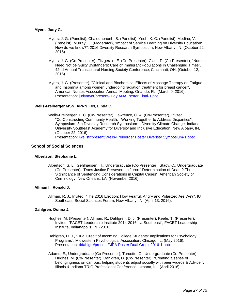#### **Myers, Judy G.**

- Myers, J. G. (Panelist), Chaleunphonh, S. (Panelist), Yeoh, K. C. (Panelist), Medina, V. (Panelist), Murray, G. (Moderator), "Impact of Service Learning on Diversity Education: How do we know?", 2016 Diversity Research Symposium, New Albany, IN, (October 22, 2016).
- Myers, J. G. (Co-Presenter), Fitzgerald, E. (Co-Presenter), Clark, P. (Co-Presenter), "Nurses Need Not be Guilty Bystanders: Care of Immigrant Populations in Challenging Times", 42nd Annual Transcultural Nursing Society Conference, Cincinnati, OH, (October 12, 2016).
- Myers, J. G. (Presenter), "Clinical and Biochemical Effects of Massage Therapy on Fatigue and Insomnia among women undergoing radiation treatment for breast cancer", American Nurses Association Annual Meeting, Orlando, FL, (March 9, 2016). Presentation: [judymyer/present/Judy ANA Poster Final-1.ppt](https://www.digitalmeasures.com/login/indiana/faculty/survey/ui/showFile.do?file=giwZA7r8UCGxhJS57bfpihwkqZI%3D&surId=17689425&nodeId=1610663&sdId=69289537&sdSurId=17689425&rptId=20237&sgntr=wfG79OBv2dOJNw6ZtpiiRBPpvb4%3D)

#### **Wells-Freiberger MSN, APRN, RN, Linda C.**

Wells-Freiberger, L. C. (Co-Presenter), Lawrence, C. A. (Co-Presenter), Invited, "Co-Constructing Community Health: Working Together to Address Disparities", Symposium, 8th Diversity Research Symposium: Diversity Climate Change, Indiana University Southeast Academy for Diversity and Inclusive Education, New Albany, IN, (October 22, 2016). Presentation: [lwellsfr/present/Wells-Freiberger Poster Diveristy Symposium-1.pptx](https://www.digitalmeasures.com/login/indiana/faculty/survey/ui/showFile.do?file=HNT1NktYibicJNXappKnIsI3%2Bpw%3D&surId=17846865&nodeId=1610663&sdId=68222277&sdSurId=17846865&rptId=20237&sgntr=D1TS4PR7i%2F9O8OaFZ5Q3x7b7aZc%3D)

#### **School of Social Sciences**

#### **Albertson, Stephanie L.**

Albertson, S. L., Gehlhausen, H., Undergraduate (Co-Presenter), Stacy, C., Undergraduate (Co-Presenter), "Does Justice Persevere in Jurors' Determination of Death? The Significance of Sentencing Considerations in Capital Cases", American Society of Criminology, New Orleans, LA, (November 2016).

#### **Allman II, Ronald J.**

Allman, R. J., Invited, "The 2016 Election: How Fearful, Angry and Polarized Are We?", IU Southeast, Social Sciences Forum, New Albany, IN, (April 13, 2016).

#### **Dahlgren, Donna J.**

- Hughes, M. (Presenter), Allman, R., Dahlgren, D. J. (Presenter), Keefe, T. (Presenter), Invited, "FACET Leadership Institute 2014-2016: IU Southeast", FACET Leadership Institute, Indianapolis, IN, (2016).
- Dahlgren, D. J., "Dual Credit of Incoming College Students: Implications for Psychology Programs", Midwestern Psychological Association, Chicago, IL, (May 2016). Presentation: [ddahlgre/present/MPA Poster Dual Credit 2016-1.pptx](https://www.digitalmeasures.com/login/indiana/faculty/survey/ui/showFile.do?file=QU2%2FWxT84Q674FSNMWo1%2FJopJww%3D&surId=17689292&nodeId=1610663&sdId=69415924&sdSurId=17689292&rptId=20237&sgntr=DCr5J7EeMLva%2FBjZyYg8qme4MhA%3D)
- Adams, E., Undergraduate (Co-Presenter), Turcotte, C., Undergraduate (Co-Presenter), Hughes, M. (Co-Presenter), Dahlgren, D. (Co-Presenter), "Creating a sense of belongingness on campus: helping students adjust socially with peer-Videos & Advice.", Illinois & Indiana TRIO Professional Conference, Urbana, IL,. (April 2016).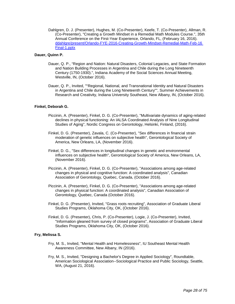Dahlgren, D. J. (Presenter), Hughes, M. (Co-Presenter), Keefe, T. (Co-Presenter), Allman, R. (Co-Presenter), "Creating a Growth Mindset in a Remedial Math Modules Course.", 35th Annual Conference on the First-Year Experience, Orlando, FL, (February 16, 2016). [ddahlgre/present/Orlando-FYE-2016-Creating-Growth-Mindset-Remedial-Math-Feb-16](https://www.digitalmeasures.com/login/indiana/faculty/survey/ui/showFile.do?file=Lz4PPnDXJzsIJycqE93Rjqk2cMw%3D&surId=17689292&nodeId=1610663&sdId=69391065&sdSurId=17689292&rptId=20237&sgntr=RgmLllNoXcVppy15lDB75VbJ5zA%3D)  [Final-1.pptx](https://www.digitalmeasures.com/login/indiana/faculty/survey/ui/showFile.do?file=Lz4PPnDXJzsIJycqE93Rjqk2cMw%3D&surId=17689292&nodeId=1610663&sdId=69391065&sdSurId=17689292&rptId=20237&sgntr=RgmLllNoXcVppy15lDB75VbJ5zA%3D)

#### **Dauer, Quinn P.**

- Dauer, Q. P., "Region and Nation: Natural Disasters, Colonial Legacies, and State Formation and Nation Building Processes in Argentina and Chile during the Long Nineteenth Century (1750-1930).", Indiana Academy of the Social Sciences Annual Meeting, Westville, IN, (October 2016).
- Dauer, Q. P., Invited, ""Regional, National, and Transnational Identity and Natural Disasters in Argentina and Chile during the Long Nineteenth Century"", Summer Achievements in Research and Creativity, Indiana University Southeast, New Albany, IN, (October 2016).

#### **Finkel, Deborah G.**

- Piccinin, A. (Presenter), Finkel, D. G. (Co-Presenter), "Multivariate dynamics of aging-related declines in physical functioning: An IALSA Coordinated Analysis of Nine Longitudinal Studies of Aging", Nordic Congress on Gerontology, Helsinki, Finland, (2016).
- Finkel, D. G. (Presenter), Zavala, C. (Co-Presenter), "Sex differences in financial strain moderation of genetic influences on subjective health", Gerontological Society of America, New Orleans, LA, (November 2016).
- Finkel, D. G., "Sex differences in longitudinal changes in genetic and environmental influences on subjective health", Gerontological Society of America, New Orleans, LA, (November 2016).
- Piccinin, A. (Presenter), Finkel, D. G. (Co-Presenter), "Associations among age-related changes in physical and cognitive function: A coordinated analysis", Canadian Association of Gerontology, Quebec, Canada, (October 2016).
- Piccinin, A. (Presenter), Finkel, D. G. (Co-Presenter), "Associations among age-related changes in physical function: A coordinated analysis", Canadian Association of Gerontology, Quebec, Canada (October 2016).
- Finkel, D. G. (Presenter), Invited, "Grass roots recruiting", Association of Graduate Liberal Studies Programs, Oklahoma City, OK, (October 2016).
- Finkel, D. G. (Presenter), Chris, P. (Co-Presenter), Logie, J. (Co-Presenter), Invited, "Information gleaned from survey of closed programs", Association of Graduate Liberal Studies Programs, Oklahoma City, OK, (October 2016).

#### **Fry, Melissa S.**

- Fry, M. S., Invited, "Mental Health and Homelessness", IU Southeast Mental Health Awareness Committee, New Albany, IN (2016).
- Fry, M. S., Invited, "Designing a Bachelor's Degree in Applied Sociology", Roundtable, American Sociological Association--Sociological Practice and Public Sociology, Seattle, WA, (August 21, 2016).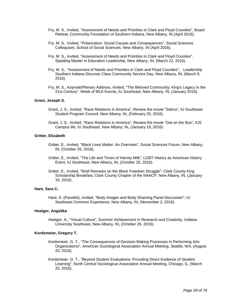- Fry, M. S., Invited, "Assessment of Needs and Priorities in Clark and Floyd Counties", Board Retreat, Community Foundation of Southern Indiana, New Albany, IN (April 2016).
- Fry, M. S., Invited, "Polarization: Social Causes and Consequences", Social Sciences Colloquium, School of Social Sciences, New Albany, IN (April 2016).
- Fry, M. S., Invited, "Assessment of Needs and Priorities in Clark and Floyd Counties", Spalding Master in Education Leadership, New Albany, IN, (March 12, 2016).
- Fry, M. S., "Assessment of Needs and Priorities in Clark and Floyd Counties", Leadership Southern Indiana Discover Class Community Service Day, New Albany, IN, (March 9, 2016).
- Fry, M. S., Keynote/Plenary Address, Invited, "The Beloved Community: King's Legacy in the 21st Century", Week of MLK Events, IU Southeast, New Albany, IN, (January 2016).

#### **Grant, Joseph S.**

- Grant, J. S., Invited, "Race Relations in America", Review the movie "Selma", IU Southeast Student Program Council, New Albany, IN, (February 25, 2016).
- Grant, J. S., Invited, "Race Relations in America", Review the movie "Get on the Bus", IUS Campus life, IU Southeast, New Albany, IN, (January 19, 2016).

#### **Gritter, Elizabeth**

- Gritter, E., Invited, "Black Lives Matter: An Overview", Social Sciences Forum, New Albany, IN, (October 26, 2016).
- Gritter, E., Invited, "The Life and Times of Harvey Milk", LGBT History as American History Event, IU Southeast, New Albany, IN, (October 25, 2016).
- Gritter, E., Invited, "Brief Remarks on the Black Freedom Struggle", Clark County King Scholarship Breakfast, Clark County Chapter of the NAACP, New Albany, IN, (January 16, 2016).

#### **Hare, Sara C.**

Hare, S. (Panelist), Invited, "Body Images and Body Shaming Panel Discussion", IU Southeast Common Experience, New Albany, IN, (November 2, 2016).

#### **Hoelger, Angelika**

Hoelger, A., "Visual Culture", Summer Achievement in Research and Creativity, Indiana University Southeast, New Albany, IN, (October 26, 2016).

#### **Kordsmeier, Gregory T.**

- Kordsmeier, G. T., "The Consequences of Decision Making Processes in Performing Arts Organizations", American Sociological Association Annual Meeting, Seattle, WA, (August 20, 2016).
- Kordsmeier, G. T., "Beyond Student Evaluations: Providing Direct Evidence of Student Learning", North Central Sociological Association Annual Meeting, Chicago, IL, (March 25, 2016).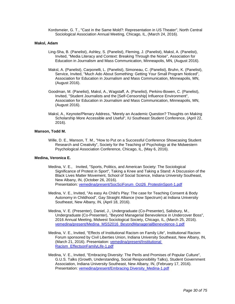Kordsmeier, G. T., "Cast in the Same Mold?: Representation in US Theater", North Central Sociological Association Annual Meeting, Chicago, IL, (March 24, 2016).

#### **Maksl, Adam**

- Ling-Sha, B. (Panelist), Ashley, S. (Panelist), Fleming, J. (Panelist), Maksl, A. (Panelist), Invited, "Media Literacy and Context: Breaking Through the Noise", Association for Education in Journalism and Mass Communication, Minneapolis, MN, (August 2016).
- Maksl, A. (Panelist), Carponelli, L. (Panelist), Simoneau, C. (Panelist), Bruhn, K. (Panelist), Service, Invited, "Much Ado About Something: Getting Your Small Program Noticed", Association for Education in Journalism and Mass Communication, Minneapolis, MN, (August 2016).
- Goodman, M. (Panelist), Maksl, A., Wagstaff, A. (Panelist), Perkins-Bowen, C. (Panelist), Invited, "Student Journalists and the [Self-Censorship] Influence Environment", Association for Education in Journalism and Mass Communication, Minneapolis, MN, (August 2016).
- Maksl, A., Keynote/Plenary Address, "Merely an Academic Question? Thoughts on Making Scholarship More Accessible and Useful", IU Southeast Student Conference, (April 22, 2016).

#### **Manson, Todd M.**

Wille, D. E., Manson, T. M., "How to Put on a Successful Conference Showcasing Student Research and Creativity", Society for the Teaching of Psychology at the Midwestern Psychological Association Conference, Chicago, IL, (May 6, 2016).

#### **Medina, Veronica E.**

- Medina, V. E., Invited, "Sports, Politics, and American Society: The Sociological Significance of Protest in Sport", Taking a Knee and Taking a Stand: A Discussion of the Black Lives Matter Movement, School of Social Science, Indiana University Southeast, New Albany, IN, (October 26, 2016). Presentation: [vemedina/present/SocSciForum\\_Oct26\\_ProtestinSport-1.pdf](https://www.digitalmeasures.com/login/indiana/faculty/survey/ui/showFile.do?file=zDa3OkhnP8ghPyVheLbRR3zxGO8%3D&surId=17689315&nodeId=1610663&sdId=69437792&sdSurId=17689315&rptId=20237&sgntr=TJgfl5kCS6G58SfeTpEz3Udjqw0%3D)
- Medina, V. E., Invited, "As easy As Child's Play: The case for Teaching Consent & Body Autonomy in Childhood", Gay Straight Alliance (now Spectrum) at Indiana University Southeast, New Albany, IN, (April 18, 2016).
- Medina, V. E. (Presenter), Daniel, J., Undergraduate (Co-Presenter), Salisbury, M., Undergraduate (Co-Presenter), "Beyond Managerial Benevolence in Undercover Boss", 2016 Annual Meeting, Midwest Sociological Society, Chicago, IL, (March 25, 2016). [vemedina/present/Medina\\_MSS2016\\_BeyondManagerialBenevolence-1.pdf](https://www.digitalmeasures.com/login/indiana/faculty/survey/ui/showFile.do?file=4cGhjdU9sun8M5S97LpTxsPUQDg%3D&surId=17689315&nodeId=1610663&sdId=69437589&sdSurId=17689315&rptId=20237&sgntr=NC5MRdGJ7fZcp3%2Fmnf8LkJMpHq4%3D)
- Medina, V. E., Invited, "Effects of Institutional Racism on Family Life", Institutional Racism Forum sponsored by Civil Liberties Union, Indiana University Southeast, New Albany, IN, (March 21, 2016). Presentation: [vemedina/present/Institutional](https://www.digitalmeasures.com/login/indiana/faculty/survey/ui/showFile.do?file=eUGkhQgjHp8zfKlc5c63hmGpVDU%3D&surId=17689315&nodeId=1610663&sdId=69438398&sdSurId=17689315&rptId=20237&sgntr=HBkVINnPLZ4jPU%2Fmlypcmvyjnng%3D)  [Racism\\_EffectsonFamilyLife-1.pdf](https://www.digitalmeasures.com/login/indiana/faculty/survey/ui/showFile.do?file=eUGkhQgjHp8zfKlc5c63hmGpVDU%3D&surId=17689315&nodeId=1610663&sdId=69438398&sdSurId=17689315&rptId=20237&sgntr=HBkVINnPLZ4jPU%2Fmlypcmvyjnng%3D)
- Medina, V. E., Invited, "Embracing Diversity: The Perils and Promises of Popular Culture", G.U.S. Talks (Growth, Understanding, Social Responsibility Talks), Student Government Association, Indiana University Southeast, New Albany, IN, (February 17, 2016). Presentation: [vemedina/present/Embracing Diversity\\_Medina-1.pdf](https://www.digitalmeasures.com/login/indiana/faculty/survey/ui/showFile.do?file=WY9En7O1oYVZuhIVDEiOvKM0XoY%3D&surId=17689315&nodeId=1610663&sdId=69438570&sdSurId=17689315&rptId=20237&sgntr=lF3RpL34hgD1PnP9PSJWfk0RUeo%3D)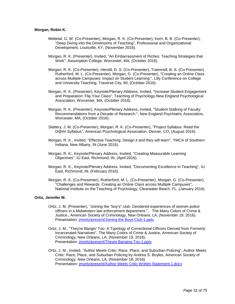#### **Morgan, Robin K.**

- Mettetal, G. W. (Co-Presenter), Morgan, R. K. (Co-Presenter), Kern, B. B. (Co-Presenter), "Deep Diving into the Dimensions of Teaching", Professional and Organizational Development, Louisville, KY, (November 2016).
- Morgan, R. K. (Presenter), Invited, "An Embarrassment of Riches: Teaching Strategies that Work", Assumption College, Worcester, MA, (October 2016).
- Morgan, R. K. (Co-Presenter), Herold, D. S. (Co-Presenter), Trammell, B. A. (Co-Presenter), Rutherford, M. L. (Co-Presenter), Morgan, G. (Co-Presenter), "Creating an Online Class across Multiple Campuses: Impact on Student Learning.", Lilly Conference on College and University Teaching, Traverse City, MI, (October 2016).
- Morgan, R. K. (Presenter), Keynote/Plenary Address, Invited, "Increase Student Engagement and Preparation: Flip Your Class", Teaching of Psychology-New England Psychological Association, Worcester, MA, (October 2016).
- Morgan, R. K. (Presenter), Keynote/Plenary Address, Invited, "Student Stalking of Faculty: Recommendations from a Decade of Research.", New England Psychiatric Association, Worcester, MA, (October 2016).
- Slattery, J. M. (Co-Presenter), Morgan, R. K. (Co-Presenter), "Project Syllabus: Read the D@#n Syllabus", American Psychological Association, Denver, CO, (August 2016).
- Morgan, R. K., Invited, "Effective Teaching: Design it and they will learn", YMCA of Southern Indiana, New Albany, IN (June 2016).
- Morgan, R. K., Keynote/Plenary Address, Invited, "Creating Measurable Learning Objectives", IU East, Richmond, IN, (April 2016).
- Morgan, R. K., Keynote/Plenary Address, Invited, "Documenting Excellence in Teaching", IU East, Richmond, IN, (February 2016).
- Morgan, R. K. (Co-Presenter), Rutherford, M. L. (Co-Presenter), Morgan, G. (Co-Presenter), "Challenges and Rewards: Creating an Online Class across Multiple Campuses", National Institute on the Teaching of Psychology, Clearwater Beach, FL, (January 2016).

#### **Ortiz, Jennifer M.**

- Ortiz, J. M. (Presenter), "Joining the "boy's" club: Gendered experiences of women police officers in a Midwestern law enforcement department.", The Many Colors of Crime & Justice., American Society of Criminology, New Orleans, LA, (November 19, 2016). Presentation: [jmortiz/present/Joining the Boys Club-1.pptx](https://www.digitalmeasures.com/login/indiana/faculty/survey/ui/showFile.do?file=ps%2Brpxul%2Fizrt7II21YXR636BsA%3D&surId=17829050&nodeId=1610663&sdId=65557562&sdSurId=17829050&rptId=20237&sgntr=lklKgEONU3kYjP0VvKyGh2YQsEA%3D)
- Ortiz, J. M., "They're Bangin' Too: A Typology of Correctional Officers Derived from Formerly Incarcerated Narratives", The Many Colors of Crime & Justice, American Society of Criminology, New Orleans, LA, (November 19, 2016). Presentation: [jmortiz/present/Theyre Banging Too-1.pptx](https://www.digitalmeasures.com/login/indiana/faculty/survey/ui/showFile.do?file=h5etqOdmB2D6oQ4yckbUhVrI14Y%3D&surId=17829050&nodeId=1610663&sdId=65557373&sdSurId=17829050&rptId=20237&sgntr=6NzbaY2DOlpZT5OQoR1I3EcZle8%3D)
- Ortiz, J. M., Invited, "Author Meets Critic: Race, Place, and Suburban Policing", Author Meets Critic: Race, Place, and Suburban Policing by Andrea S. Boyles, American Society of Criminology, New Orleans, LA, (November 18, 2016). Presentation: [jmortiz/present/Author Meets Critic Written Statement-1.docx](https://www.digitalmeasures.com/login/indiana/faculty/survey/ui/showFile.do?file=lYQwke0L7vH4px5C7uWNVf9kkxo%3D&surId=17829050&nodeId=1610663&sdId=65562272&sdSurId=17829050&rptId=20237&sgntr=wCzTahSqYkAmW%2BaaZJH4BztCtgY%3D)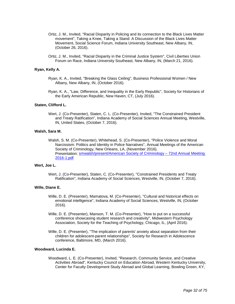- Ortiz, J. M., Invited, "Racial Disparity in Policing and its connection to the Black Lives Matter movement", Taking a Knee, Taking a Stand: A Discussion of the Black Lives Matter Movement, Social Science Forum, Indiana University Southeast, New Albany, IN, (October 26, 2016).
- Ortiz, J. M., Invited, "Racial Disparity in the Criminal Justice System", Civil Liberties Union Forum on Race, Indiana University Southeast, New Albany, IN, (March 21, 2016).

#### **Ryan, Kelly A.**

- Ryan, K. A., Invited, "Breaking the Glass Ceiling", Business Professional Women / New Albany, New Albany, IN, (October 2016).
- Ryan, K. A., "Law, Difference, and Inequality in the Early Republic", Society for Historians of the Early American Republic, New Haven, CT, (July 2016).

#### **Staten, Clifford L.**

Wert, J. (Co-Presenter), Staten, C. L. (Co-Presenter), Invited, "The Constrained President and Treaty Ratification", Indiana Academy of Social Sciences Annual Meeting, Westville, IN, United States, (October 7, 2016).

#### **Walsh, Sara M.**

Walsh, S. M. (Co-Presenter), Whitehead, S. (Co-Presenter), "Police Violence and Moral Narcissism: Politics and Identity in Police Narratives", Annual Meetings of the American Society of Criminology, New Orleans, LA, (November 2016). Presentation: [smwalsh/present/American Society of Criminology –](https://www.digitalmeasures.com/login/indiana/faculty/survey/ui/showFile.do?file=f0rNlhHBth0bEAU5HgK9ZgwePwM%3D&surId=17689311&nodeId=1610663&sdId=68739298&sdSurId=17689311&rptId=20237&sgntr=wm9kbIF3LzItsvCLjUWDkkSs86Y%3D) 72nd Annual Meeting [2016-1.pdf](https://www.digitalmeasures.com/login/indiana/faculty/survey/ui/showFile.do?file=f0rNlhHBth0bEAU5HgK9ZgwePwM%3D&surId=17689311&nodeId=1610663&sdId=68739298&sdSurId=17689311&rptId=20237&sgntr=wm9kbIF3LzItsvCLjUWDkkSs86Y%3D)

#### **Wert, Joe L.**

Wert, J. (Co-Presenter), Staten, C. (Co-Presenter), "Constrained Presidents and Treaty Ratification", Indiana Academy of Social Sciences, Westville, IN, (October 7, 2016).

#### **Wille, Diane E.**

- Wille, D. E. (Presenter), Mamatova, M. (Co-Presenter), "Cultural and historical effects on emotional intelligence", Indiana Academy of Social Sciences, Westville, IN, (October 2016).
- Wille, D. E. (Presenter), Manson, T. M. (Co-Presenter), "How to put on a successful conference showcasing student research and creativity", Midwestern Psychology Association, Society for the Teaching of Psychology, Chicago, IL, (April 2016).
- Wille, D. E. (Presenter), "The implication of parents' anxiety about separation from their children for adolescent-parent relationships", Society for Research in Adolescence conference, Baltimore, MD, (March 2016).

#### **Woodward, Lucinda E.**

Woodward, L. E. (Co-Presenter), Invited, "Research, Community Service, and Creative Activities Abroad", Kentucky Council on Education Abroad, Western Kentucky University, Center for Faculty Development Study Abroad and Global Learning, Bowling Green, KY,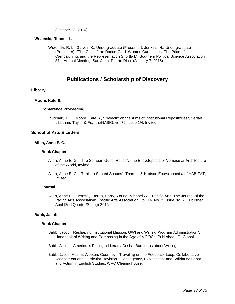(October 28, 2016).

#### **Wrzenski, Rhonda L.**

Wrzenski, R. L., Galvez, K., Undergraduate (Presenter), Jenkins, H., Undergraduate (Presenter), "The Cost of the Dance-Card: Women Candidates, The Price of Campaigning, and the Representation Shortfall.", Southern Political Science Association 87th Annual Meeting, San Juan, Puerto Rico, (January 7, 2016).

### **Publications / Scholarship of Discovery**

#### **Library**

#### **Moore, Kate B.**

#### **Conference Proceeding**

Plutchak, T. S., Moore, Kate B., "Dialectic on the Aims of Institutional Repositories", Serials Librarian, Taylor & Francis/NASIG, vol 72, issue 1/4, Invited.

#### **School of Arts & Letters**

#### **Allen, Anne E. G.**

#### **Book Chapter**

- Allen, Anne E. G., "The Samoan Guest House", The Encyclopedia of Vernacular Architecture of the World, Invited.
- Allen, Anne E. G., "Tahitian Sacred Spaces", Thames & Hudson Encyclopaedia of HABITAT, Invited.

#### **Journal**

Allen, Anne E. Guernsey, Beran, Harry, Young, Michael W., "Pacific Arts: The Journal of the Pacific Arts Association". Pacific Arts Association, vol. 16. No. 2, issue No. 2. Published April (2nd Quarter/Spring) 2016.

#### **Babb, Jacob**

#### **Book Chapter**

Babb, Jacob, "Reshaping Institutional Mission: OWI and Writing Program Administration", Handbook of Writing and Composing in the Age of MOOCs, Published. IGI Global.

Babb, Jacob, "America is Facing a Literacy Crisis", Bad Ideas about Writing,

Babb, Jacob, Adams Wooten, Courtney, "Traveling on the Feedback Loop: Collaborative Assessment and Curricular Revision", Contingency, Exploitation, and Solidarity: Labor and Action in English Studies, WAC Clearinghouse.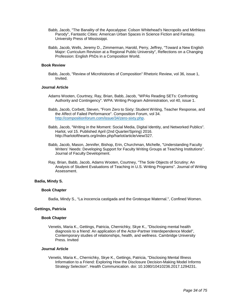- Babb, Jacob, "The Banality of the Apocalypse: Colson Whitehead's Necropolis and Mirthless Parody", Fantastic Cities: American Urban Spaces in Science Fiction and Fantasy. University Press of Mississippi.
- Babb, Jacob, Wells, Jeremy D., Zimmerman, Harold, Perry, Jeffrey, "Toward a New English Major: Curriculum Revision at a Regional Public University", Reflections on a Changing Profession: English PhDs in a Composition World.

#### **Book Review**

Babb, Jacob, "Review of Microhistories of Composition" Rhetoric Review, vol 36, issue 1, Invited.

#### **Journal Article**

- Adams Wooten, Courtney, Ray, Brian, Babb, Jacob, "WPAs Reading SETs: Confronting Authority and Contingency". WPA: Writing Program Administration, vol 40, issue 1.
- Babb, Jacob, Corbett, Steven, "From Zero to Sixty: Student Writing, Teacher Response, and the Affect of Failed Performance". Composition Forum, vol 34. [http://compositionforum.com/issue/34/zero-sixty.php.](http://compositionforum.com/issue/34/zero-sixty.php)
- Babb, Jacob, "Writing in the Moment: Social Media, Digital Identity, and Networked Publics". Harlot, vol 15. Published April (2nd Quarter/Spring) 2016. http://harlotofthearts.org/index.php/harlot/article/view/327.
- Babb, Jacob, Mason, Jennifer, Bishop, Erin, Churchman, Michelle, "Understanding Faculty Writers' Needs: Developing Support for Faculty Writing Groups at Teaching Institutions". Journal of Faculty Development.
- Ray, Brian, Babb, Jacob, Adams Wooten, Courtney, "The Sole Objects of Scrutiny: An Analysis of Student Evaluations of Teaching in U.S. Writing Programs". Journal of Writing Assessment.

#### **Badia, Mindy S.**

#### **Book Chapter**

Badia, Mindy S., "La inocencia castigada and the Grotesque Maternal.", Confined Women.

#### **Gettings, Patricia**

#### **Book Chapter**

Venetis, Maria K., Gettings, Patricia, Chernichky, Skye K., "Disclosing mental health diagnosis to a friend: An application of the Actor-Partner Interdependence Model", Contemporary studies of relationships, health, and wellness. Cambridge University Press. Invited

#### **Journal Article**

Venetis, Maria K., Chernichky, Skye K., Gettings, Patricia, "Disclosing Mental Illness Information to a Friend: Exploring How the Disclosure Decision-Making Model Informs Strategy Selection". Health Communication. doi: 10.1080/10410236.2017.1294231.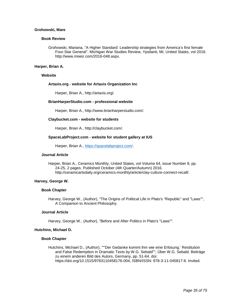#### **Grohowski, Mare**

#### **Book Review**

Grohowski, Mariana, "A Higher Standard: Leadership strategies from America's first female Four-Star General". Michigan War Studies Review, Ypsilanti, MI, United States, vol 2016. http://www.miwsr.com/2016-048.aspx.

#### **Harper, Brian A.**

#### **Website**

#### **Artaxis.org - website for Artaxis Organization Inc**

Harper, Brian A., http://artaxis.org/.

#### **BrianHarperStudio.com - professional website**

Harper, Brian A., http://www.brianharperstudio.com/.

#### **Claybucket.com - website for students**

Harper, Brian A., http://claybucket.com/.

#### **SpaceLabProject.com - website for student gallery at IUS**

Harper, Brian A., [https://spacelabproject.com/.](https://spacelabproject.com/)

#### **Journal Article**

Harper, Brian A., Ceramics Monthly, United States, vol Volume 64, issue Number 8, pp. 24-25, 2 pages. Published October (4th Quarter/Autumn) 2016. http://ceramicartsdaily.org/ceramics-monthly/article/clay-culture-connect-recall/.

#### **Harvey, George W.**

#### **Book Chapter**

Harvey, George W., (Author), "The Origins of Political Life in Plato's "Republic" and "Laws"", A Companion to Ancient Philosophy.

#### **Journal Article**

Harvey, George W., (Author), "Before and After Politics in Plato's "Laws"".

#### **Hutchins, Michael D.**

#### **Book Chapter**

Hutchins, Michael D., (Author), ""'Der Gedanke kommt ihm wie eine Erlösung.' Restitution and False Redemption in Dramatic Texts by W.G. Sebald"", Über W.G. Sebald. Beiträge zu einem anderen Bild des Autors, Germany, pp. 51-64. doi: https://doi.org/10.1515/9783110458176-004, ISBN/ISSN: 978-3-11-045817-6. Invited.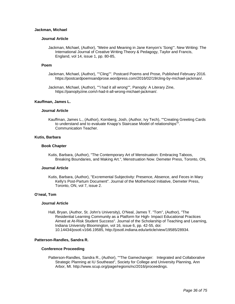#### **Jackman, Michael**

#### **Journal Article**

Jackman, Michael, (Author), "Metre and Meaning in Jane Kenyon's 'Song'". New Writing: The International Journal of Creative Writing Theory & Pedagogy, Taylor and Francis, England, vol 14, issue 1, pp. 80-85,

#### **Poem**

- Jackman, Michael, (Author), ""Cling"". Postcard Poems and Prose, Published February 2016. https://postcardpoemsandprose.wordpress.com/2016/02/19/cling-by-michael-jackman/.
- Jackman, Michael, (Author), ""i had it all wrong"", Panoply: A Literary Zine, https://panoplyzine.com/i-had-it-all-wrong-michael-jackman/.

#### **Kauffman, James L.**

#### **Journal Article**

Kauffman, James L., (Author), Kornberg, Josh, (Author, Ivy Tech), ""Creating Greeting Cards to understand and to evaluate Knapp's Staircase Model of relationships"". Communication Teacher.

#### **Kutis, Barbara**

#### **Book Chapter**

Kutis, Barbara, (Author), "The Contemporary Art of Menstruation: Embracing Taboos, Breaking Boundaries, and Making Art.", Menstruation Now. Demeter Press, Toronto, ON,

#### **Journal Article**

Kutis, Barbara, (Author), "Excremental Subjectivity: Presence, Absence, and Feces in Mary Kelly's Post-Partum Document". Journal of the Motherhood Initiative, Demeter Press, Toronto, ON, vol 7, issue 2.

#### **O'neal, Tom**

#### **Journal Article**

Hall, Bryan, (Author, St. John's University), O'Neal, James T. "Tom", (Author), "The Residential Learning Community as a Platform for High- Impact Educational Practices Aimed at At-Risk Student Success". Journal of the Scholarship of Teaching and Learning, Indiana University Bloomington, vol 16, issue 6, pp. 42-55, doi: 10.14434/josotl.v16i6.19585, http://josotl.indiana.edu/article/view/19585/28934.

#### **Patterson-Randles, Sandra R.**

#### **Conference Proceeding**

Patterson-Randles, Sandra R., (Author), ""The Gamechanger: Integrated and Collaborative Strategic Planning at IU Southeast", Society for College and University Planning, Ann Arbor, MI. http://www.scup.org/page/regions/nc/2016/proceedings.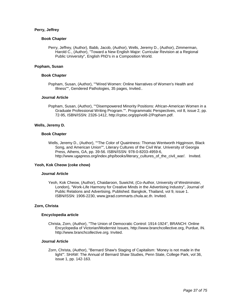## **Perry, Jeffrey**

## **Book Chapter**

Perry, Jeffrey, (Author), Babb, Jacob, (Author), Wells, Jeremy D., (Author), Zimmerman, Harold C., (Author), "Toward a New English Major: Curricular Revision at a Regional Public University", English PhD's in a Composition World.

## **Popham, Susan**

### **Book Chapter**

Popham, Susan, (Author), ""Wired Women: Online Narratives of Women's Health and Illness"", Gendered Pathologies, 35 pages, Invited..

### **Journal Article**

Popham, Susan, (Author), ""Disempowered Minority Positions: African-American Women in a Graduate Professional Writing Program."". Programmatic Perspectives, vol 8, issue 2, pp. 72-95, ISBN/ISSN: 2326-1412, http://cptsc.org/pp/vol8-2/Popham.pdf.

### **Wells, Jeremy D.**

### **Book Chapter**

Wells, Jeremy D., (Author), ""The Color of Quaintness: Thomas Wentworth Higginson, Black Song, and American Union"", Literary Cultures of the Civil War. University of Georgia Press, Athens, GA, pp. 39-56. ISBN/ISSN: 978-0-8203-4959-6, http://www.ugapress.org/index.php/books/literary\_cultures\_of\_the\_civil\_war/. Invited.

## **Yeoh, Kok Cheow (coke chow)**

### **Journal Article**

Yeoh, Kok Cheow, (Author), Chaidaroon, Suwichit, (Co-Author, University of Westminster, London), "Work-Life Harmony for Creative Minds in the Advertising Industry", Journal of Public Relations and Advertising, Published. Bangkok, Thailand, vol 9, issue 1. ISBN/ISSN: 1906-2230, www.jprad.commarts.chula.ac.th. Invited.

## **Zorn, Christa**

#### **Encyclopedia article**

Christa, Zorn, (Author), "The Union of Democratic Control: 1914-1924", BRANCH: Online Encyclopedia of Victorian/Modernist Issues, http://www.branchcollective.org, Purdue, IN. http://www.branchcollective.org. Invited.

### **Journal Article**

Zorn, Christa, (Author), "Bernard Shaw's Staging of Capitalism: 'Money is not made in the light'". SHAW: The Annual of Bernard Shaw Studies, Penn State, College Park, vol 36, issue 1, pp. 142-163.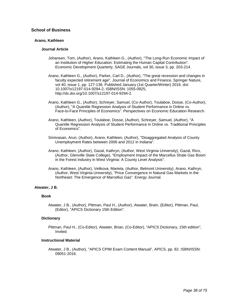## **School of Business**

## **Arano, Kathleen**

### **Journal Article**

- Johansen, Tom, (Author), Arano, Kathleen G., (Author), "The Long-Run Economic Impact of an Institution of Higher Education: Estimating the Human Capital Contribution". Economic Development Quarterly, SAGE Journals, vol 30, issue 3, pp. 203-214.
- Arano, Kathleen G., (Author), Parker, Carl D., (Author), "The great recession and changes in faculty expected retirement age". Journal of Economics and Finance, Springer Nature, vol 40, issue 1, pp. 127-136. Published January (1st Quarter/Winter) 2016. doi: 10.1007/s12197-014-9294-2, ISBN/ISSN: 1055-0925, http://dx.doi.org/10.1007/s12197-014-9294-2.
- Arano, Kathleen G., (Author), Schreyer, Samuel, (Co-Author), Toulaboe, Dosse, (Co-Author), (Author), "A Quantile Regression Analysis of Student Performance in Online vs. Face-to-Face Principles of Economics". Perspectives on Economic Education Research.
- Arano, Kathleen, (Author), Toulaboe, Dosse, (Author), Schreyer, Samuel, (Author), "A Quantile Regression Analysis of Student Performance in Online vs. Traditional Principles of Economics".
- Srinivasan, Arun, (Author), Arano, Kathleen, (Author), "Disaggregated Analysis of County Unemployment Rates between 2006 and 2012 in Indiana".
- Arano, Kathleen, (Author), Gazal, Kathryn, (Author, West Virginia University), Gazal, Rico, (Author, Glenville State College), "Employment Impact of the Marcellus Shale Gas Boom in the Forest Industry in West Virginia: A County Level Analysis".
- Arano, Kathleen, (Author), Velikova, Marieta, (Author, Belmont University), Arano, Kathryn, (Author, West Virginia University), "Price Convergence in Natural Gas Markets in the Northeast: The Emergence of Marcellus Gas". Energy Journal.

## **Atwater, J B.**

## **Book**

Atwater, J B., (Author), Pittman, Paul H., (Author), Atwater, Brain, (Editor), Pittman, Paul, (Editor), "APICS Dictionary 15th Edition".

## **Dictionary**

Pittman, Paul H., (Co-Editor), Atwater, Brian, (Co-Editor), "APICS Dictionary, 15th edition", Invited.

## **Instructional Material**

Atwater, J B., (Author), "APICS CPIM Exam Content Manual", APICS, pp. 82. ISBN/ISSN: 09051-2016.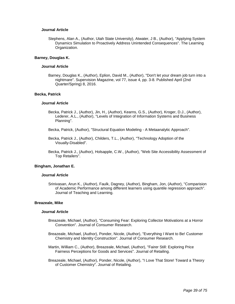### **Journal Article**

Stephens, Alan A., (Author, Utah State University), Atwater, J B., (Author), "Applying System Dynamics Simulation to Proactively Address Unintended Consequences". The Learning Organization.

#### **Barney, Douglas K.**

#### **Journal Article**

Barney, Douglas K., (Author), Eplion, David M., (Author), "Don't let your dream job turn into a nightmare". Supervision Magazine, vol 77, issue 4, pp. 3-8. Published April (2nd Quarter/Spring) 8, 2016.

### **Becka, Patrick**

#### **Journal Article**

- Becka, Patrick J., (Author), Jin, H., (Author), Kearns, G.S., (Author), Kroger, D.J., (Author), Lederer, A.L., (Author), "Levels of Integration of Information Systems and Business Planning".
- Becka, Patrick, (Author), "Structural Equation Modeling A Metaanalytic Approach".
- Becka, Patrick J., (Author), Childers, T.L., (Author), "Technology Adoption of the Visually-Disabled".
- Becka, Patrick J., (Author), Holsapple, C.W., (Author), "Web Site Accessibility Assessment of Top Retailers".

#### **Bingham, Jonathan E.**

#### **Journal Article**

Srinivasan, Arun K., (Author), Faulk, Dagney, (Author), Bingham, Jon, (Author), "Comparision of Academic Performance among different learners using quantile regression approach". Journal of Teaching and Learning.

#### **Breazeale, Mike**

- Breazeale, Michael, (Author), "Consuming Fear: Exploring Collector Motivations at a Horror Convention". Journal of Consumer Research.
- Breazeale, Michael, (Author), Ponder, Nicole, (Author), "Everything I Want to Be! Customer Chemistry and Identity Construction". Journal of Consumer Research.
- Martin, William C., (Author), Breazeale, Michael, (Author), "Fairer Still: Exploring Price Fairness Perceptions for Goods and Services". Journal of Retailing.
- Breazeale, Michael, (Author), Ponder, Nicole, (Author), "I Love That Store! Toward a Theory of Customer Chemistry". Journal of Retailing.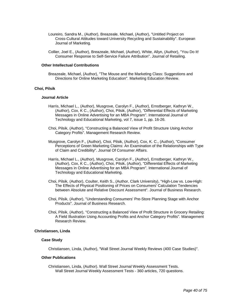- Loureiro, Sandra M., (Author), Breazeale, Michael, (Author), "Untitled Project on Cross-Cultural Attitudes toward University Recycling and Sustainability". European Journal of Marketing.
- Collier, Joel E., (Author), Breazeale, Michael, (Author), White, Allyn, (Author), "You Do It! Consumer Response to Self-Service Failure Attribution". Journal of Retailing.

#### **Other Intellectual Contributions**

Breazeale, Michael, (Author), "The Mouse and the Marketing Class: Suggestions and Directions for Online Marketing Education". Marketing Education Review.

## **Choi, Pilsik**

#### **Journal Article**

- Harris, Michael L., (Author), Musgrove, Carolyn F., (Author), Ernstberger, Kathryn W., (Author), Cox, K C., (Author), Choi, Pilsik, (Author), "Differential Effects of Marketing Messages in Online Advertising for an MBA Program". International Journal of Technology and Educational Marketing, vol 7, issue 1, pp. 16-26.
- Choi, Pilsik, (Author), "Constructing a Balanced View of Profit Structure Using Anchor Category Profits". Management Research Review.
- Musgrove, Carolyn F., (Author), Choi, Pilsik, (Author), Cox, K. C., (Author), "Consumer Perceptions of Green Marketing Claims: An Examination of the Relationships with Type of Claim and Credibility". Journal Of Consumer Affairs.
- Harris, Michael L., (Author), Musgrove, Carolyn F., (Author), Ernstberger, Kathryn W., (Author), Cox, K C., (Author), Choi, Pilsik, (Author), "Differential Effects of Marketing Messages in Online Advertising for an MBA Program". International Journal of Technology and Educational Marketing.
- Choi, Pilsik, (Author), Coulter, Keith S., (Author, Clark University), "High-Low vs. Low-High: The Effects of Physical Positioning of Prices on Consumers' Calculation Tendencies between Absolute and Relative Discount Assessment". Journal of Business Research.
- Choi, Pilsik, (Author), "Understanding Consumers' Pre-Store Planning Stage with Anchor Products". Journal of Business Research.
- Choi, Pilsik, (Author), "Constructing a Balanced View of Profit Structure in Grocery Retailing: A Field Illustration Using Accounting Profits and Anchor Category Profits". Management Research Review.

#### **Christiansen, Linda**

#### **Case Study**

Christiansen, Linda, (Author), "Wall Street Journal Weekly Reviews (400 Case Studies)".

### **Other Publications**

Christiansen, Linda, (Author). Wall Street Journal Weekly Assessment Tests. Wall Street Journal Weekly Assessment Tests - 360 articles, 720 questions.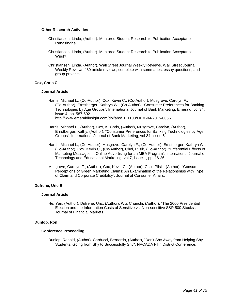### **Other Research Activities**

- Christiansen, Linda, (Author). Mentored Student Research to Publication Acceptance Ranasinghe.
- Christiansen, Linda, (Author). Mentored Student Research to Publication Acceptance Wright.
- Christiansen, Linda, (Author). Wall Street Journal Weekly Reviews. Wall Street Journal Weekly Reviews 480 article reviews, complete with summaries, essay questions, and group projects.

## **Cox, Chris C.**

## **Journal Article**

- Harris, Michael L., (Co-Author), Cox, Kevin C., (Co-Author), Musgrove, Carolyn F., (Co-Author), Ernstberger, Kathryn W., (Co-Author), "Consumer Preferences for Banking Technologies by Age Groups". International Journal of Bank Marketing, Emerald, vol 34, issue 4, pp. 587-602. http://www.emeraldinsight.com/doi/abs/10.1108/IJBM-04-2015-0056.
- Harris, Michael L., (Author), Cox, K. Chris, (Author), Musgrove, Carolyn, (Author), Ernstberger, Kathy, (Author), "Consumer Preferences for Banking Technologies by Age Groups". International Journal of Bank Marketing, vol 34, issue 5.
- Harris, Michael L., (Co-Author), Musgrove, Carolyn F., (Co-Author), Ernstberger, Kathryn W., (Co-Author), Cox, Kevin C., (Co-Author), Choi, Pilsik, (Co-Author), "Differential Effects of Marketing Messages in Online Advertising for an MBA Program". International Journal of Technology and Educational Marketing, vol 7, issue 1, pp. 16-26.
- Musgrove, Carolyn F., (Author), Cox, Kevin C., (Author), Choi, Pilsik, (Author), "Consumer Perceptions of Green Marketing Claims: An Examination of the Relationships with Type of Claim and Corporate Credibility". Journal of Consumer Affairs.

## **Dufrene, Uric B.**

## **Journal Article**

He, Yan, (Author), Dufrene, Uric, (Author), Wu, Chunchi, (Author), "The 2000 Presidential Election and the Information Costs of Sensitive vs. Non-sensitive S&P 500 Stocks". Journal of Financial Markets.

## **Dunlop, Ron**

## **Conference Proceeding**

Dunlop, Ronald, (Author), Carducci, Bernardo, (Author), "Don't Shy Away from Helping Shy Students: Going from Shy to Successfully Shy". NACADA Fifth District Conference.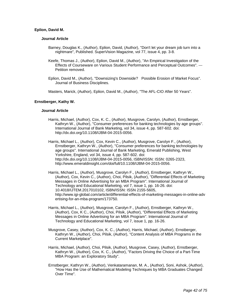## **Eplion, David M.**

### **Journal Article**

- Barney, Douglas K., (Author), Eplion, David, (Author), "Don't let your dream job turn into a nightmare", Published. SuperVision Magazine, vol 77, issue 4, pp. 3-8.
- Keefe, Thomas J., (Author), Eplion, David M., (Author), "An Empirical Investigation of the Effects of Courseware on Various Student Performance and Perceptual Outcomes". --- Petition removed.
- Eplion, David M., (Author), "Downsizing's Downside? Possible Erosion of Market Focus". Journal of Business Disciplines.

Masters, Marick, (Author), Eplion, David M., (Author), "The AFL-CIO After 50 Years".

## **Ernstberger, Kathy W.**

### **Journal Article**

Harris, Michael, (Author), Cox, K. C., (Author), Musgrove, Carolyn, (Author), Ernstberger, Kathryn W., (Author), "Consumer preferences for banking technologies by age groups". International Journal of Bank Marketing, vol 34, issue 4, pp. 587-602. doi: http://dx.doi.org/10.1108/IJBM-04-2015-0056.

Harris, Michael L., (Author), Cox, Kevin C., (Author), Musgrove, Carolyn F., (Author), Ernstberger, Kathryn W., (Author), "Consumer preferences for banking technologies by age groups". International Journal of Bank Marketing, Emerald Publishing, West Yorkshire, England, vol 34, issue 4, pp. 587-602. doi: http://dx.doi.org/10.1108/IJBM-04-2015-0056, ISBN/ISSN: ISSN: 0265-2323, http://www.emeraldinsight.com/doi/full/10.1108/IJBM-04-2015-0056.

Harris, Michael L., (Author), Musgrove, Carolyn F., (Author), Ernstberger, Kathryn W., (Author), Cox, Kevin C., (Author), Choi, Pilsik, (Author), "Differential Effects of Marketing Messages in Online Advertising for an MBA Program". International Journal of Technology and Educational Marketing, vol 7, issue 1, pp. 16-26. doi: 10.4018/IJTEM.2017010102, ISBN/ISSN: ISSN 2155-5605, http://www.igi-global.com/article/differential-effects-of-marketing-messages-in-online-adv ertising-for-an-mba-program/173750.

- Harris, Michael L., (Author), Musgrove, Carolyn F., (Author), Ernstberger, Kathryn W., (Author), Cox, K C., (Author), Choi, Pilsik, (Author), "Differential Effects of Marketing Messages in Online Advertising for an MBA Program". International Journal of Technology and Educational Marketing, vol 7, issue 1, pp. 16-26.
- Musgrove, Casey, (Author), Cox, K. C., (Author), Harris, Michael, (Author), Ernstberger, Kathryn W., (Author), Choi, Pilsik, (Author), "Content Analysis of MBA Programs in the Current Marketplace".
- Harris, Michael, (Author), Choi, Pilsik, (Author), Musgrove, Casey, (Author), Ernstberger, Kathryn W., (Author), Cox, K. C., (Author), "Factors Driving the Choice of a Part-Time MBA Program: an Exploratory Study".
- Ernstberger, Kathryn W., (Author), Venkataramanan, M. A., (Author), Soni, Ashok, (Author), "How Has the Use of Mathematical Modeling Techniques by MBA Graduates Changed Over Time".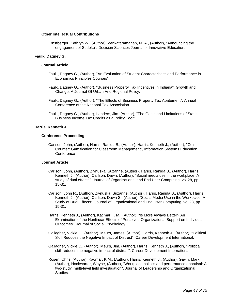### **Other Intellectual Contributions**

Ernstberger, Kathryn W., (Author), Venkataramanan, M. A., (Author), "Announcing the engagement of Sudoku". Decision Sciences Journal of Innovative Education.

### **Faulk, Dagney G.**

### **Journal Article**

- Faulk, Dagney G., (Author), "An Evaluation of Student Characteristics and Performance in Economics Principles Courses".
- Faulk, Dagney G., (Author), "Business Property Tax Incentives in Indiana". Growth and Change: A Journal Of Urban And Regional Policy.
- Faulk, Dagney G., (Author), "The Effects of Business Property Tax Abatement". Annual Conference of the National Tax Association.
- Faulk, Dagney G., (Author), Landers, Jim, (Author), "The Goals and Limitations of State Business Income Tax Credits as a Policy Tool".

#### **Harris, Kenneth J.**

#### **Conference Proceeding**

Carlson, John, (Author), Harris, Ranida B., (Author), Harris, Kenneth J., (Author), "Coin Counter: Gamification for Classroom Management", Information Systems Education **Conference** 

- Carlson, John, (Author), Zivnuska, Suzanne, (Author), Harris, Ranida B., (Author), Harris, Kenneth J., (Author), Carlson, Dawn, (Author), "Social media use in the workplace: A study of dual effects". Journal of Organizational and End User Computing, vol 28, pp. 15-31.
- Carlson, John R., (Author), Zivnuska, Suzanne, (Author), Harris, Ranida B., (Author), Harris, Kenneth J., (Author), Carlson, Dawn S., (Author), "Social Media Use in the Workplace: A Study of Dual Effects". Journal of Organizational and End User Computing, vol 28, pp. 15-31.
- Harris, Kenneth J., (Author), Kacmar, K M., (Author), "Is More Always Better? An Examination of the Nonlinear Effects of Perceived Organizational Support on Individual Outcomes". Journal of Social Psychology.
- Gallagher, Vickie C., (Author), Meurs, James, (Author), Harris, Kenneth J., (Author), "Political Skill Reduces the Negative Impact of Distrust". Career Development International.
- Gallagher, Vickie C., (Author), Meurs, Jim, (Author), Harris, Kenneth J., (Author), "Political skill reduces the negative impact of distrust". Career Development International.
- Rosen, Chris, (Author), Kacmar, K M., (Author), Harris, Kenneth J., (Author), Gavin, Mark, (Author), Hochwarter, Wayne, (Author), "Workplace politics and performance appraisal: A two-study, multi-level field investigation". Journal of Leadership and Organizational Studies.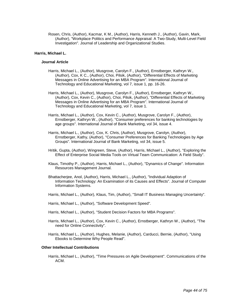Rosen, Chris, (Author), Kacmar, K M., (Author), Harris, Kenneth J., (Author), Gavin, Mark, (Author), "Workplace Politics and Performance Appraisal: A Two-Study, Multi-Level Field Investigation". Journal of Leadership and Organizational Studies.

### **Harris, Michael L.**

#### **Journal Article**

- Harris, Michael L., (Author), Musgrove, Carolyn F., (Author), Ernstberger, Kathryn W., (Author), Cox, K C., (Author), Choi, Pilsik, (Author), "Differential Effects of Marketing Messages in Online Advertising for an MBA Program". International Journal of Technology and Educational Marketing, vol 7, issue 1, pp. 16-26.
- Harris, Michael L., (Author), Musgrove, Carolyn F., (Author), Ernstberger, Kathryn W., (Author), Cox, Kevin C., (Author), Choi, Pilsik, (Author), "Differential Effects of Marketing Messages in Online Advertising for an MBA Program". International Journal of Technology and Educational Marketing, vol 7, issue 1.
- Harris, Michael L., (Author), Cox, Kevin C., (Author), Musgrove, Carolyn F., (Author), Ernstberger, Kathryn W., (Author), "Consumer preferences for banking technologies by age groups". International Journal of Bank Marketing, vol 34, issue 4.
- Harris, Michael L., (Author), Cox, K. Chris, (Author), Musgrove, Carolyn, (Author), Ernstberger, Kathy, (Author), "Consumer Preferences for Banking Technologies by Age Groups". International Journal of Bank Marketing, vol 34, issue 5.
- Hritik, Gupta, (Author), Wingreen, Steve, (Author), Harris, Michael L., (Author), "Exploring the Effect of Enterprise Social Media Tools on Virtual Team Communication: A Field Study".
- Klaus, Timothy P., (Author), Harris, Michael L., (Author), "Dynamics of Change". Information Resources Management Journal.
- Bhattacherjee, Anol, (Author), Harris, Michael L., (Author), "Individual Adaption of Information Technology: An Examination of its Causes and Effects". Journal of Computer Information Systems.
- Harris, Michael L., (Author), Klaus, Tim, (Author), "Small IT Business Managing Uncertainty".
- Harris, Michael L., (Author), "Software Development Speed".
- Harris, Michael L., (Author), "Student Decision Factors for MBA Programs".
- Harris, Michael L., (Author), Cox, Kevin C., (Author), Ernstberger, Kathryn W., (Author), "The need for Online Connectivity".
- Harris, Michael L., (Author), Hughes, Melanie, (Author), Carducci, Bernie, (Author), "Using Ebooks to Determine Why People Read".

#### **Other Intellectual Contributions**

Harris, Michael L., (Author), "Time Pressures on Agile Development". Communications of the ACM.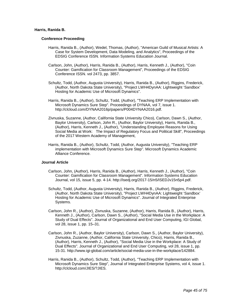### **Harris, Ranida B.**

#### **Conference Proceeding**

- Harris, Ranida B., (Author), Wedel, Thomas, (Author), "American Guild of Musical Artists: A Case for System Development, Data Modeling, and Analytics", Proceedings of the EDSIG Conference ISSN. Information Systems Education Journal.
- Carlson, John, (Author), Harris, Ranida B., (Author), Harris, Kenneth J., (Author), "Coin Counter: Gamification for Classroom Management", Proceedings of the EDSIG Conference ISSN. vol 2473, pp. 3857.
- Schultz, Todd, (Author, Augusta University), Harris, Ranida B., (Author), Riggins, Frederick, (Author, North Dakota State University), "Project LWH4DynAA: Lightweight 'Sandbox' Hosting for Academic Use of Microsoft Dynamics".
- Harris, Ranida B., (Author), Schultz, Todd, (Author), "Teaching ERP Implementation with Microsoft Dynamics Sure Step". Proceedings of DYNAA, vol 7, issue 1. http://clcloud.com/DYNAA2016p/papers/P004DYNAA2016.pdf.
- Zivnuska, Suzanne, (Author, California State University Chico), Carlson, Dawn S., (Author, Baylor University), Carlson, John R., (Author, Baylor University), Harris, Ranida B., (Author), Harris, Kenneth J., (Author), "Understanding Employee Reasons for Using Social Media at Work: The Impact of Regulatory Focus and Political Skill", Proceedings of the 2017 Western Academy of Management,
- Harris, Ranida B., (Author), Schultz, Todd, (Author, Augusta University), "Teaching ERP implementation with Microsoft Dynamics Sure Step". Microsoft Dynamics Academic Alliance Conference.

- Carlson, John, (Author), Harris, Ranida B., (Author), Harris, Kenneth J., (Author), "Coin Counter: Gamification for Classroom Management". Information Systems Education Journal, vol 15, issue 5, pp. 4-14. http://isedj.org/2017-15/n5/ISEDJv15n5p4.pdf.
- Schultz, Todd, (Author, Augusta University), Harris, Ranida B., (Author), Riggins, Frederick, (Author, North Dakota State University), "Project LWH4DynAA: Lightweight 'Sandbox' Hosting for Academic Use of Microsoft Dynamics". Journal of Integrated Enterprise Systems.
- Carlson, John R., (Author), Zivnuska, Suzanne, (Author), Harris, Ranida B., (Author), Harris, Kenneth J., (Author), Carlson, Dawn S., (Author), "Social Media Use in the Workplace: A Study of Dual Effects". Journal of Organizational and End User Computing, IGI Global, vol 28, issue 1, pp. 15–31.
- Carlson, John R., (Author, Baylor University), Carlson, Dawn S., (Author, Baylor University), Zivnuska, Zuzanne, (Author, California State University, Chico), Harris, Ranida B., (Author), Harris, Kenneth J., (Author), "Social Media Use in the Workplace: A Study of Dual Effects". Journal of Organizational and End User Computing, vol 28, issue 1, pp. 15-31. http://www.igi-global.com/article/social-media-use-in-the-workplace/142884.
- Harris, Ranida B., (Author), Schultz, Todd, (Author), "Teaching ERP Implementation with Microsoft Dynamics Sure Step", Journal of Integrated Enterprise Systems, vol 4, issue 1. http://clcloud.com/JIES/?JIES.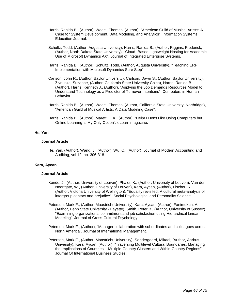- Harris, Ranida B., (Author), Wedel, Thomas, (Author), "American Guild of Musical Artists: A Case for System Development, Data Modeling, and Analytics". Information Systems Education Journal.
- Schultz, Todd, (Author, Augusta University), Harris, Ranida B., (Author, Riggins, Frederick, (Author, North Dakota State University), "Cloud- Based Lightweight Hosting for Academic Use of Microsoft Dynamics AX". Journal of Integrated Enterprise Systems.
- Harris, Ranida B., (Author), Schultz, Todd, (Author, Augusta University), "Teaching ERP Implementation with Microsoft Dynamics Sure Step".
- Carlson, John R., (Author, Baylor University), Carlson, Dawn S., (Author, Baylor University), Zivnuska, Suzanne, (Author, California State University Chico), Harris, Ranida B., (Author), Harris, Kenneth J., (Author), "Applying the Job Demands Resources Model to Understand Technology as a Predictor of Turnover Intentions". Computers in Human Behavior.
- Harris, Ranida B., (Author), Wedel, Thomas, (Author, California State University, Northridge), "American Guild of Musical Artists: A Data Modeling Case".
- Harris, Ranida B., (Author), Marett, L. K., (Author), "Help! I Don't Like Using Computers but Online Learning Is My Only Option". eLearn magazine.

### **He, Yan**

## **Journal Article**

He, Yan, (Author), Wang, J., (Author), Wu, C., (Author), Journal of Modern Accounting and Auditing, vol 12, pp. 306-318.

### **Kara, Aycan**

- Kende, J., (Author, University of Leuven), Phalet, K., (Author, University of Leuven), Van den Noortgate, W., (Author, University of Leuven), Kara, Aycan, (Author), Fischer, R., (Author, Victoria University of Wellington), "Equality revisited: A cultural meta-analysis of intergroup contact and prejudice". Social Psychological and Personality Science.
- Peterson, Mark F., (Author, Maastricht University), Kara, Aycan, (Author), Fanimokun, A., (Author, Penn State University - Fayette), Smith, Peter B., (Author, University of Sussex), "Examining organizational commitment and job satisfaction using Hierarchical Linear Modeling". Journal of Cross-Cultural Psychology.
- Peterson, Mark F., (Author), "Manager collaboration with subordinates and colleagues across North America". Journal of International Management.
- Peterson, Mark F., (Author, Maastricht University), Søndergaard, Mikael, (Author, Aarhus University), Kara, Aycan, (Author), "Traversing Multilevel Cultural Boundaries: Managing the Implications of Countries, Multiple-Country Clusters and Within-Country Regions". Journal Of International Business Studies.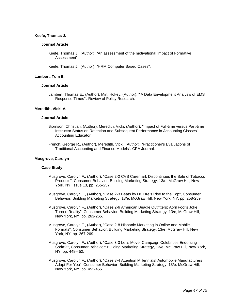#### **Keefe, Thomas J.**

#### **Journal Article**

Keefe, Thomas J., (Author), "An assessment of the motivational Impact of Formative Assessment".

Keefe, Thomas J., (Author), "HRM Computer Based Cases".

## **Lambert, Tom E.**

#### **Journal Article**

Lambert, Thomas E., (Author), Min, Hokey, (Author), "'A Data Envelopment Analysis of EMS Response Times'". Review of Policy Research.

### **Meredith, Vicki A.**

#### **Journal Article**

- Bjornson, Christian, (Author), Meredith, Vicki, (Author), "Impact of Full-time versus Part-time Instructor Status on Retention and Subsequent Performance in Accounting Classes". Accounting Educator.
- French, George R., (Author), Meredith, Vicki, (Author), "Practitioner's Evaluations of Traditional Accounting and Finance Models". CPA Journal.

#### **Musgrove, Carolyn**

### **Case Study**

- Musgrove, Carolyn F., (Author), "Case 2-2 CVS Caremark Discontinues the Sale of Tobacco Products", Consumer Behavior: Building Marketing Strategy, 13/e, McGraw Hill, New York, NY, issue 13, pp. 255-257.
- Musgrove, Carolyn F., (Author), "Case 2-3 Beats by Dr. Dre's Rise to the Top", Consumer Behavior: Building Marketing Strategy, 13/e, McGraw Hill, New York, NY, pp. 258-259.
- Musgrove, Carolyn F., (Author), "Case 2-6 American Beagle Outfitters: April Fool's Joke Turned Reality", Consumer Behavior: Building Marketing Strategy, 13/e, McGraw Hill, New York, NY, pp. 263-265.
- Musgrove, Carolyn F., (Author), "Case 2-8 Hispanic Marketing in Online and Mobile Formats", Consumer Behavior: Building Marketing Strategy, 13/e. McGraw Hill, New York, NY, pp. 267-269.
- Musgrove, Carolyn F., (Author), "Case 3-3 Let's Move! Campaign Celebrities Endorsing Soda?!", Consumer Behavior: Building Marketing Strategy, 13/e. McGraw Hill, New York, NY, pp. 448-452.
- Musgrove, Carolyn F., (Author), "Case 3-4 Attention Millennials! Automobile Manufacturers Adapt For You", Consumer Behavior: Building Marketing Strategy, 13/e. McGraw Hill, New York, NY, pp. 452-455.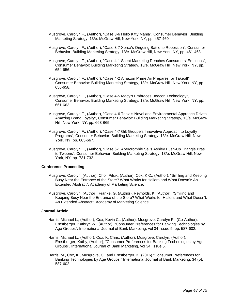- Musgrove, Carolyn F., (Author), "Case 3-6 Hello Kitty Mania", Consumer Behavior: Building Marketing Strategy, 13/e. McGraw Hill, New York, NY, pp. 457-460.
- Musgrove, Carolyn F., (Author), "Case 3-7 Xerox's Ongoing Battle to Reposition", Consumer Behavior: Building Marketing Strategy, 13/e. McGraw Hill, New York, NY, pp. 461-463.
- Musgrove, Carolyn F., (Author), "Case 4-1 Scent Marketing Reaches Consumers' Emotions", Consumer Behavior: Building Marketing Strategy, 13/e. McGraw Hill, New York, NY, pp. 654-656.
- Musgrove, Carolyn F., (Author), "Case 4-2 Amazon Prime Air Prepares for Takeoff", Consumer Behavior: Building Marketing Strategy, 13/e. McGraw Hill, New York, NY, pp. 656-658.
- Musgrove, Carolyn F., (Author), "Case 4-5 Macy's Embraces Beacon Technology", Consumer Behavior: Building Marketing Strategy, 13/e. McGraw Hill, New York, NY, pp. 661-663.
- Musgrove, Carolyn F., (Author), "Case 4-6 Tesla's Novel and Environmental Approach Drives Amazing Brand Loyalty", Consumer Behavior: Building Marketing Strategy, 13/e. McGraw Hill, New York, NY, pp. 663-665.
- Musgrove, Carolyn F., (Author), "Case 4-7 Gilt Groupe's Innovative Approach to Loyalty Programs", Consumer Behavior: Building Marketing Strategy, 13/e. McGraw Hill, New York, NY, pp. 665-667.
- Musgrove, Carolyn F., (Author), "Case 6-1 Abercrombie Sells Ashley Push-Up Triangle Bras to Tweens", Consumer Behavior: Building Marketing Strategy, 13/e. McGraw Hill, New York, NY, pp. 731-732.

### **Conference Proceeding**

- Musgrove, Carolyn, (Author), Choi, Pilsik, (Author), Cox, K C., (Author), "Smiling and Keeping Busy Near the Entrance of the Store? What Works for Hailers and What Doesn't: An Extended Abstract". Academy of Marketing Science.
- Musgrove, Carolyn, (Author), Franke, G, (Author), Reynolds, K, (Author), "Smiling and Keeping Busy Near the Entrance of the Store? What Works for Hailers and What Doesn't: An Extended Abstract". Academy of Marketing Science.

- Harris, Michael L., (Author), Cox, Kevin C., (Author), Musgrove, Carolyn F., (Co-Author), Ernstberger, Kathryn W., (Author), "Consumer Preferences for Banking Technologies by Age Groups". International Journal of Bank Marketing, vol 34, issue 5, pp. 587-602.
- Harris, Michael L., (Author), Cox, K. Chris, (Author), Musgrove, Carolyn, (Author), Ernstberger, Kathy, (Author), "Consumer Preferences for Banking Technologies by Age Groups". International Journal of Bank Marketing, vol 34, issue 5.
- Harris, M., Cox, K., Musgrove, C., and Ernstberger, K. (2016) "Consumer Preferences for Banking Technologies by Age Groups," International Journal of Bank Marketing, 34 (5), 587-602.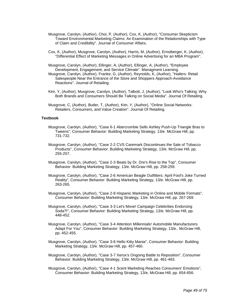- Musgrove, Carolyn, (Author), Choi, P, (Author), Cox, K, (Author), "Consumer Skepticism Toward Environmental Marketing Claims: An Examination of the Relationships with Type of Claim and Credibility". Journal of Consumer Affairs.
- Cox, K, (Author), Musgrove, Carolyn, (Author), Harris, M, (Author), Ernstberger, K, (Author), "Differential Effect of Marketing Messages in Online Advertising for an MBA Program".
- Musgrove, Carolyn, (Author), Ellinger, A, (Author), Ellinger, A, (Author), "Employee Development, Engagement, and Service Climate". Managment Learning.
- Musgrove, Carolyn, (Author), Franke, G, (Author), Reynolds, K, (Author), "Hailers: Retail Salespeople Near the Entrance of the Store and Shoppers Approach-Avoidance Reactions". Journal of Retailing.
- Kim, Y, (Author), Musgrove, Carolyn, (Author), Talbott, J, (Author), "Look Who's Talking: Why Both Brands and Consumers Should Be Talking on Social Media". Journal Of Retailing.
- Musgrove, C, (Author), Butler, T, (Author), Kim, Y, (Author), "Online Social Networks: Retailers, Consumers, and Value Creation". Journal Of Retailing.

### **Textbook**

.

- Musgrove, Carolyn, (Author), "Case 6-1 Abercrombie Sells Ashley Push-Up Triangle Bras to Tweens", Consumer Behavior: Building Marketing Strategy, 13/e. McGraw Hill, pp. 731-732.
- Musgrove, Carolyn, (Author), "Case 2-2 CVS Caremark Discontinues the Sale of Tobacco Products", Consumer Behavior: Building Marketing Strategy, 13/e. McGraw Hill, pp. 255-257.
- Musgrove, Carolyn, (Author), "Case 2-3 Beats by Dr. Dre's Rise to the Top", Consumer Behavior: Building Marketing Strategy, 13/e. McGraw Hill, pp. 258-259.
- Musgrove, Carolyn, (Author), "Case 2-6 American Beagle Outfitters: April Fool's Joke Turned Reality", Consumer Behavior: Building Marketing Strategy, 13/e. McGraw Hill, pp. 263-265.
- Musgrove, Carolyn, (Author), "Case 2-8 Hispanic Marketing in Online and Mobile Formats", Consumer Behavior: Building Marketing Strategy, 13/e. McGraw Hill, pp. 267-269.
- Musgrove, Carolyn, (Author), "Case 3-3 Let's Move! Campaign Celebrities Endorsing Soda?!", Consumer Behavior: Building Marketing Strategy, 13/e. McGraw Hill, pp. 448-452.
- Musgrove, Carolyn, (Author), "Case 3-4 Attention Millennials! Automobile Manufacturers Adapt For You", Consumer Behavior: Building Marketing Strategy, 13/e.. McGraw Hill, pp. 452-455.
- Musgrove, Carolyn, (Author), "Case 3-6 Hello Kitty Mania", Consumer Behavior: Building Marketing Strategy, 13/e. McGraw Hill, pp. 457-460.
- Musgrove, Carolyn, (Author), "Case 3-7 Xerox's Ongoing Battle to Reposition", Consumer Behavior: Building Marketing Strategy, 13/e. McGraw Hill, pp. 461-463.
- Musgrove, Carolyn, (Author), "Case 4-1 Scent Marketing Reaches Consumers' Emotions", Consumer Behavior: Building Marketing Strategy, 13/e. McGraw Hill, pp. 654-656.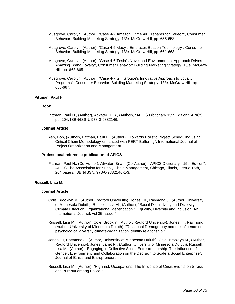- Musgrove, Carolyn, (Author), "Case 4-2 Amazon Prime Air Prepares for Takeoff", Consumer Behavior: Building Marketing Strategy, 13/e. McGraw Hill, pp. 656-658.
- Musgrove, Carolyn, (Author), "Case 4-5 Macy's Embraces Beacon Technology", Consumer Behavior: Building Marketing Strategy, 13/e. McGraw Hill, pp. 661-663.
- Musgrove, Carolyn, (Author), "Case 4-6 Tesla's Novel and Environmental Approach Drives Amazing Brand Loyalty", Consumer Behavior: Building Marketing Strategy, 13/e. McGraw Hill, pp. 663-665.
- Musgrove, Carolyn, (Author), "Case 4-7 Gilt Groupe's Innovative Approach to Loyalty Programs", Consumer Behavior: Building Marketing Strategy, 13/e. McGraw Hill, pp. 665-667.

### **Pittman, Paul H.**

#### **Book**

Pittman, Paul H., (Author), Atwater, J. B., (Author), "APICS Dictionary 15th Edition". APICS, pp. 204. ISBN/ISSN: 978-0-9882146.

#### **Journal Article**

Ash, Bob, (Author), Pittman, Paul H., (Author), "Towards Holistic Project Scheduling using Critical Chain Methodology enhanced with PERT Buffering". International Journal of Project Organization and Management.

#### **Professional reference publication of APICS**

Pittman, Paul H., (Co-Author), Atwater, Brian, (Co-Author), "APICS Dictionary - 15th Edition", APICS The Association for Supply Chain Management, Chicago, Illinois, issue 15th, 204 pages. ISBN/ISSN: 978-0-9882146-1-3.

### **Russell, Lisa M.**

- Cole, Brooklyn M., (Author, Radford University), Jones, III., Raymond J., (Author, University of Minnesota Duluth), Russell, Lisa M., (Author), "Racial Dissimilarity and Diversity Climate Effect on Organizational Identification.". Equality, Diversity and Inclusion: An International Journal, vol 35, issue 4.
- Russell, Lisa M., (Author), Cole, Brooklin, (Author, Radford University), Jones, III, Raymond, (Author, University of Minnesota Duluth), "Relational Demography and the influence on psychological diversity climate-organization identity relationship.",
- Jones, III, Raymond J., (Author, University of Minnesota Duluth), Cole, Brooklyn M., (Author, Radford University), Jones, Janet R., (Author, University of Minnesota Duluth), Russell, Lisa M., (Author), "Engaging in Collective Social Entrepreneurship: The Influence of Gender, Environment, and Collaboration on the Decision to Scale a Social Enterprise". Journal of Ethics and Entrepreneurship.
- Russell, Lisa M., (Author), "High-risk Occupations: The Influence of Crisis Events on Stress and Burnout among Police."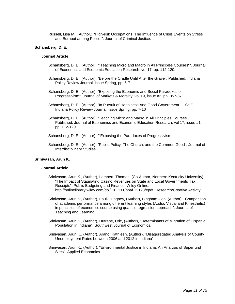Russell, Lisa M., (Author,) "High-risk Occupations: The Influence of Crisis Events on Stress and Burnout among Police.". Journal of Criminal Justice.

#### **Schansberg, D. E.**

#### **Journal Article**

- Schansberg, D. E., (Author), ""Teaching Micro and Macro in All Principles Courses"". Journal of Economics and Economic Education Research, vol 17, pp. 112-120.
- Schansberg, D. E., (Author), "Before the Cradle Until After the Grave", Published. Indiana Policy Review Journal, issue Spring, pp. 6-7
- Schansberg, D. E., (Author), "Exposing the Economic and Social Paradoxes of Progressivism". Journal of Markets & Morality, vol 19, issue #2, pp. 357-371.
- Schansberg, D. E., (Author), "In Pursuit of Happiness And Good Government Still", Indiana Policy Review Journal, issue Spring, pp. 7-10
- Schansberg, D. E., (Author), "Teaching Micro and Macro in All Principles Courses", Published. Journal of Economics and Economic Education Research, vol 17, issue #1, pp. 112-120.

Schansberg, D. E., (Author), ""Exposing the Paradoxes of Progressivism.

Schansberg, D. E., (Author), "Public Policy, The Church, and the Common Good", Journal of Interdisciplinary Studies.

### **Srinivasan, Arun K.**

- Srinivasan, Arun K., (Author), Lambert, Thomas, (Co-Author, Northern Kentucky University), "The Impact of Stagnating Casino Revenues on State and Local Governments Tax Receipts". Public Budgeting and Finance, Wiley Online, http://onlinelibrary.wiley.com/doi/10.1111/pbaf.12123/epdf. Research/Creative Activity,
- Srinivasan, Arun K., (Author), Faulk, Dagney, (Author), Bingham, Jon, (Author), "Comparison of academic performance among different learning styles (Audio, Visual and Kinesthetic) in principles of economics course using quantile regression approach". Journal of Teaching and Learning.
- Srinivasan, Arun K., (Author), Dufrene, Uric, (Author), "Determinants of Migration of Hispanic Population in Indiana". Southwest Journal of Economics.
- Srinivasan, Arun K., (Author), Arano, Kathleen, (Author), "Disaggregated Analysis of County Unemployment Rates between 2006 and 2012 in Indiana".
- Srinivasan, Arun K., (Author), "Environmental Justice in Indiana: An Analysis of Superfund Sites". Applied Economics.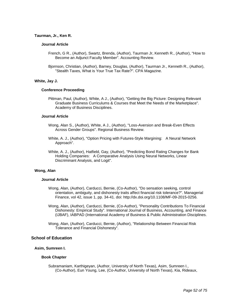### **Taurman, Jr., Ken R.**

#### **Journal Article**

- French, G R., (Author), Swartz, Brenda, (Author), Taurman Jr, Kenneth R., (Author), "How to Become an Adjunct Faculty Member". Accounting Review.
- Bjornson, Christian, (Author), Barney, Douglas, (Author), Taurman Jr., Kenneth R., (Author), "Stealth Taxes, What is Your True Tax Rate?". CPA Magazine.

#### **White, Jay J.**

#### **Conference Proceeding**

Pittman, Paul, (Author), White, A J., (Author), "Getting the Big Picture: Designing Relevant Graduate Business Curriculums & Courses that Meet the Needs of the Marketplace". Academy of Business Disciplines.

#### **Journal Article**

- Wong, Alan S., (Author), White, A J., (Author), "Loss-Aversion and Break-Even Effects Across Gender Groups". Regional Business Review.
- White, A. J., (Author), "Option Pricing with Futures-Style Margining: A Neural Network Approach".
- White, A. J., (Author), Hatfield, Gay, (Author), "Predicting Bond Rating Changes for Bank Holding Companies: A Comparative Analysis Using Neural Networks, Linear Discriminant Analysis, and Logit".

## **Wong, Alan**

#### **Journal Article**

- Wong, Alan, (Author), Carducci, Bernie, (Co-Author), "Do sensation seeking, control orientation, ambiguity, and dishonesty traits affect financial risk tolerance?". Managerial Finance, vol 42, issue 1, pp. 34-41. doi: http://dx.doi.org/10.1108/MF-09-2015-0256.
- Wong, Alan, (Author), Carducci, Bernie, (Co-Author), "Personality Contributions To Financial Dishonesty: Empirical Study". International Journal of Business, Accounting, and Finance (IJBAF), IABPAD (International Academy of Business & Public Administration Disciplines.
- Wong, Alan, (Author), Carducci, Bernie, (Author), "Relationship Between Financial Risk Tolerance and Financial Dishonesty".

## **School of Education**

#### **Asim, Sumreen I.**

#### **Book Chapter**

Subramaniam, Karthigeyan, (Author, University of North Texas), Asim, Sumreen I., (Co-Author), Eun Young, Lee, (Co-Author, University of North Texas), Kia, Rideaux,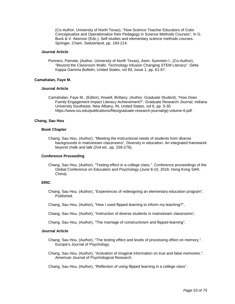(Co-Author, University of North Texas), "How Science Teacher Educators of Color Conceptualize and Operationalize their Pedagogy in Science Methods Courses", In G. Buck & V. Akerson (Eds.), Self-studies and elementary science methods courses. Springer, Cham, Switzerland, pp. 193-214.

### **Journal Article**

Ponners, Pamela, (Author, University of North Texas), Asim, Sumreen I., (Co-Author), "Beyond the Classroom Walls: Technology Infusion Changing STEM Literacy". Delta Kappa Gamma Bulletin, United States, vol 83, issue 1, pp. 61-67.

### **Camahalan, Faye M.**

## **Journal Article**

Camahalan, Faye M., (Editor), Howell, Brittany, (Author, Graduate Student), "How Does Family Engagement Impact Literacy Achievement?". Graduate Research Journal, Indiana University Southeast, New Albany, IN, United States, vol 6, pp. 5-30. https://www.ius.edu/publications/files/graduate-research-journal/grj-volume-6.pdf.

### **Chang, Sau Hou**

### **Book Chapter**

Chang, Sau Hou, (Author), "Meeting the instructional needs of students from diverse backgrounds in mainstream classrooms", Diversity in education: An integrated framework beyond chalk and talk (2nd ed., pp. 259-279),

## **Conference Proceeding**

Chang, Sau Hou, (Author), "Testing effect in a college class.". Conference proceedings of the Global Conference on Education and Psychology (June 8-10, 2016; Hong Kong SAR, China).

## **ERIC**

- Chang, Sau Hou, (Author), "Experiences of redesigning an elementary education program", Published.
- Chang, Sau Hou, (Author), "How I used flipped learning to inform my teaching?",
- Chang, Sau Hou, (Author), "Instruction of diverse students in mainstream classrooms",
- Chang, Sau Hou, (Author), "The marriage of constructivism and flipped learning",

- Chang, Sau Hou, (Author), "The testing effect and levels of processing effect on memory.". Europe's Journal of Psychology.
- Chang, Sau Hou, (Author), "Activation of imaginal information on true and false memories.", American Journal of Psychological Research.
- Chang, Sau Hou, (Author), "Reflection of using flipped learning in a college class".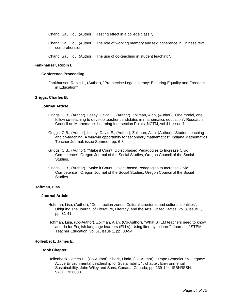Chang, Sau Hou, (Author), "Testing effect in a college class.",

Chang, Sau Hou, (Author), "The role of working memory and text coherence in Chinese text comprehension

Chang, Sau Hou, (Author), "The use of co-teaching in student teaching",

### **Fankhauser, Robin L.**

### **Conference Proceeding**

Fankhauser, Robin L., (Author), "Pre-service Legal Literacy: Ensuring Equality and Freedom in Education".

### **Griggs, Charles B.**

#### **Journal Article**

- Griggs, C B., (Author), Losey, David E., (Author), Zollman, Alan, (Author), "One model, one follow co-teaching to develop teacher candidates in mathematics education". Research Council on Mathematics Learning Intersection Points, NCTM, vol 41, issue 1.
- Griggs, C B., (Author), Losey, David E., (Author), Zollman, Alan, (Author), "Student teaching and co-teaching: A win-win opportunity for secondary mathematics". Indiana Mathematics Teacher Journal, issue Summer, pp. 6-8.
- Griggs, C B., (Author), "Make it Count: Object-based Pedagogies to Increase Civic Competence". Oregon Journal of the Social Studies, Oregon Council of the Social Studies.
- Griggs, C B., (Author), "Make it Count: Object-based Pedagogies to Increase Civic Competence". Oregon Journal of the Social Studies, Oregon Council of the Social Studies.

### **Hoffman, Lisa**

#### **Journal Article**

- Hoffman, Lisa, (Author), "Construction zones: Cultural structures and cultural identities", Ubiquity: The Journal of Literature, Literacy, and the Arts, United States, vol 3, issue 1, pp. 31-41.
- Hoffman, Lisa, (Co-Author), Zollman, Alan, (Co-Author), "What STEM teachers need to know and do for English language learners (ELLs): Using literacy to learn". Journal of STEM Teacher Education, vol 51, issue 1, pp. 83-94.

#### **Hollenbeck, James E.**

#### **Book Chapter**

Hollenbeck, James E., (Co-Author), Shork, Linda, (Co-Author), ""Pope Benedict XVI Legacy: Active Environmental Leadership for Sustainability"", chapter. Environmental Sustainability, John Wiley and Sons, Canada, Canada, pp. 139-144. ISBN/ISSN: 978111936800.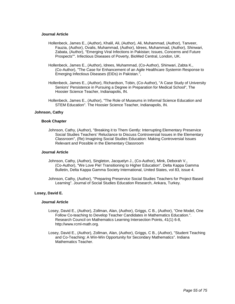### **Journal Article**

- Hollenbeck, James E., (Author), Khalil, Ali, (Author), Ali, Muhammad, (Author), Tanveer, Fauzia, (Author), Ovalis, Muhammad, (Author), Idrees, Muhammad, (Author), Shinwari, Zabata, (Author), "Emerging Viral Infections in Pakistan; Issues, Concerns and Future Prospects"". Infectious Diseases of Poverty, BioMed Central, London, UK.
- Hollenbeck, James E., (Author), Idrees, Muhammad, (Co-Author), Shinwari, Zabta K., (Co-Author), "The Case for Enhancement of an Agile Healthcare Systemin Response to Emerging Infectious Diseases (EIDs) in Pakistan.",
- Hollenbeck, James E., (Author), Richardson, Tobin, (Co-Author), "A Case Study of University Seniors' Persistence in Pursuing a Degree in Preparation for Medical School", The Hoosier Science Teacher, Indianapolis, IN.
- Hollenbeck, James E., (Author), "The Role of Museums in Informal Science Education and STEM Education". The Hoosier Science Teacher, Indianapolis, IN.

### **Johnson, Cathy**

### **Book Chapter**

Johnson, Cathy, (Author), "Breaking it to Them Gently: Interrupting Elementary Preservice Social Studies Teachers' Reluctance to Discuss Controversial Issues in the Elementary Classroom", (Re) Imagining Social Studies Education: Making Controversial Issues Relevant and Possible in the Elementary Classroom

#### **Journal Article**

- Johnson, Cathy, (Author), Singleton, Jacquelyn J., (Co-Author), Mink, Deborah V., (Co-Author), "We Love Pie! Transitioning to Higher Education". Delta Kappa Gamma Bulletin, Delta Kappa Gamma Society International, United States, vol 83, issue 4.
- Johnson, Cathy, (Author), "Preparing Preservice Social Studies Teachers for Project Based Learning". Journal of Social Studies Education Research, Ankara, Turkey.

## **Losey, David E.**

- Losey, David E., (Author), Zollman, Alan, (Author), Griggs, C B., (Author), "One Model, One Follow Co-teaching to Develop Teacher Candidates in Mathematics Education.". Research Council on Mathematics Learning Intersection Points, 41(1) 6-8, http://www.rcml-math.org.
- Losey, David E., (Author), Zollman, Alan, (Author), Griggs, C B., (Author), "Student Teaching and Co-Teaching: A Win-Win Opportunity for Secondary Mathematics". Indiana Mathematics Teacher.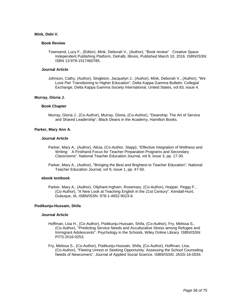### **Mink, Debi V.**

#### **Book Review**

Townsend, Lucy F., (Editor), Mink, Deborah V., (Author), "Book review" Creative Space Independent Publishing Platform, DeKalb, Illinois, Published March 10, 2016. ISBN/ISSN: ISBN 13:978-1517460785.

### **Journal Article**

Johnson, Cathy, (Author), Singleton, Jacquelyn J., (Author), Mink, Deborah V., (Author), "We Love Pie! Transitioning to Higher Education", Delta Kappa Gamma Bulletin: Collegial Exchange, Delta Kappa Gamma Society International, United States, vol 83, issue 4.

### **Murray, Gloria J.**

### **Book Chapter**

Murray, Gloria J., (Co-Author), Murray, Gloria, (Co-Author), "Deanship: The Art of Service and Shared Leadership", Black Deans in the Academy, Hamilton Books.

### **Parker, Mary Ann A.**

#### **Journal Article**

- Parker, Mary A., (Author), Alicia, (Co-Author, Stapp), "Effective Integration of Wellness and Writing: A Firsthand Focus for Teacher Preparation Programs and Secondary Classrooms". National Teacher Education Journal, vol 9, issue 3, pp. 17-30.
- Parker, Mary A., (Author), "Bringing the Best and Brightest to Teacher Education". National Teacher Education Journal, vol 9, issue 1, pp. 47-50.

#### **ebook textbook**

Parker, Mary A., (Author), Oliphant-Ingham, Rosemary, (Co-Author), Hopper, Peggy F., (Co-Author), "A New Look at Teaching English in the 21st Century". Kendall-Hunt, Dubuque, IA, ISBN/ISSN: 978-1-4652-9023-6.

## **Podikunju-Hussain, Shifa**

- Hoffman, Lisa H., (Co-Author), Podikunju-Hussain, Shifa, (Co-Author), Fry, Melissa S., (Co-Author), "Predicting Service Needs and Acculturative Stress among Refugee and Immigrant Adolescents". Psychology in the Schools, Wiley Online Library. ISBN/ISSN: PITS-2016-0253.
- Fry, Melissa S., (Co-Author), Podikunju-Hussain, Shifa, (Co-Author), Hoffman, Lisa, (Co-Author), "Fleeing Unrest or Seeking Opportunity: Assessing the School Counseling Needs of Newcomers", Journal of Applied Social Science. ISBN/ISSN: JASS-16-0034.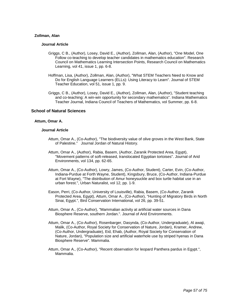### **Zollman, Alan**

### **Journal Article**

- Griggs, C B., (Author), Losey, David E., (Author), Zollman, Alan, (Author), "One Model, One Follow co-teaching to develop teacher candidates in mathematics education". Research Council on Mathematics Learning Intersection Points, Research Council on Mathematics Learning, vol 41, issue 1, pp. 6-8.
- Hoffman, Lisa, (Author), Zollman, Alan, (Author), "What STEM Teachers Need to Know and Do for English Language Learners (ELLs): Using Literacy to Learn". Journal of STEM Teacher Education, vol 51, issue 1, pp. 9.
- Griggs, C B., (Author), Losey, David E., (Author), Zollman, Alan, (Author), "Student teaching and co-teaching: A win-win opportunity for secondary mathematics". Indiana Mathematics Teacher Journal, Indiana Council of Teachers of Mathematics, vol Summer, pp. 6-8.

## **School of Natural Sciences**

### **Attum, Omar A.**

- Attum, Omar A., (Co-Author), "The biodiversity value of olive groves in the West Bank, State of Palestine." Journal Jordan of Natural History.
- Attum, Omar A., (Author), Rabia, Basem, (Author, Zaranik Protected Area, Egypt), "Movement patterns of soft-released, translocated Egyptian tortoises". Journal of Arid Environments, vol 134, pp. 62-65.
- Attum, Omar A., (Co-Author), Lowry, James, (Co-Author, Student), Carter, Evin, (Co-Author, Indiana-Purdue at Forth Wayne, Student), Kingsbury, Bruce, (Co-Author, Indiana-Purdue at Fort Wayne), "The distribution of Amur honeysuckle and box turtle habitat use in an urban forest.", Urban Naturalist, vol 12, pp. 1-9.
- Eason, Perri, (Co-Author, University of Louisville), Rabia, Basem, (Co-Author, Zaranik Protected Area, Egypt), Attum, Omar A., (Co-Author), "Hunting of Migratory Birds in North Sinai, Egypt.", Bird Conservation International, vol 26, pp. 39-51.
- Attum, Omar A., (Co-Author), "Mammalian activity at artificial water sources in Dana Biosphere Reserve, southern Jordan.". Journal of Arid Environments.
- Attum, Omar A., (Co-Author), Rosenbarger, Dasynda, (Co-Author, Undergraduate), Al awaji, Malik, (Co-Author, Royal Society for Conservation of Nature, Jordan), Kramer, Andrew, (Co-Author, Undergraduate), Eid, Ehab, (Author, Royal Society for Conservation of Nature, Jordan), "Population size and artificial waterhole use by striped hyenas in Dana Biosphere Reserve". Mammalia.
- Attum, Omar A., (Co-Author), "Recent observation for leopard Panthera pardus in Egypt.", Mammalia.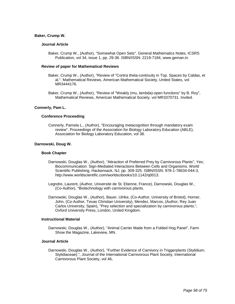### **Baker, Crump W.**

### **Journal Article**

Baker, Crump W., (Author), "Somewhat Open Sets". General Mathematics Notes, ICSRS Publication, vol 34, issue 1, pp. 29-36. ISBN/ISSN: 2219-7184, www.geman.in.

#### **Review of paper for Mathematical Reviews**

- Baker, Crump W., (Author), "Review of "Contra theta-continuity in Top. Spaces by Caldas, et al.". Mathematical Reviews, American Mathematical Society, United States, vol MR3444176.
- Baker, Crump W., (Author), "Review of "Weakly (mu, lambda)-open functions" by B. Roy", Mathematical Reviews, American Mathematical Society, vol MR3370731. Invited.

#### **Connerly, Pam L.**

### **Conference Proceeding**

Connerly, Pamela L., (Author), "Encouraging metacognition through mandatory exam review". Proceedings of the Association for Biology Laboratory Education (ABLE), Association for Biology Laboratory Education, vol 38.

#### **Darnowski, Doug W.**

#### **Book Chapter**

- Darnowski, Douglas W., (Author), "Attraction of Preferred Prey by Carnivorous Plants", Yes; Biocommunication: Sign-Mediated Interactions Between Cells and Organisms. World Scientific Publishing, Hackensack, NJ, pp. 309-325. ISBN/ISSN: 978-1-78634-044-3, http://www.worldscientific.com/worldscibooks/10.1142/q0013.
- Legndre, Laurent, (Author, Universite de St. Etienne, France), Darnowski, Douglas W., (Co-Author), "Biotechnology with carnivorous plants.
- Darnowski, Douglas W., (Author), Bauer, Ulrike, (Co-Author, University of Bristol), Horner, John, (Co-Author, Texas Christian University), Mendez, Marcos, (Author, Rey Juan Carlos University, Spain), "Prey selection and specialization by carnivorous plants.", Oxford University Press, London, United Kingdom.

#### **Instructional Material**

Darnowski, Douglas W., (Author), "Animal Carrier Made from a Folded Hog Panel", Farm Show the Magazine, Lakeview, MN.

#### **Journal Article**

Darnowski, Douglas W., (Author), "Further Evidence of Carnivory in Triggerplants (Stylidium; Stylidiaceae).", Journal of the International Carnivorous Plant Society, International Carnivorous Plant Society, vol 46,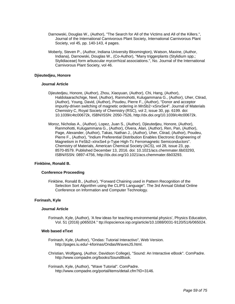- Darnowski, Douglas W., (Author), "The Search for All of the Victims and All of the Killers.", Journal of the International Carnivorous Plant Society, International Carnivorous Plant Society, vol 45, pp. 140-143, 4 pages.
- Moberly, Steven P., (Author, Indiana University Bloomington), Watson, Maxine, (Author, Indiana), Darnowski, Douglas W., (Co-Author), "Many triggerplants (Stylidium spp.; Stylidiaceae) form arbuscular mycorrhizal associations.", No. Journal of the International Carnivorous Plant Society, vol 46.

### **Djieutedjeu, Honore**

#### **Journal Article**

- Djieutedjeu, Honore, (Author), Zhou, Xiaoyuan, (Author), Chi, Hang, (Author), Haldolaarachchige, Neel, (Author), Ranmohotti, Kulugammana G., (Author), Uher, Ctirad, (Author), Young, David, (Author), Poudeu, Pierre F., (Author), "Donor and acceptor impurity-driven switching of magnetic ordering in MnSb2−xSnxSe4". Journal of Materials Chemistry C, Royal Society of Chemistry (RSC), vol 2, issue 30, pp. 6199. doi: 10.1039/c4tc00672k, ISBN/ISSN: 2050-7526, http://dx.doi.org/10.1039/c4tc00672k.
- Moroz, Nicholas A., (Author), Lopez, Juan S., (Author), Djieutedjeu, Honore, (Author), Ranmohotti, Kulugammana G., (Author), Olvera, Alan, (Author), Ren, Pan, (Author), Page, Alexander, (Author), Takas, Nathan J., (Author), Uher, Ctirad, (Author), Poudeu, Pierre F., (Author), "Indium Preferential Distribution Enables Electronic Engineering of Magnetism in FeSb2–xInxSe4 p-Type High-Tc Ferromagnetic Semiconductors". Chemistry of Materials, American Chemical Society (ACS), vol 28, issue 23, pp. 8570-8579. Published December 13, 2016. doi: 10.1021/acs.chemmater.6b03293, ISBN/ISSN: 0897-4756, http://dx.doi.org/10.1021/acs.chemmater.6b03293.

### **Finkbine, Ronald B.**

#### **Conference Proceeding**

Finkbine, Ronald B., (Author), "Forward Chaining used in Pattern Recognition of the Selection Sort Algorithm using the CLIPS Language". The 3rd Annual Global Online Conference on Information and Computer Technology.

#### **Forinash, Kyle**

#### **Journal Article**

Forinash, Kyle, (Author), 'A few ideas for teaching environmental physics', Physics Education, Vol. 51 (2016) p065024." ttp://iopscience.iop.org/article/10.1088/0031-9120/51/6/065024.

#### **Web based eText**

- Forinash, Kyle, (Author), "Ondas: Tutorial Interactivo", Web Version. http://pages.iu.edu/~kforinas/Ondas/WavesJS.html.
- Christian, Wolfgang, (Author, Davidson College), "Sound: An Interactive eBook". ComPadre. http://www.compadre.org/books/SoundBook.
- Forinash, Kyle, (Author), "Wave Tutorial". ComPadre. http://www.compadre.org/portal/items/detail.cfm?ID=3146.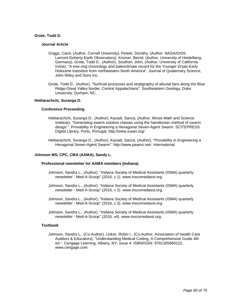### **Grote, Todd D.**

#### **Journal Article**

- Griggs, Carol, (Author, Cornell University), Peteet, Dorothy, (Author, NASA/GISS; Lamont-Doherty Earth Observatory), Kromer, Bernd, (Author, University of Heidelberg, Germany), Grote, Todd D., (Author), Southon, John, (Author, University of California Irvine), "A tree-ring chronology and paleoclimate record for the Younger Dryas-Early Holocene transition from northeastern North America". Journal of Quaternary Science, John Wiley and Sons Inc.
- Grote, Todd D., (Author), "Surficial processes and stratigraphy of alluvial fans along the Blue Ridge-Great Valley border, Central Appalachians". Southeastern Geology, Duke University, Durham, NC.

### **Hettiarachchi, Suranga D.**

#### **Conference Proceeding**

- Hettiarachchi, Suranga D., (Author), Kazadi, Sanza, (Author, Illinois Math and Science Institute), "Generating swarm solution classes using the hamiltonian method of swarm design.", Provability in Engineering a Hexagonal Seven-Agent Swarm. SCITEPRESS Digital Library, Porto, Portugal. http://www.icaart.org/.
- Hettiarachchi, Suranga D., (Author), Kazadi, Sanza, (Author), "Provability in Engineering a Hexagonal Seven-Agent Swarm". http://www.paams.net/. International.

#### **Johnson MS, CPC, CMA (AAMA), Sandy L.**

#### **Professional newsletter for AAMA members (Indiana)**

- Johnson, Sandra L., (Author), "Indiana Society of Medical Assistants (ISMA) quarterly newsletter - Med-A-Scoop" (2016, v 1). www.inscomedasst.org.
- Johnson, Sandra L., (Author), "Indiana Society of Medical Assistants (ISMA) quarterly newsletter - Med-A-Scoop" (2016, v 2). www.inscomedasst.org.
- Johnson, Sandra L., (Author), "Indiana Society of Medical Assistants (ISMA) quarterly newsletter - Med-A-Scoop" (2016, v 3). www.inscomedasst.org.
- Johnson, Sandra L., (Author), "Indiana Society of Medical Assistants (ISMA) quarterly newsletter - Med-A-Scoop" (2016, v4). www.inscomedasst.org.

#### **Textbook**

Johnson, Sandra L., (Co-Author), Linker, Robin I., (Co-Author, Association of Health Care Auditors & Educators), "Understanding Medical Coding, A Comprehensive Guide 4th ed.". Cengage Learning, Albany, NY, issue 4. ISBN/ISSN: 9781305666122, www.cengage.com.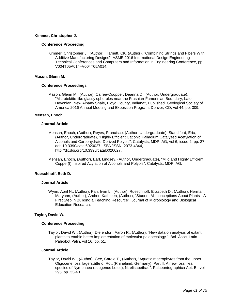### **Kimmer, Christopher J.**

### **Conference Proceeding**

Kimmer, Christopher J., (Author), Harnett, CK, (Author), "Combining Strings and Fibers With Additive Manufacturing Designs", ASME 2016 International Design Engineering Technical Conferences and Computers and Information in Engineering Conference, pp. V004T05A014–V004T05A014.

### **Mason, Glenn M.**

### **Conference Proceedings**

Mason, Glenn M., (Author), Caffee-Coopper, Deanna D., (Author, Undergraduate), "Microtektite-like glassy spherules near the Frasnian-Famennian Boundary, Late Devonian, New Albany Shale, Floyd County, Indiana", Published. Geological Society of America 2016 Annual Meeting and Exposition Program, Denver, CO, vol 44, pp. 309.

### **Mensah, Enoch**

#### **Journal Article**

- Mensah, Enoch, (Author), Reyes, Francisco, (Author, Undergraduate), Standiford, Eric, (Author, Undergraduate), "Highly Efficient Cationic Palladium Catalyzed Acetylation of Alcohols and Carbohydrate-Derived Polyols", Catalysts, MDPI AG, vol 6, issue 2, pp. 27. doi: 10.3390/catal6020027, ISBN/ISSN: 2073-4344, http://dx.doi.org/10.3390/catal6020027.
- Mensah, Enoch, (Author), Earl, Lindsey, (Author, Undergraduate), "Mild and Highly Efficient Copper(I) Inspired Acylation of Alcohols and Polyols", Catalysts, MDPI AG.

## **Rueschhoff, Beth D.**

#### **Journal Article**

Wynn, April N., (Author), Pan, Irvin L., (Author), Rueschhoff, Elizabeth D., (Author), Herman, Maryann, (Author), Archer, Kathleen, (Author), "Student Misconceptions About Plants - A First Step in Building a Teaching Resource". Journal of Microbiology and Biological Education Research.

## **Taylor, David W.**

### **Conference Proceeding**

Taylor, David W., (Author), Diefendorf, Aaron R., (Author), "New data on analysis of extant plants to enable better implementation of molecular paleoecology.". Bol. Asoc. Latin. Paleobot Palin, vol 16, pp. 51.

## **Journal Article**

Taylor, David W., (Author), Gee, Carole T., (Author), "Aquatic macrophytes from the upper Oligocene fossillagerstätte of Rott (Rhineland, Germany). Part II: A new fossil leaf species of Nymphaea (subgenus Lotos), N. elisabethae". Palaeontographica Abt. B., vol 295, pp. 33-43.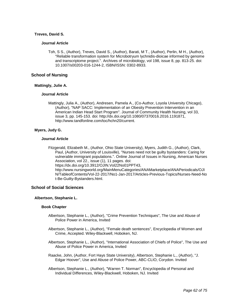## **Treves, David S.**

### **Journal Article**

Toh, S S., (Author), Treves, David S., (Author), Barati, M T., (Author), Perlin, M H., (Author), "Reliable transformation system for Microbotryum lychnidis-dioicae informed by genome and transcriptome project.". Archives of microbiology, vol 198, issue 8, pp. 813-25. doi: 10.1007/s00203-016-1244-2, ISBN/ISSN: 0302-8933.

## **School of Nursing**

### **Mattingly, Julie A.**

### **Journal Article**

Mattingly, Julia A., (Author), Andresen, Pamela A., (Co-Author, Loyola University Chicago), (Author), "NAP SACC: Implementation of an Obesity Prevention Intervention in an American Indian Head Start Program". Journal of Community Health Nursing, vol 33, issue 3, pp. 145-153. doi: http://dx.doi.org/10.1080/07370016.2016.1191871, http://www.tandfonline.com/toc/hchn20/current.

## **Myers, Judy G.**

### **Journal Article**

Fitzgerald, Elizabeth M., (Author, Ohio State University), Myers, Judith G., (Author), Clark, Paul, (Author, University of Louisville), "Nurses need not be guilty bystanders: Caring for vulnerable immigrant populations.". Online Journal of Issues in Nursing, American Nurses Association, vol 22., issue (1), 11 pages. doi:

https://dx.doi.org/10.3912/OJIN.Vol22No01PPT43,

http://www.nursingworld.org/MainMenuCategories/ANAMarketplace/ANAPeriodicals/OJI N/TableofContents/Vol-22-2017/No1-Jan-2017/Articles-Previous-Topics/Nurses-Need-No t-Be-Guilty-Bystanders.html.

## **School of Social Sciences**

## **Albertson, Stephanie L.**

#### **Book Chapter**

- Albertson, Stephanie L., (Author), "Crime Prevention Techniques", The Use and Abuse of Police Power in America, Invited
- Albertson, Stephanie L., (Author), "Female death sentences", Encyclopedia of Women and Crime, Accepted. Wiley-Blackwell, Hoboken, NJ.
- Albertson, Stephanie L., (Author), "International Association of Chiefs of Police", The Use and Abuse of Police Power in America, Invited
- Raacke, John, (Author, Fort Hays State University), Albertson, Stephanie L., (Author), "J. Edgar Hoover", Use and Abuse of Police Power, ABC-CLIO, Corydon. Invited
- Albertson, Stephanie L., (Author), "Warren T. Norman", Encyclopedia of Personal and Individual Differences, Wiley-Blackwell, Hoboken, NJ. Invited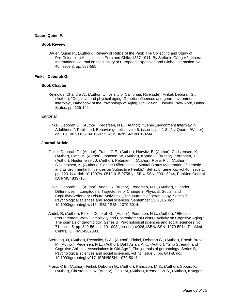### **Dauer, Quinn P.**

#### **Book Review**

Dauer, Quinn P., (Author), "Review of Relics of the Past: The Collecting and Study of Pre-Columbian Antiquities in Peru and Chile, 1837-1911. By Stefanie Gänger.", Itinerario: International Journal on the History of European Expansion and Global Interaction, vol 40, issue 3, pp. 583-585.

## **Finkel, Deborah G.**

### **Book Chapter**

Reynolds, Chandra A., (Author, University of California, Riverside), Finkel, Deborah G., (Author), "Cognitive and physical aging: Genetic influences and gene-environment interplay", Handbook of the Psychology of Aging, 8th Edition, Elsevier, New York, United States, pp. 125-146.

### **Editorial**

Finkel, Deborah G., (Author), Pedersen, N L., (Author), "Gene-Environment Interplay in Adulthood.", Published. Behavior genetics, vol 46, issue 1, pp. 1-3. (1st Quarter/Winter). doi: 10.1007/s10519-015-9775-x, ISBN/ISSN: 0001-8244.

- Finkel, Deborah G., (Author), Franz, C E., (Author), Horwitz, B, (Author), Christensen, K, (Author), Gatz, M, (Author), Johnson, W, (Author), Kaprio, J, (Author), Korhonen, T, (Author), Niederheiser, J, (Author), Petersen, I, (Author), Rose, R J., (Author), Silventoinen, K, (Author), "Gender Differences in Marital Status Moderation of Genetic and Environmental Influences on Subjective Health.", Behavior genetics, vol 46, issue 1, pp. 123-144. doi: 10.1007/s10519-015-9758-y, ISBN/ISSN: 0001-8244, PubMed Central ID: PMC4833715.
- Finkel, Deborah G., (Author), Andel, R, (Author), Pedersen, N L., (Author), "Gender Differences in Longitudinal Trajectories of Change in Physical, Social, and Cognitive/Sedentary Leisure Activities.", The journals of gerontology. Series B, Psychological sciences and social sciences. September 13, 2016. doi: 10.1093/geronb/gbw116, ISBN/ISSN: 1079-5014.
- Andel, R, (Author), Finkel, Deborah G., (Author), Pedersen, N L., (Author), "Effects of Preretirement Work Complexity and Postretirement Leisure Activity on Cognitive Aging.". The journals of gerontology. Series B, Psychological sciences and social sciences, vol 71, issue 5, pp. 849-56. doi: 10.1093/geronb/gbv026, ISBN/ISSN: 1079-5014, PubMed Central ID: PMC4982383.
- Sternäng, O, (Author), Reynolds, C A., (Author), Finkel, Deborah G., (Author), Ernsth-Bravell, M, (Author), Pedersen, N L., (Author), Dahl Aslan, A K., (Author), "Grip Strength and Cognitive Abilities: Associations in Old Age.". The journals of gerontology. Series B, Psychological sciences and social sciences, vol 71, issue 5, pp. 841-8. doi: 10.1093/geronb/gbv017, ISBN/ISSN: 1079-5014.
- Franz, C E., (Author), Finkel, Deborah G., (Author), Panizzon, M S., (Author), Spoon, K, (Author), Christensen, K, (Author), Gatz, M, (Author), Kremen, W S., (Author), Krueger,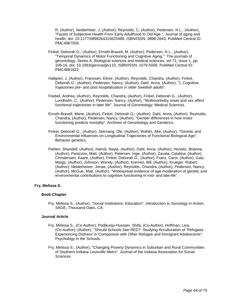R, (Author), Neiderhiser, J, (Author), Reynolds, C, (Author), Pedersen, N L., (Author), "Facets of Subjective Health From Early Adulthood to Old Age.". Journal of aging and health. doi: 10.1177/0898264315625488, ISBN/ISSN: 0898-2643, PubMed Central ID: PMC4967559.

- Finkel, Deborah G., (Author), Ernsth-Bravell, M, (Author), Pedersen, N L., (Author), "Temporal Dynamics of Motor Functioning and Cognitive Aging.". The journals of gerontology. Series A, Biological sciences and medical sciences, vol 71, issue 1, pp. 109-16. doi: 10.1093/gerona/glv110, ISBN/ISSN: 1079-5006, PubMed Central ID: PMC4881822.
- Hallgren, J, (Author), Franssen, Elinor, (Author), Reynolds, Chandra, (Author), Finkel, Deborah G., (Author), Pedersen, Nancy, (Author), Dahl, Anna, (Author), "). Cognitive trajectories pre- and post hospitalization in older Swedish adults".
- Foebel, Andrea, (Author), Reynolds, Chandra, (Author), Finkel, Deborah G., (Author), Lundholm, C., (Author), Pedersen, Nancy, (Author), "Multimorbidity onset and sex affect functional trajectories in later life". Journal of Gerontology: Medical Sciences.
- Ernsth-Bravell, Marie, (Author), Finkel, Deborah G., (Author), Dahl, Anna, (Author), Reynolds, Chandra, (Author), Pedersen, Nancy, (Author), "Gender differences in how motor functioning predicts mortality". Archives of Gerontology and Geriatrics.
- Finkel, Deborah G., (Author), Sternang, Ole, (Author), Wahlin, Ake, (Author), "Genetic and Environmental Influences on Longitudinal Trajectories of Functional Biological Age", Behavior genetics.
- Pahlen, Shandell, (Author), Hamdi, Nayla, (Author), Dahl, Anna, (Author), Horwitz, Brianna, (Author), Panizzon, Matt, (Author), Petersen, Inge, (Author), Zavala, Catalina, (Author), Christensen, Kaare, (Author), Finkel, Deborah G., (Author), Franz, Carol, (Author), Gatz, Margy, (Author), Johnson, Wendy, (Author), Kremen, Bill, (Author), Krueger, Robert, (Author), Neiderheiser, Jenae, (Author), Reynolds, Chandra, (Author), Pedersen, Nancy, (Author), McGue, Matt, (Author), "Widespread evidence of age-moderation of genetic and environmental contributions to cognitive functioning in mid- and late-life".

## **Fry, Melissa S.**

## **Book Chapter**

Fry, Melissa S., (Author), "Social Institutions: Education", Introduction to Sociology in Action, SAGE, Thousand Oaks, CA.

- Fry, Melissa S., (Co-Author), Podikunju-Hussain, Shifa, (Co-Author), Hoffman, Lisa, (Co-Author), (Author), "Should Schools See RED?: Studying Acculturation of 'Refugees Experiencing Distress' in Comparison with Other Refugee and Immigrant Adolescents". Psychology in the Schools.
- Fry, Melissa S., (Author), "Changing Poverty Dynamics in Suburban and Rural Communities of Southern Indiana Louisville Metro". Journal of the Indiana Association for Social Sciences.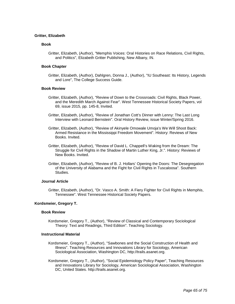### **Gritter, Elizabeth**

#### **Book**

Gritter, Elizabeth, (Author), "Memphis Voices: Oral Histories on Race Relations, Civil Rights, and Politics", Elizabeth Gritter Publishing, New Albany, IN.

#### **Book Chapter**

Gritter, Elizabeth, (Author), Dahlgren, Donna J., (Author), "IU Southeast: Its History, Legends and Lore", The College Success Guide.

## **Book Review**

- Gritter, Elizabeth, (Author), "Review of Down to the Crossroads: Civil Rights, Black Power, and the Meredith March Against Fear". West Tennessee Historical Society Papers, vol 69, issue 2015, pp. 145-8, Invited.
- Gritter, Elizabeth, (Author), "Review of Jonathan Cott's Dinner with Lenny: The Last Long Interview with Leonard Bernstein". Oral History Review, issue Winter/Spring 2016.
- Gritter, Elizabeth, (Author), "Review of Akinyele Omowale Umoja's We Will Shoot Back: Armed Resistance in the Mississippi Freedom Movement". History: Reviews of New Books. Invited.
- Gritter, Elizabeth, (Author), "Review of David L. Chappell's Waking from the Dream: The Struggle for Civil Rights in the Shadow of Martin Luther King, Jr.". History: Reviews of New Books. Invited.
- Gritter, Elizabeth, (Author), "Review of B. J. Hollars' Opening the Doors: The Desegregation of the University of Alabama and the Fight for Civil Rights in Tuscaloosa". Southern Studies.

#### **Journal Article**

Gritter, Elizabeth, (Author), "Dr. Vasco A. Smith: A Fiery Fighter for Civil Rights in Memphis, Tennessee". West Tennessee Historical Society Papers.

#### **Kordsmeier, Gregory T.**

#### **Book Review**

Kordsmeier, Gregory T., (Author), "Review of Classical and Contemporary Sociological Theory: Text and Readings, Third Edition". Teaching Sociology.

### **Instructional Material**

- Kordsmeier, Gregory T., (Author), "Sawbones and the Social Construction of Health and Illness". Teaching Resources and Innovations Library for Sociology, American Sociological Association, Washington DC, http://trails.asanet.org.
- Kordsmeier, Gregory T., (Author), "Social Epidemiology Policy Paper", Teaching Resources and Innovations Library for Sociology, American Sociological Association, Washington DC, United States. http://trails.asanet.org.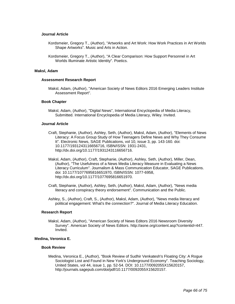#### **Journal Article**

- Kordsmeier, Gregory T., (Author), "Artworks and Art Work: How Work Practices in Art Worlds Shape Artworks". Music and Arts in Action.
- Kordsmeier, Gregory T., (Author), "A Clear Comparison: How Support Personnel in Art Worlds Illuminate Artistic Identity". Poetics.

#### **Maksl, Adam**

### **Assessment Research Report**

Maksl, Adam, (Author), "American Society of News Editors 2016 Emerging Leaders Institute Assessment Report".

### **Book Chapter**

Maksl, Adam, (Author), "Digital News", International Encyclopedia of Media Literacy, Submitted. International Encyclopedia of Media Literacy, Wiley. Invited.

#### **Journal Article**

- Craft, Stephanie, (Author), Ashley, Seth, (Author), Maksl, Adam, (Author), "Elements of News Literacy: A Focus Group Study of How Teenagers Define News and Why They Consume It". Electronic News, SAGE Publications, vol 10, issue 3, pp. 143-160. doi: 10.1177/1931243116656716, ISBN/ISSN: 1931-2431, http://dx.doi.org/10.1177/1931243116656716.
- Maksl, Adam, (Author), Craft, Stephanie, (Author), Ashley, Seth, (Author), Miller, Dean, (Author), "The Usefulness of a News Media Literacy Measure in Evaluating a News Literacy Curriculum". Journalism & Mass Communication Educator, SAGE Publications. doi: 10.1177/1077695816651970, ISBN/ISSN: 1077-6958, http://dx.doi.org/10.1177/1077695816651970.
- Craft, Stephanie, (Author), Ashley, Seth, (Author), Maksl, Adam, (Author), "News media literacy and conspiracy theory endorsement". Communication and the Public.
- Ashley, S., (Author), Craft, S., (Author), Maksl, Adam, (Author), "News media literacy and political engagement: What's the connection?". Journal of Media Literacy Education.

#### **Research Report**

Maksl, Adam, (Author), "American Society of News Editors 2016 Newsroom Diversity Survey". American Society of News Editors. http://asne.org/content.asp?contentid=447. Invited.

## **Medina, Veronica E.**

#### **Book Review**

Medina, Veronica E., (Author), "Book Review of Sudhir Venkatesh's Floating City: A Rogue Sociologist Lost and Found in New York's Underground Economy". Teaching Sociology, United States, vol 44, issue 1, pp. 52-54. DOI: 10.1177/0092055X15620157, http://journals.sagepub.com/doi/pdf/10.1177/0092055X15620157.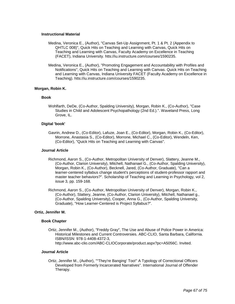#### **Instructional Material**

- Medina, Veronica E., (Author), "Canvas Set-Up Assignment, Pt. 1 & Pt. 2 (Appendix to QHTLC 008)", Quick Hits on Teaching and Learning with Canvas, Quick Hits on Teaching and Learning with Canvas, Faculty Academy on Excellence in Teaching (FACET), Indiana University. htts://iu.instructure.com/courses/1590235.
- Medina, Veronica E., (Author), "Promoting Engagement and Accountability with Profiles and Notifications", Quick Hits on Teaching and Learning with Canvas. Quick Hits on Teaching and Learning with Canvas, Indiana University FACET (Faculty Academy on Excellence in Teaching). htts://iu.instructure.com/courses/1590235.

## **Morgan, Robin K.**

## **Book**

Wohlfarth, DeDe, (Co-Author, Spalding University), Morgan, Robin K., (Co-Author), "Case Studies in Child and Adolescent Psychopathology (2nd Ed.).". Waveland Press, Long Grove, IL.

## **Digital 'book'**

Gavrin, Andrew D., (Co-Editor), Lafuze, Joan E., (Co-Editor), Morgan, Robin K., (Co-Editor), Morrone, Anastasia S., (Co-Editor), Morrone, Michael C., (Co-Editor), Wendeln, Ken, (Co-Editor), "Quick Hits on Teaching and Learning with Canvas".

### **Journal Article**

- Richmond, Aaron S., (Co-Author, Metropolitan University of Denver), Slattery, Jeanne M., (Co-Author, Clarion University), Mitchell, Nathanael G., (Co-Author, Spalding University), Morgan, Robin K., (Co-Author), Becknell, Jared, (Co-Author, Graduate), "Can a learner-centered syllabus change student's perceptions of student-professor rapport and master teacher behaviors?". Scholarship of Teaching and Learning in Psychology, vol 2, issue 3, pp. 159-168.
- Richmond, Aaron S., (Co-Author, Metropolitan University of Denver), Morgan, Robin K., (Co-Author), Slattery, Jeanne, (Co-Author, Clarion University), Mitchell, Nathanael g., (Co-Author, Spalding University), Cooper, Anna G., (Co-Author, Spalding University, Graduate), "How Learner-Centered is Project Syllabus?".

## **Ortiz, Jennifer M.**

#### **Book Chapter**

Ortiz, Jennifer M., (Author), "Freddy Gray", The Use and Abuse of Police Power in America: Historical Milestones and Current Controversies. ABC-CLIO, Santa Barbara, California. ISBN/ISSN: 978-1-4408-4372-3, http://www.abc-clio.com/ABC-CLIOCorporate/product.aspx?pc=A5056C. Invited.

## **Journal Article**

Ortiz, Jennifer M., (Author), ""They're Banging' Too!" A Typology of Correctional Officers Developed from Formerly Incarcerated Narratives". International Journal of Offender Therapy.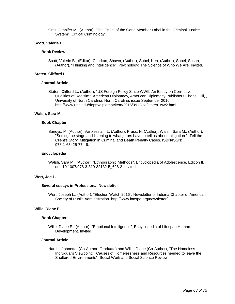Ortiz, Jennifer M., (Author), "The Effect of the Gang Member Label in the Criminal Justice System". Critical Criminology.

#### **Scott, Valerie B.**

#### **Book Review**

Scott, Valerie B., (Editor), Charlton, Shawn, (Author), Sobel, Ken, (Author), Sobel, Susan, (Author), "Thinking and Intelligence", Psychology: The Science of Who We Are, Invited.

### **Staten, Clifford L.**

#### **Journal Article**

Staten, Clifford L., (Author), "US Foreign Policy Since WWII: An Essay on Corrective Qualities of Realsim". American Diplomacy, American Diplomacy Publishers Chapel Hill, , University of North Carolina, North Carolina, issue September 2016. http://www.unc.edu/depts/diplomat/item/2016/0912/ca/staten\_ww2.html.

### **Walsh, Sara M.**

#### **Book Chapter**

Sandys, M, (Author), Vartkessian, L, (Author), Pruss, H, (Author), Walsh, Sara M., (Author), "Setting the stage and listening to what jurors have to tell us about mitigation.", Tell the Client's Story: Mitigation in Criminal and Death Penalty Cases. ISBN/ISSN: 978-1-63425-774-9.

#### **Encyclopedia**

Walsh, Sara M., (Author), "Ethnographic Methods", Encyclopedia of Adolescence, Edition II. doi: 10.1007/978-3-319-32132-5\_628-2. Invited.

### **Wert, Joe L.**

#### **Several essays in Professional Newsletter**

Wert, Joseph L., (Author), "Election Watch 2016", Newsletter of Indiana Chapter of American Society of Public Administration. http://www.inaspa.org/newsletter/.

## **Wille, Diane E.**

#### **Book Chapter**

Wille, Diane E., (Author), "Emotional Intelligence", Encyclopedia of Lifespan Human Development. Invited.

#### **Journal Article**

Hardin, Johnetta, (Co-Author, Graduate) and Wille, Diane (Co-Author), "The Homeless Individual's Viewpoint: Causes of Homelessness and Resources needed to leave the Sheltered Environments". Social Work and Social Science Review.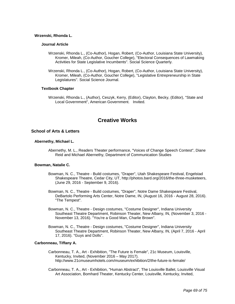### **Wrzenski, Rhonda L.**

### **Journal Article**

- Wrzenski, Rhonda L., (Co-Author), Hogan, Robert, (Co-Author, Louisiana State University), Kromer, Mileah, (Co-Author, Goucher College), "Electoral Consequences of Lawmaking Activities for State Legislative Incumbents". Social Science Quarterly.
- Wrzenski, Rhonda L., (Co-Author), Hogan, Robert, (Co-Author, Louisiana State University), Kromer, Mileah, (Co-Author, Goucher College), "Legislative Entrepreneurship in State Legislatures". Social Science Journal.

### **Textbook Chapter**

Wrzenski, Rhonda L., (Author), Ceszyk, Kerry, (Editor), Clayton, Becky, (Editor), "State and Local Government", American Government. Invited.

# **Creative Works**

## **School of Arts & Letters**

## **Abernethy, Michael L.**

Abernethy, M. L., Readers Theater performance, "Voices of Change Speech Contest", Diane Reid and Michael Abernethy, Department of Communication Studies

## **Bowman, Natalie C.**

- Bowman, N. C., Theatre Build costumes, "Draper", Utah Shakespeare Festival, Engelstad Shakespeare Theatre, Cedar City, UT, http://photos.bard.org/2016/the-three-musketeers, (June 29, 2016 - September 9, 2016).
- Bowman, N. C., Theatre Build costumes, "Draper", Notre Dame Shakespeare Festival, DeBartolo Performing Arts Center, Notre Dame, IN, (August 16, 2016 - August 28, 2016). "The Tempest".
- Bowman, N. C., Theatre Design costumes, "Costume Designer", Indiana University Southeast Theatre Department, Robinson Theater, New Albany, IN, (November 3, 2016 - November 13, 2016). "You're a Good Man, Charlie Brown".
- Bowman, N. C., Theatre Design costumes, "Costume Designer", Indiana University Southeast Theatre Department, Robinson Theater, New Albany, IN, (April 7, 2016 - April 17, 2016). "Guys and Dolls".

### **Carbonneau, Tiffany A.**

Carbonneau, T. A., Art - Exhibition, "The Future is Female", 21c Museum, Louisville, Kentucky, Invited, (November 2016 – May 2017). http://www.21cmuseumhotels.com/museum/exhibition/2/the-future-is-female/

Carbonneau, T. A., Art - Exhibition, "Human Abstract", The Louisville Ballet, Louisville Visual Art Association, Bomhard Theater, Kentucky Center, Louisville, Kentucky, Invited,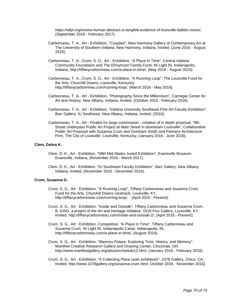https://wfpl.org/review-human-abstract-is-tangible-evidence-of-louisville-ballets-vision/, (September 2016 - February 2017).

- Carbonneau, T. A., Art Exhibition, "Coupled", New Harmony Gallery of Contemporary Art at The University of Southern Indiana, New Harmony, Indiana, Invited, (June 2016 - August 2016).
- Carbonneau, T. A., Crum, S. G., Art Exhibition, "A Place in Time", Central Indiana Community Foundation and The Efroymson Family Fund, IN Light IN, Indianapolis, Indiana, http://tiffanycarbonneau.com/a-place-in-time/, (May 2016 - August 2016).
- Carbonneau, T. A., Crum, S. G., Art Exhibition, "A Running Loop", The Louisville Fund for the Arts, Churchill Downs, Louisville, Kentucky, http://tiffanycarbonneau.com/running-loop/, (March 2016 - May 2016).
- Carbonneau, T. A., Art Exhibition, "Photography Since the Millennium", Carnegie Center for Art and History, New Albany, Indiana, Invited, (October 2015 - February 2016).
- Carbonneau, T. A., Art Exhibition, "Indiana University Southeast Fine Art Faculty Exhibition", Barr Gallery, IU Southeast, New Albany, Indiana, Invited, (2016).
- Carbonneau, T. A., Art Finalist for large commission creation of in depth proposal, "9th Street Underpass Public Art Project at Main Street in downtown Louisville", Collaborative Public Art Proposal with Susanna Crum and Gresham Smith and Partners Architecture Firm, The City of Louisville, Louisville, Kentucky, (January 2016 - June 2016).

### **Clem, Debra K.**

- Clem, D. K., Art Exhibition, "58th Mid-States Juried Exhibition", Evansville Museum, Evansville, Indiana, (November 2016 - March 2017).
- Clem, D. K., Art Exhibition, "IU Southeast Faculty Exhibition", Barr Gallery, New Albany, Indiana, Invited, (November 2016 - December 2016).

#### **Crum, Susanna G.**

- Crum, S. G., Art Exhibition, "A Running Loop", Tiffany Carbonneau and Susanna Crum, Fund for the Arts, Churchill Downs racetrack, Louisville, KY, http://tiffanycarbonneau.com/running-loop/, (April 2016 - Present).
- Crum, S. G., Art Exhibition, "Inside and Outside", Tiffany Carbonneau and Susanna Crum, B. KIND, a project of the Art and Heritage Initiative, 1619 Flux Gallery, Louisville, KY, Invited, http://tiffanycarbonneau.com/inside-and-outside-2/, (April 2016 - Present).
- Crum, S. G., Art Exhibition, Competitive, "A Place in Time", Tiffany Carbonneau and Susanna Crum, IN Light IN, Indianapolis Canal, Indianapolis, IN, http://tiffanycarbonneau.com/a-place-in-time/, (August 2016).
- Crum, S. G., Art Exhibition, "Memory Palace: Exploring Time, History, and Memory", Manifest Creative Research Gallery and Drawing Center, Cincinnati, OH, http://www.manifestgallery.org/about/schedule12.html, (January 2016 - February 2016).
- Crum, S. G., Art Exhibition, "A Collecting Place (solo exhibition)", 1078 Gallery, Chico, CA, Invited, http://www.1078gallery.org/susanna-crum.html, October 2016 - November 2016).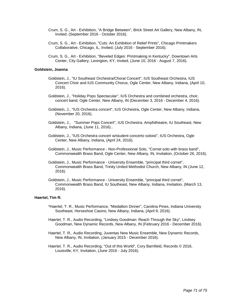- Crum, S. G., Art Exhibition, "A Bridge Between", Brick Street Art Gallery, New Albany, IN, Invited, (September 2016 - October 2016).
- Crum, S. G., Art Exhibition, "Cuts: An Exhibition of Relief Prints", Chicago Printmakers Collaborative, Chicago, IL, Invited, (July 2016 - September 2016).
- Crum, S. G., Art Exhibition, "Beveled Edges: Printmaking in Kentucky", Downtown Arts Center, City Gallery, Lexington, KY, Invited, (June 10, 2016 - August 7, 2016).

### **Goldstein, Joanna**

- Goldstein, J., "IU Southeast Orchestra/Choral Concert", IUS Southeast Orchestra, IUS Concert Choir and IUS Community Chorus, Ogle Center, New Albany, Indiana, (April 10, 2016).
- Goldstein, J., "Holiday Pops Spectacular", IUS Orchestra and combined orchestra, choir, concert band, Ogle Center, New Albany, IN (December 3, 2016 - December 4, 2016).
- Goldstein, J., "IUS Orchestra concert", IUS Orchestra, Ogle Center, New Albany, Indiana, (November 20, 2016).
- Goldstein, J., "Summer Pops Concert", IUS Orchestra, Amphitheatre, IU Southeast, New Albany, Indiana, (June 11, 2016)..
- Goldstein, J., "IUS Orchestra concert w/student concerto soloist", IUS Orchestra, Ogle Center, New Albany, Indiana, (April 24, 2016).
- Goldstein, J., Music Performance Non-Professional Solo, "Cornet solo with brass band", Commonwealth Brass Band, Ogle Center, New Albany, IN, Invitation, (October 26, 2016).
- Goldstein, J., Music Performance University Ensemble, "principal third cornet", Commonwealth Brass Band, Trinity United Methodist Church, New Albany, IN (June 12, 2016).
- Goldstein, J., Music Performance University Ensemble, "principal third cornet", Commonwealth Brass Band, IU Southeast, New Albany, Indiana, Invitation, (March 13, 2016).

#### **Haertel, Tim R.**

- \*Haertel, T. R., Music Performance, "Medallion Dinner", Carolina Pines, Indiana University Southeast, Horseshoe Casino, New Albany, Indiana, (April 9, 2016).
- Haertel, T. R., Audio Recording, "Lindsey Goodman: Reach Through the Sky", Lindsey Goodman, New Dynamic Records, New Albany, IN (February 2016 - December 2016).
- Haertel, T. R., Audio Recording, Juventas New Music Ensemble, New Dynamic Records, New Albany, IN, Invitation, (January 2015 - December 2016).
- Haertel, T. R., Audio Recording, "Out of this World", Cory Barnfield, Records © 2016, Louisville, KY, Invitation, (June 2016 - July 2016).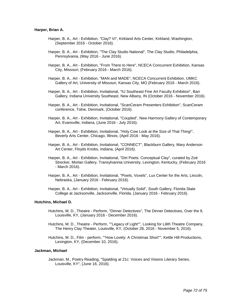#### **Harper, Brian A.**

- Harper, B. A., Art Exhibition, "Clay? VI", Kirkland Arts Center, Kirkland, Washington, (September 2016 - October 2016).
- Harper, B. A., Art Exhibition, "The Clay Studio National", The Clay Studio, Philadelphia, Pennsylvania, (May 2016 - June 2016).
- Harper, B. A., Art Exhibition, "From There to Here", NCECA Concurrent Exhibition, Kansas City, Missouri, (February 2016 - March 2016).
- Harper, B. A., Art Exhibition, "MAN and MADE", NCECA Concurrent Exhibition, UMKC Gallery of Art, University of Missouri, Kansas City, MO (February 2016 - March 2016).
- Harper, B. A., Art Exhibition, Invitational, "IU Southeast Fine Art Faculty Exhibition", Barr Gallery, Indiana University Southeast, New Albany, IN (October 2016 - November 2016).
- Harper, B. A., Art Exhibition, Invitational, "ScanCeram Presenters Exhibition", ScanCeram conference, Tolne, Denmark, (October 2016).
- Harper, B. A., Art Exhibition, Invitational, "Coupled", New Harmony Gallery of Contemporary Art, Evansville, Indiana, (June 2016 - July 2016).
- Harper, B. A., Art Exhibition, Invitational, "Holy Cow Look at the Size of That Thing!", Beverly Arts Center, Chicago, Illinois, (April 2016 - May 2016).
- Harper, B. A., Art Exhibition, Invitational, "CONNECT", Blackburn Gallery, Mary Anderson Art Center, Floyds Knobs, Indiana, (April 2016).
- Harper, B. A., Art Exhibition, Invitational, "Dirt Poets: Conceptual Clay", curated by Zoé Strecker, Morlan Gallery, Transylvannia University, Lexington, Kentucky, (February 2016 - March 2016).
- Harper, B. A., Art Exhibition, Invitational, "Pixels, Voxels", Lux Center for the Arts, Lincoln, Nebraska, (January 2016 - February 2016).
- Harper, B. A., Art Exhibition, Invitational, "Virtually Solid", South Gallery, Florida State College at Jacksonville, Jacksonville, Florida, (January 2016 - February 2016).

#### **Hutchins, Michael D.**

- Hutchins, M. D., Theatre Perform, "Dinner Detectives", The Dinner Detectives, Over the 9, Louisville, KY, (January 2016 - December 2016).
- Hutchins, M. D., Theatre Perform, ""Legacy of Light"", Looking for Lilith Theatre Company, The Henry Clay Theater, Louisville, KY, (October 28, 2016 - November 5, 2016).
- Hutchins, M. D., Film perform, ""How Lovely: A Christmas Short"", Kettle Hill Productions, Lexington, KY, (December 10, 2016).

#### **Jackman, Michael**

Jackman, M., Poetry Reading, "Spalding at 21c: Voices and Visions Literary Series, Louisville, KY", (June 16, 2016).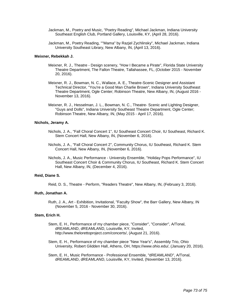- Jackman, M., Poetry and Music, "Poetry Reading", Michael Jackman, Indiana University Southeast English Club, Portland Gallery, Louisville, KY, (April 28, 2016).
- Jackman, M., Poetry Reading, ""Mama" by Razjel Zychlinsky", Michael Jackman, Indiana University Southeast Library, New Albany, IN, (April 13, 2016).

### **Meixner, Rebekkah J.**

- Meixner, R. J., Theatre Design scenery, "How I Became a Pirate", Florida State University Theatre Department, The Fallon Theatre, Tallahassee, FL, (October 2015 - November 20, 2016).
- Meixner, R. J., Bowman, N. C., Wallace, A. E., Theatre-Scenic Designer and Assistant Technical Director, "You're a Good Man Charlie Brown", Indiana University Southeast Theatre Department, Ogle Center; Robinson Theatre, New Albany, IN, (August 2016 - November 13, 2016).
- Meixner, R. J., Hesselman, J. L., Bowman, N. C., Theatre- Scenic and Lighting Designer, "Guys and Dolls", Indiana University Southeast Theatre Department, Ogle Center; Robinson Theatre, New Albany, IN, (May 2015 - April 17, 2016).

## **Nichols, Jeramy A.**

- Nichols, J. A., "Fall Choral Concert 1", IU Southeast Concert Choir, IU Southeast, Richard K. Stem Concert Hall, New Albany, IN, (November 6, 2016).
- Nichols, J. A., "Fall Choral Concert 2", Community Chorus, IU Southeast, Richard K. Stem Concert Hall, New Albany, IN, (November 6, 2016).
- Nichols, J. A., Music Performance University Ensemble, "Holiday Pops Performance", IU Southeast Concert Choir & Community Chorus, IU Southeast, Richard K. Stem Concert Hall, New Albany, IN, (December 4, 2016).

### **Reid, Diane S.**

Reid, D. S., Theatre - Perform, "Readers Theatre", New Albany, IN, (February 3, 2016).

#### **Ruth, Jonathan A.**

Ruth, J. A., Art - Exhibition, Invitational, "Faculty Show", the Barr Gallery, New Albany, IN (November 5, 2016 - November 30, 2016).

### **Stem, Erich H.**

- Stem, E. H., Performance of my chamber piece, "Consider", "Consider", A/Tonal, dREAMLAND, dREAMLAND, Louisville, KY, Invited, http://www.thelorettoproject.com/concerts/, (August 21, 2016).
- Stem, E. H., Performance of my chamber piece "New Year's", Assembly Trio, Ohio University, Robert Glidden Hall, Athens, OH, https://www.ohio.edu/, (January 20, 2016).
- Stem, E. H., Music Performance Professional Ensemble, "dREAMLAND", A/Tonal, dREAMLAND, dREAMLAND, Louisville, KY, Invited, (November 13, 2016).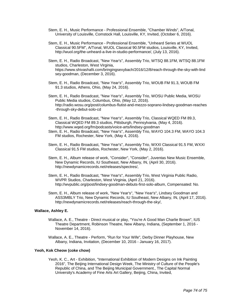- Stem, E. H., Music Performance Professional Ensemble, "Chamber Winds", A/Tonal, University of Louisville, Comstock Hall, Louisville, KY, Invited, (October 6, 2016).
- Stem, E. H., Music Performance Professional Ensemble, "Unheard Series at WUOL Classical 90.5FM", A/Tonal, WUOL Classical 90.5FM studios, Louisville, KY, Invited, http://wuol.org/the-unheard-a-live-in-studio-performance/, (July 13, 2016).
- Stem, E. H., Radio Broadcast, "New Year's", Assembly Trio, WTSQ 88.1FM, WTSQ 88.1FM studios, Charleston, West Virginia, https://www.shivashafii.com/bringingsexybach/2016/12/8/reach-through-the-sky-with-lind sey-goodman, (December 3, 2016).
- Stem, E. H., Radio Broadcast, "New Year's", Assembly Trio, WOUB FM 91.3, WOUB FM 91.3 studios, Athens, Ohio, (May 24, 2016).
- Stem, E. H., Radio Broadcast, "New Year's", Assembly Trio, WOSU Public Media, WOSU Public Media studios, Columbus, Ohio, (May 12, 2016). http://radio.wosu.org/post/columbus-flutist-and-mezzo-soprano-lindsey-goodman-reaches -through-sky-debut-solo-cd
- Stem, E. H., Radio Broadcast, "New Year's", Assembly Trio, Classical WQED FM 89.3, Classical WQED FM 89.3 studios, Pittsburgh, Pennsylvania, (May 4, 2016). http://www.wqed.org/fm/podcasts/voice-arts/lindsey-goodman
- Stem, E. H., Radio Broadcast, "New Year's", Assembly Trio, WAYO 104.3 FM, WAYO 104.3 FM studios, Rochester, New York, (May 4, 2016).
- Stem, E. H., Radio Broadcast, "New Year's", Assembly Trio, WXXI Classical 91.5 FM, WXXI Classical 91.5 FM studios, Rochester, New York, (May 2, 2016).
- Stem, E. H., Album release of work, "Consider", "Consider", Juventas New Music Ensemble, New Dynamic Records, IU Southeast, New Albany, IN, (April 30, 2016). http://newdynamicrecords.net/releases/spectres/,
- Stem, E. H., Radio Broadcast, "New Year's", Assembly Trio, West Virginia Public Radio, WVPR Studios, Charleston, West Virginia, (April 21, 2016). http://wvpublic.org/post/lindsey-goodman-debuts-first-solo-album, Compensated: No.
- Stem, E. H., Album release of work, "New Year's", "New Year's", Lindsey Goodman and ASS3MBLY Trio, New Dynamic Records, IU Southeast, New Albany, IN, (April 17, 2016). http://newdynamicrecords.net/releases/reach-through-the-sky/,

## **Wallace, Ashley E.**

- Wallace, A. E., Theatre Direct musical or play, "You're A Good Man Charlie Brown", IUS Theatre Department, Robinson Theatre, New Albany, Indiana, (September 1, 2016 - November 14, 2016).
- Wallace, A. E., Theatre Perform, "Run for Your Wife", Derby Dinner Playhouse, New Albany, Indiana, Invitation, (December 10, 2016 - January 16, 2017).

### **Yeoh, Kok Cheow (coke chow)**

Yeoh, K. C., Art - Exhibition, "International Exhibition of Modern Designs on Ink Painting 2016", The Beijing International Design Week, The Ministry of Culture of the People's Republic of China, and The Beijing Municipal Government., The Capital Normal University's Academy of Fine Arts Art Gallery, Beijing, China, Invited,